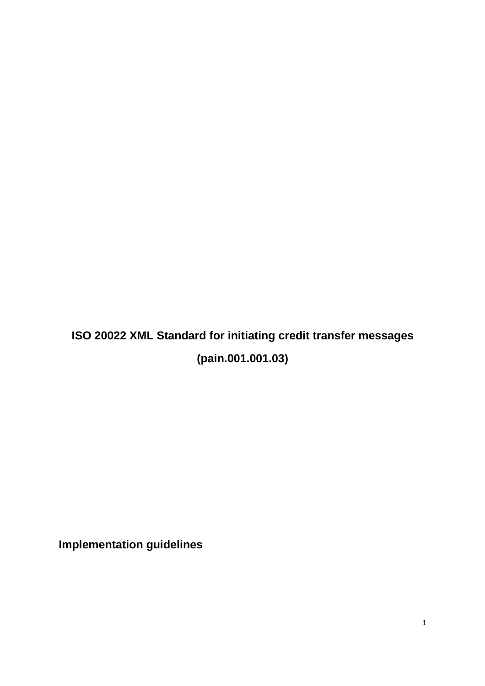# **ISO 20022 XML Standard for initiating credit transfer messages (pain.001.001.03)**

**Implementation guidelines**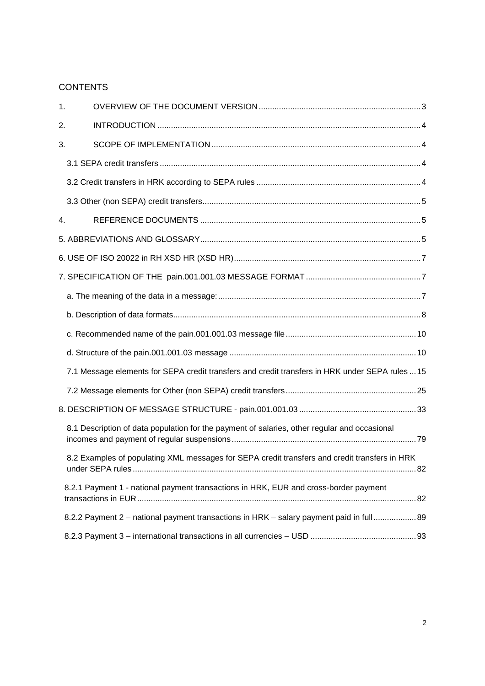# **CONTENTS**

| 1. |                                                                                                 |
|----|-------------------------------------------------------------------------------------------------|
| 2. |                                                                                                 |
| 3. |                                                                                                 |
|    |                                                                                                 |
|    |                                                                                                 |
|    |                                                                                                 |
| 4. |                                                                                                 |
|    |                                                                                                 |
|    |                                                                                                 |
|    |                                                                                                 |
|    |                                                                                                 |
|    |                                                                                                 |
|    |                                                                                                 |
|    |                                                                                                 |
|    | 7.1 Message elements for SEPA credit transfers and credit transfers in HRK under SEPA rules  15 |
|    |                                                                                                 |
|    |                                                                                                 |
|    | 8.1 Description of data population for the payment of salaries, other regular and occasional    |
|    | 8.2 Examples of populating XML messages for SEPA credit transfers and credit transfers in HRK   |
|    | 8.2.1 Payment 1 - national payment transactions in HRK, EUR and cross-border payment            |
|    | 8.2.2 Payment 2 - national payment transactions in HRK - salary payment paid in full 89         |
|    |                                                                                                 |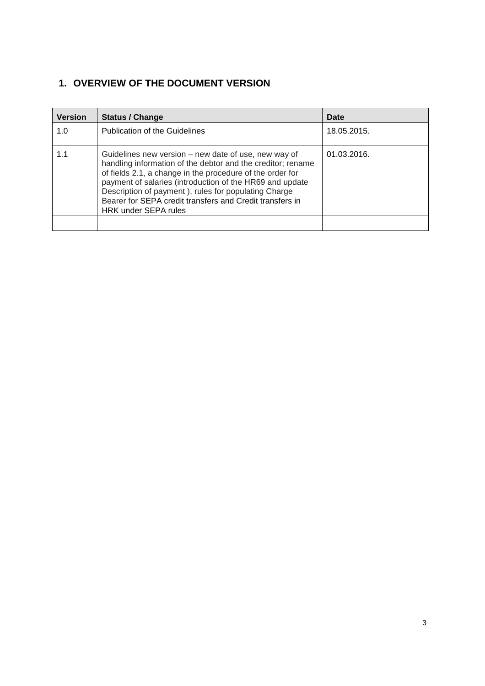# **1. OVERVIEW OF THE DOCUMENT VERSION**

| <b>Version</b> | <b>Status / Change</b>                                                                                                                                                                                                                                                                                                                                                                          | Date        |
|----------------|-------------------------------------------------------------------------------------------------------------------------------------------------------------------------------------------------------------------------------------------------------------------------------------------------------------------------------------------------------------------------------------------------|-------------|
| 1.0            | <b>Publication of the Guidelines</b>                                                                                                                                                                                                                                                                                                                                                            | 18.05.2015. |
| 1.1            | Guidelines new version – new date of use, new way of<br>handling information of the debtor and the creditor; rename<br>of fields 2.1, a change in the procedure of the order for<br>payment of salaries (introduction of the HR69 and update<br>Description of payment), rules for populating Charge<br>Bearer for SEPA credit transfers and Credit transfers in<br><b>HRK under SEPA rules</b> | 01.03.2016. |
|                |                                                                                                                                                                                                                                                                                                                                                                                                 |             |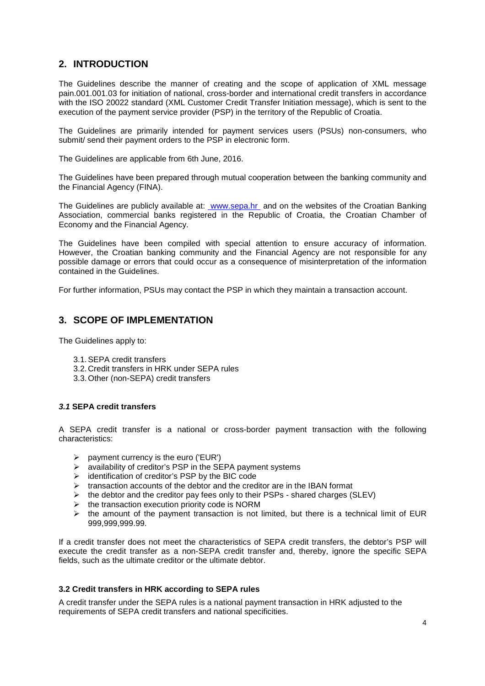# **2. INTRODUCTION**

The Guidelines describe the manner of creating and the scope of application of XML message pain.001.001.03 for initiation of national, cross-border and international credit transfers in accordance with the ISO 20022 standard (XML Customer Credit Transfer Initiation message), which is sent to the execution of the payment service provider (PSP) in the territory of the Republic of Croatia.

The Guidelines are primarily intended for payment services users (PSUs) non-consumers, who submit/ send their payment orders to the PSP in electronic form.

The Guidelines are applicable from 6th June, 2016.

The Guidelines have been prepared through mutual cooperation between the banking community and the Financial Agency (FINA).

The Guidelines are publicly available at: www.sepa.hr and on the websites of the Croatian Banking Association, commercial banks registered in the Republic of Croatia, the Croatian Chamber of Economy and the Financial Agency.

The Guidelines have been compiled with special attention to ensure accuracy of information. However, the Croatian banking community and the Financial Agency are not responsible for any possible damage or errors that could occur as a consequence of misinterpretation of the information contained in the Guidelines.

For further information, PSUs may contact the PSP in which they maintain a transaction account.

# **3. SCOPE OF IMPLEMENTATION**

The Guidelines apply to:

- 3.1. SEPA credit transfers
- 3.2. Credit transfers in HRK under SEPA rules
- 3.3. Other (non-SEPA) credit transfers

## **3.1 SEPA credit transfers**

A SEPA credit transfer is a national or cross-border payment transaction with the following characteristics:

- 
- $\geq$  payment currency is the euro ('EUR')<br> $\geq$  availability of creditor's PSP in the SE availability of creditor's PSP in the SEPA payment systems
- $\triangleright$  identification of creditor's PSP by the BIC code
- $\triangleright$  transaction accounts of the debtor and the creditor are in the IBAN format
- $\triangleright$  the debtor and the creditor pay fees only to their PSPs shared charges (SLEV)
- $\triangleright$  the transaction execution priority code is NORM
- $\triangleright$  the amount of the payment transaction is not limited, but there is a technical limit of EUR 999,999,999.99.

If a credit transfer does not meet the characteristics of SEPA credit transfers, the debtor's PSP will execute the credit transfer as a non-SEPA credit transfer and, thereby, ignore the specific SEPA fields, such as the ultimate creditor or the ultimate debtor.

#### **3.2 Credit transfers in HRK according to SEPA rules**

A credit transfer under the SEPA rules is a national payment transaction in HRK adjusted to the requirements of SEPA credit transfers and national specificities.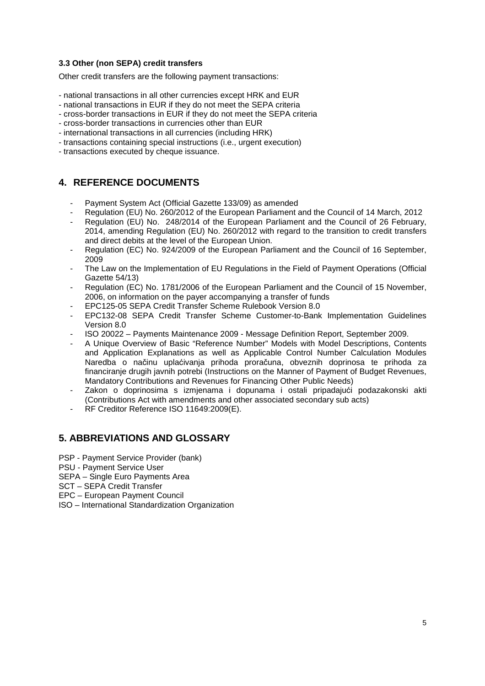## **3.3 Other (non SEPA) credit transfers**

Other credit transfers are the following payment transactions:

- national transactions in all other currencies except HRK and EUR
- national transactions in EUR if they do not meet the SEPA criteria
- cross-border transactions in EUR if they do not meet the SEPA criteria
- cross-border transactions in currencies other than EUR
- international transactions in all currencies (including HRK)
- transactions containing special instructions (i.e., urgent execution)
- transactions executed by cheque issuance.

# **4. REFERENCE DOCUMENTS**

- Payment System Act (Official Gazette 133/09) as amended
- Regulation (EU) No. 260/2012 of the European Parliament and the Council of 14 March, 2012
- Regulation (EU) No. 248/2014 of the European Parliament and the Council of 26 February, 2014, amending Regulation (EU) No. 260/2012 with regard to the transition to credit transfers and direct debits at the level of the European Union.
- Regulation (EC) No. 924/2009 of the European Parliament and the Council of 16 September, 2009
- The Law on the Implementation of EU Regulations in the Field of Payment Operations (Official Gazette 54/13)
- Regulation (EC) No. 1781/2006 of the European Parliament and the Council of 15 November, 2006, on information on the payer accompanying a transfer of funds
- EPC125-05 SEPA Credit Transfer Scheme Rulebook Version 8.0
- EPC132-08 SEPA Credit Transfer Scheme Customer-to-Bank Implementation Guidelines Version 8.0
- ISO 20022 Payments Maintenance 2009 Message Definition Report, September 2009.
- A Unique Overview of Basic "Reference Number" Models with Model Descriptions, Contents and Application Explanations as well as Applicable Control Number Calculation Modules Naredba o načinu uplaćivanja prihoda proračuna, obveznih doprinosa te prihoda za financiranje drugih javnih potrebi (Instructions on the Manner of Payment of Budget Revenues, Mandatory Contributions and Revenues for Financing Other Public Needs)
- Zakon o doprinosima s izmjenama i dopunama i ostali pripadajući podazakonski akti (Contributions Act with amendments and other associated secondary sub acts)
- RF Creditor Reference ISO 11649:2009(E).

# **5. ABBREVIATIONS AND GLOSSARY**

- PSP Payment Service Provider (bank)
- PSU Payment Service User
- SEPA Single Euro Payments Area
- SCT SEPA Credit Transfer
- EPC European Payment Council
- ISO International Standardization Organization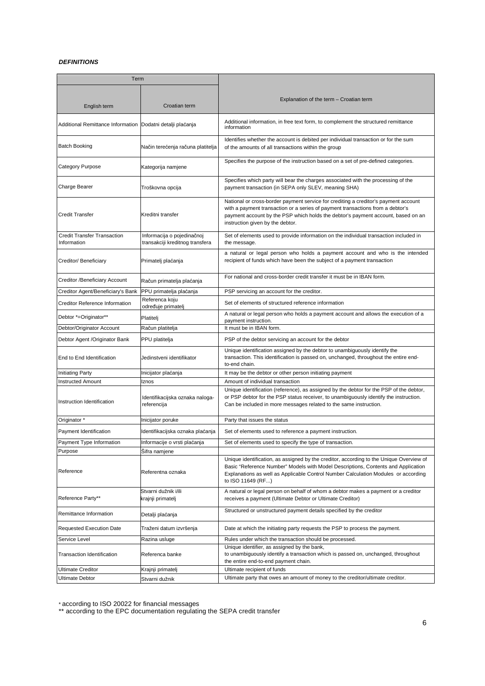#### **DEFINITIONS**

| Term                                              |                                                               |                                                                                                                                                                                                                                                                                               |
|---------------------------------------------------|---------------------------------------------------------------|-----------------------------------------------------------------------------------------------------------------------------------------------------------------------------------------------------------------------------------------------------------------------------------------------|
|                                                   |                                                               |                                                                                                                                                                                                                                                                                               |
| English term                                      | Croatian term                                                 | Explanation of the term – Croatian term                                                                                                                                                                                                                                                       |
| Additional Remittance Information                 | Dodatni detalji plaćanja                                      | Additional information, in free text form, to complement the structured remittance<br>information                                                                                                                                                                                             |
| <b>Batch Booking</b>                              | Način terećenja računa platitelja                             | Identifies whether the account is debited per individual transaction or for the sum<br>of the amounts of all transactions within the group                                                                                                                                                    |
| Category Purpose                                  | Kategorija namjene                                            | Specifies the purpose of the instruction based on a set of pre-defined categories.                                                                                                                                                                                                            |
| Charge Bearer                                     | Troškovna opcija                                              | Specifies which party will bear the charges associated with the processing of the<br>payment transaction (in SEPA only SLEV, meaning SHA)                                                                                                                                                     |
| <b>Credit Transfer</b>                            | Kreditni transfer                                             | National or cross-border payment service for crediting a creditor's payment account<br>with a payment transaction or a series of payment transactions from a debtor's<br>payment account by the PSP which holds the debtor's payment account, based on an<br>instruction given by the debtor. |
| <b>Credit Transfer Transaction</b><br>Information | Informacija o pojedinačnoj<br>transakciji kreditnog transfera | Set of elements used to provide information on the individual transaction included in<br>the message.                                                                                                                                                                                         |
| Creditor/ Beneficiary                             | Primatelj plaćanja                                            | a natural or legal person who holds a payment account and who is the intended<br>recipient of funds which have been the subject of a payment transaction                                                                                                                                      |
| Creditor /Beneficiary Account                     | Račun primatelja plaćanja                                     | For national and cross-border credit transfer it must be in IBAN form.                                                                                                                                                                                                                        |
| Creditor Agent/Beneficiary's Bank                 | PPU primatelja plaćanja                                       | PSP servicing an account for the creditor.                                                                                                                                                                                                                                                    |
| <b>Creditor Reference Information</b>             | Referenca koju<br>određuje primatelj                          | Set of elements of structured reference information                                                                                                                                                                                                                                           |
| Debtor *=Originator**<br>Platitelj                |                                                               | A natural or legal person who holds a payment account and allows the execution of a<br>payment instruction.                                                                                                                                                                                   |
| Debtor/Originator Account                         | Račun platitelja                                              | It must be in IBAN form.                                                                                                                                                                                                                                                                      |
| Debtor Agent / Originator Bank                    | PPU platitelja                                                | PSP of the debtor servicing an account for the debtor                                                                                                                                                                                                                                         |
| End to End Identification                         | Jedinstveni identifikator                                     | Unique identification assigned by the debtor to unambiguously identify the<br>transaction. This identification is passed on, unchanged, throughout the entire end-<br>to-end chain.                                                                                                           |
| Initiating Party                                  | Inicijator plaćanja                                           | It may be the debtor or other person initiating payment                                                                                                                                                                                                                                       |
| <b>Instructed Amount</b>                          | Iznos                                                         | Amount of individual transaction                                                                                                                                                                                                                                                              |
| Instruction Identification                        | Identifikacijska oznaka naloga-<br>referencija                | Unique identification (reference), as assigned by the debtor for the PSP of the debtor,<br>or PSP debtor for the PSP status receiver, to unambiguously identify the instruction.<br>Can be included in more messages related to the same instruction.                                         |
| Originator *                                      | Inicijator poruke                                             | Party that issues the status                                                                                                                                                                                                                                                                  |
| Payment Identification                            | Identifikacijska oznaka plaćanja                              | Set of elements used to reference a payment instruction.                                                                                                                                                                                                                                      |
| Payment Type Information                          | Informacije o vrsti plaćanja                                  | Set of elements used to specify the type of transaction.                                                                                                                                                                                                                                      |
| Purpose                                           | Sifra namjene                                                 |                                                                                                                                                                                                                                                                                               |
| Reference                                         | Referentna oznaka                                             | Unique identification, as assigned by the creditor, according to the Unique Overview of<br>Basic "Reference Number" Models with Model Descriptions, Contents and Application<br>Explanations as well as Applicable Control Number Calculation Modules or according<br>to ISO 11649 (RF)       |
| Reference Party**                                 | Stvarni dužnik i/ili<br>krajnji primatelj                     | A natural or legal person on behalf of whom a debtor makes a payment or a creditor<br>receives a payment (Ultimate Debtor or Ultimate Creditor)                                                                                                                                               |
| Remittance Information                            | Detalji plaćanja                                              | Structured or unstructured payment details specified by the creditor                                                                                                                                                                                                                          |
| Requested Execution Date                          | Traženi datum izvršenja                                       | Date at which the initiating party requests the PSP to process the payment.                                                                                                                                                                                                                   |
| Service Level                                     | Razina usluge                                                 | Rules under which the transaction should be processed.                                                                                                                                                                                                                                        |
| Transaction Identification                        | Referenca banke                                               | Unique identifier, as assigned by the bank,<br>to unambiguously identify a transaction which is passed on, unchanged, throughout<br>the entire end-to-end payment chain.                                                                                                                      |
| <b>Ultimate Creditor</b>                          | Krajnji primatelj                                             | Ultimate recipient of funds                                                                                                                                                                                                                                                                   |
| <b>Ultimate Debtor</b>                            | Stvarni dužnik                                                | Ultimate party that owes an amount of money to the creditor/ultimate creditor.                                                                                                                                                                                                                |

\* according to ISO 20022 for financial messages

\*\* according to the EPC documentation regulating the SEPA credit transfer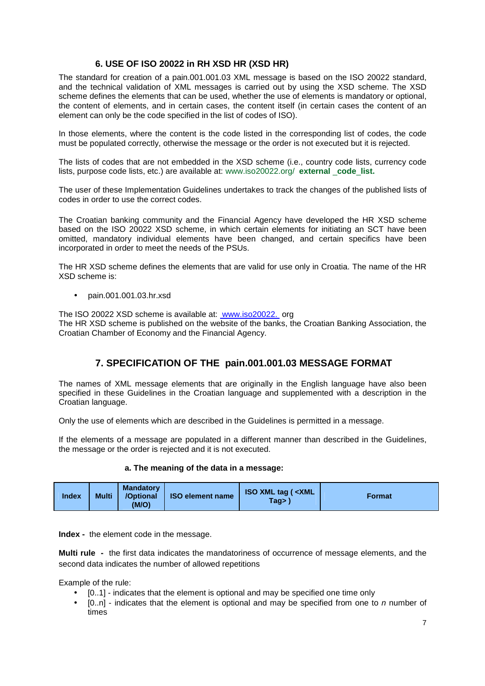# **6. USE OF ISO 20022 in RH XSD HR (XSD HR)**

The standard for creation of a pain.001.001.03 XML message is based on the ISO 20022 standard, and the technical validation of XML messages is carried out by using the XSD scheme. The XSD scheme defines the elements that can be used, whether the use of elements is mandatory or optional, the content of elements, and in certain cases, the content itself (in certain cases the content of an element can only be the code specified in the list of codes of ISO).

In those elements, where the content is the code listed in the corresponding list of codes, the code must be populated correctly, otherwise the message or the order is not executed but it is rejected.

The lists of codes that are not embedded in the XSD scheme (i.e., country code lists, currency code lists, purpose code lists, etc.) are available at: www.iso20022.org/ **external** \_**code**\_**list.** 

The user of these Implementation Guidelines undertakes to track the changes of the published lists of codes in order to use the correct codes.

The Croatian banking community and the Financial Agency have developed the HR XSD scheme based on the ISO 20022 XSD scheme, in which certain elements for initiating an SCT have been omitted, mandatory individual elements have been changed, and certain specifics have been incorporated in order to meet the needs of the PSUs.

The HR XSD scheme defines the elements that are valid for use only in Croatia. The name of the HR XSD scheme is:

• pain.001.001.03.hr.xsd

The ISO 20022 XSD scheme is available at: www.iso20022. org

The HR XSD scheme is published on the website of the banks, the Croatian Banking Association, the Croatian Chamber of Economy and the Financial Agency.

# **7. SPECIFICATION OF THE pain.001.001.03 MESSAGE FORMAT**

The names of XML message elements that are originally in the English language have also been specified in these Guidelines in the Croatian language and supplemented with a description in the Croatian language.

Only the use of elements which are described in the Guidelines is permitted in a message.

If the elements of a message are populated in a different manner than described in the Guidelines, the message or the order is rejected and it is not executed.

#### **a. The meaning of the data in a message:**

|              |              | <b>Mandatory</b>   |                         |                                                     |               |
|--------------|--------------|--------------------|-------------------------|-----------------------------------------------------|---------------|
| <b>Index</b> | <b>Multi</b> | /Optional<br>(M/O) | <b>ISO element name</b> | <b>ISO XML tag (<xml< b=""><br/>Taq&gt;l</xml<></b> | <b>Format</b> |
|              |              |                    |                         |                                                     |               |

**Index -** the element code in the message.

**Multi rule -** the first data indicates the mandatoriness of occurrence of message elements, and the second data indicates the number of allowed repetitions

Example of the rule:

- [0..1] indicates that the element is optional and may be specified one time only
- $[0..n]$  indicates that the element is optional and may be specified from one to n number of times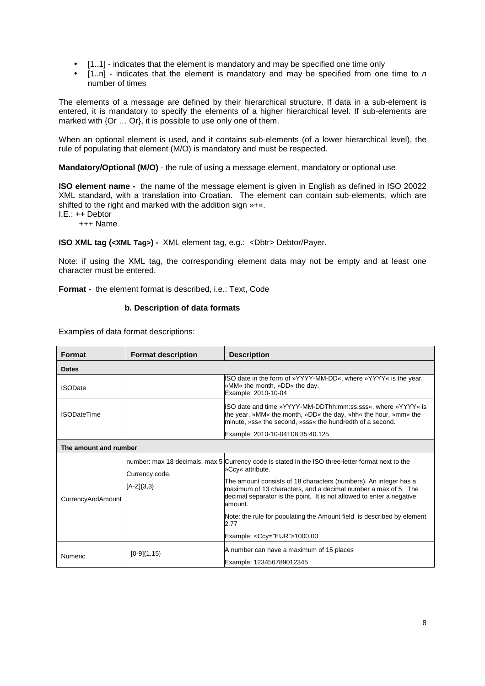- [1..1] indicates that the element is mandatory and may be specified one time only
- $[1..n]$  indicates that the element is mandatory and may be specified from one time to n number of times

The elements of a message are defined by their hierarchical structure. If data in a sub-element is entered, it is mandatory to specify the elements of a higher hierarchical level. If sub-elements are marked with {Or ... Or}, it is possible to use only one of them.

When an optional element is used, and it contains sub-elements (of a lower hierarchical level), the rule of populating that element (M/O) is mandatory and must be respected.

# **Mandatory/Optional (M/O)** - the rule of using a message element, mandatory or optional use

**ISO element name -** the name of the message element is given in English as defined in ISO 20022 XML standard, with a translation into Croatian. The element can contain sub-elements, which are shifted to the right and marked with the addition sign »+«.

I.E.: ++ Debtor

+++ Name

**ISO XML tag (<XML Tag>) -** XML element tag, e.g.: <Dbtr> Debtor/Payer.

Note: if using the XML tag, the corresponding element data may not be empty and at least one character must be entered.

**Format -** the element format is described, i.e.: Text, Code

#### **b. Description of data formats**

Examples of data format descriptions:

| <b>Format description</b><br><b>Description</b><br><b>Format</b> |                                  |                                                                                                                                                                                                                                                                                                                                                                                                                                   |
|------------------------------------------------------------------|----------------------------------|-----------------------------------------------------------------------------------------------------------------------------------------------------------------------------------------------------------------------------------------------------------------------------------------------------------------------------------------------------------------------------------------------------------------------------------|
| <b>Dates</b>                                                     |                                  |                                                                                                                                                                                                                                                                                                                                                                                                                                   |
| <b>ISODate</b>                                                   |                                  | ISO date in the form of »YYYY-MM-DD«, where »YYYY« is the year,<br>»MM« the month, »DD« the day.<br>Example: 2010-10-04                                                                                                                                                                                                                                                                                                           |
| <b>ISODateTime</b>                                               |                                  | ISO date and time »YYYY-MM-DDThh:mm:ss.sss«, where »YYYY« is<br>the year, »MM« the month, »DD« the day, »hh« the hour, »mm« the<br>minute, »ss« the second, »sss« the hundredth of a second.                                                                                                                                                                                                                                      |
|                                                                  |                                  | Example: 2010-10-04T08:35:40.125                                                                                                                                                                                                                                                                                                                                                                                                  |
| The amount and number                                            |                                  |                                                                                                                                                                                                                                                                                                                                                                                                                                   |
| CurrencyAndAmount                                                | Currency code.<br>$[A-Z]\{3,3\}$ | number: max 18 decimals: max 5 Currency code is stated in the ISO three-letter format next to the<br>»Ccy« attribute.<br>The amount consists of 18 characters (numbers). An integer has a<br>maximum of 13 characters, and a decimal number a max of 5. The<br>decimal separator is the point. It is not allowed to enter a negative<br>amount.<br>Note: the rule for populating the Amount field is described by element<br>2.77 |
|                                                                  |                                  | Example: <ccy="eur">1000.00</ccy="eur">                                                                                                                                                                                                                                                                                                                                                                                           |
| Numeric                                                          | $[0-9]{1,15}$                    | A number can have a maximum of 15 places<br>Example: 123456789012345                                                                                                                                                                                                                                                                                                                                                              |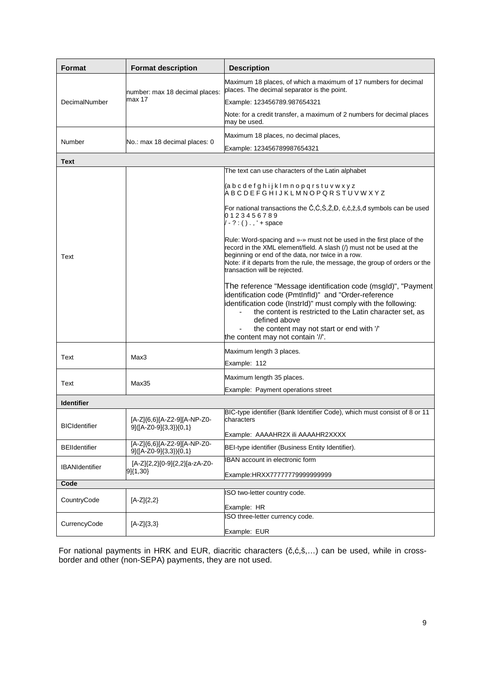| Format                                         | <b>Format description</b>                             | <b>Description</b>                                                                                                                                                                                                                                                                                                                                     |
|------------------------------------------------|-------------------------------------------------------|--------------------------------------------------------------------------------------------------------------------------------------------------------------------------------------------------------------------------------------------------------------------------------------------------------------------------------------------------------|
|                                                | number: max 18 decimal places:                        | Maximum 18 places, of which a maximum of 17 numbers for decimal<br>places. The decimal separator is the point.                                                                                                                                                                                                                                         |
| DecimalNumber<br>Number<br><b>Text</b><br>Text | max 17                                                | Example: 123456789.987654321                                                                                                                                                                                                                                                                                                                           |
|                                                |                                                       | Note: for a credit transfer, a maximum of 2 numbers for decimal places<br>may be used.                                                                                                                                                                                                                                                                 |
|                                                |                                                       | Maximum 18 places, no decimal places,                                                                                                                                                                                                                                                                                                                  |
|                                                | No.: max 18 decimal places: 0                         | Example: 123456789987654321                                                                                                                                                                                                                                                                                                                            |
|                                                |                                                       |                                                                                                                                                                                                                                                                                                                                                        |
|                                                |                                                       | The text can use characters of the Latin alphabet                                                                                                                                                                                                                                                                                                      |
|                                                |                                                       | (a b c d e f g h i j k l m n o p q r s t u v w x y z<br>A B C D E F G H I J K L M N O P Q R S T U V W X Y Z                                                                                                                                                                                                                                            |
|                                                |                                                       | For national transactions the Č,Ć,Š,Ž,Đ, ć,č,ž,š,đ symbols can be used<br>0123456789<br>$\sqrt{-?}$ : ()., ' + space                                                                                                                                                                                                                                   |
|                                                |                                                       | Rule: Word-spacing and »-» must not be used in the first place of the<br>record in the XML element/field. A slash (/) must not be used at the<br>beginning or end of the data, nor twice in a row.<br>Note: if it departs from the rule, the message, the group of orders or the<br>transaction will be rejected.                                      |
|                                                |                                                       | The reference "Message identification code (msgld)", "Payment<br>identification code (PmtInfId)" and "Order-reference<br>identification code (InstrId)" must comply with the following:<br>the content is restricted to the Latin character set, as<br>defined above<br>the content may not start or end with '/'<br>the content may not contain '//'. |
| Text                                           | Max3                                                  | Maximum length 3 places.                                                                                                                                                                                                                                                                                                                               |
|                                                |                                                       | Example: 112                                                                                                                                                                                                                                                                                                                                           |
| Text                                           | Max35                                                 | Maximum length 35 places.                                                                                                                                                                                                                                                                                                                              |
|                                                |                                                       | Example: Payment operations street                                                                                                                                                                                                                                                                                                                     |
| <b>Identifier</b>                              |                                                       |                                                                                                                                                                                                                                                                                                                                                        |
| <b>BICIdentifier</b>                           | [A-Z]{6,6}[A-Z2-9][A-NP-Z0-<br>9]([A-Z0-9]{3,3}){0,1} | BIC-type identifier (Bank Identifier Code), which must consist of 8 or 11<br>characters                                                                                                                                                                                                                                                                |
|                                                |                                                       | Example: AAAAHR2X ili AAAAHR2XXXX                                                                                                                                                                                                                                                                                                                      |
| <b>BEIIdentifier</b>                           | [A-Z]{6,6}[A-Z2-9][A-NP-Z0-<br>9]([A-Z0-9]{3,3}){0,1} | BEI-type identifier (Business Entity Identifier).                                                                                                                                                                                                                                                                                                      |
| <b>IBANIdentifier</b>                          | [A-Z]{2,2}[0-9]{2,2}[a-zA-Z0-                         | <b>IBAN</b> account in electronic form                                                                                                                                                                                                                                                                                                                 |
|                                                | 9]{1,30}                                              | Example:HRXX77777779999999999                                                                                                                                                                                                                                                                                                                          |
| Code                                           |                                                       | ISO two-letter country code.                                                                                                                                                                                                                                                                                                                           |
| CountryCode                                    | $[A-Z](2,2)$                                          |                                                                                                                                                                                                                                                                                                                                                        |
|                                                |                                                       | Example: HR<br>ISO three-letter currency code.                                                                                                                                                                                                                                                                                                         |
| CurrencyCode                                   | $[A-Z]\{3,3\}$                                        | Example: EUR                                                                                                                                                                                                                                                                                                                                           |

For national payments in HRK and EUR, diacritic characters (č,ć,š,…) can be used, while in crossborder and other (non-SEPA) payments, they are not used.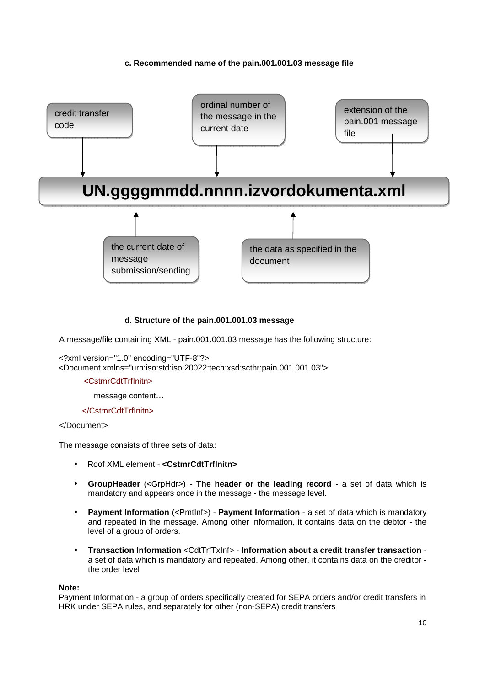## **c. Recommended name of the pain.001.001.03 message file**



## **d. Structure of the pain.001.001.03 message**

A message/file containing XML - pain.001.001.03 message has the following structure:

```
<?xml version="1.0" encoding="UTF-8"?> 
<Document xmlns="urn:iso:std:iso:20022:tech:xsd:scthr:pain.001.001.03">
```
#### <CstmrCdtTrfInitn>

message content…

#### </CstmrCdtTrfInitn>

#### </Document>

The message consists of three sets of data:

- Roof XML element **<CstmrCdtTrfInitn>**
- **GroupHeader** (<GrpHdr>) **The header or the leading record**  a set of data which is mandatory and appears once in the message - the message level.
- **Payment Information** (<PmtInf>) **Payment Information** a set of data which is mandatory and repeated in the message. Among other information, it contains data on the debtor - the level of a group of orders.
- **Transaction Information** <CdtTrfTxInf> **Information about a credit transfer transaction**  a set of data which is mandatory and repeated. Among other, it contains data on the creditor the order level

#### **Note:**

Payment Information - a group of orders specifically created for SEPA orders and/or credit transfers in HRK under SEPA rules, and separately for other (non-SEPA) credit transfers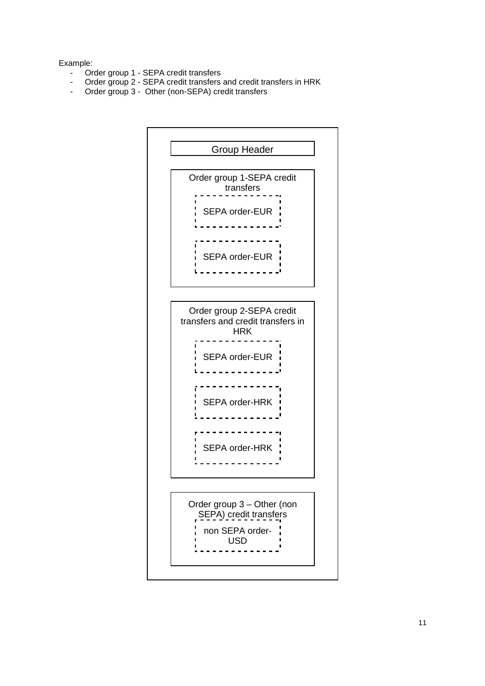## Example:

- Order group 1 SEPA credit transfers
- Order group 2 SEPA credit transfers and credit transfers in HRK
- Order group 3 Other (non-SEPA) credit transfers

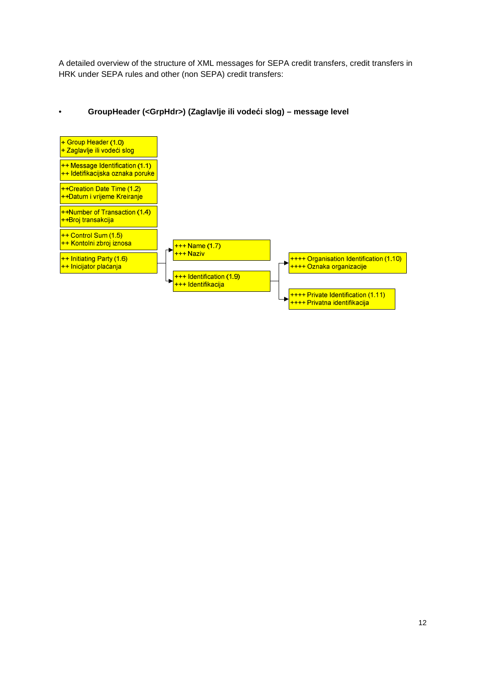A detailed overview of the structure of XML messages for SEPA credit transfers, credit transfers in HRK under SEPA rules and other (non SEPA) credit transfers:

## • **GroupHeader (<GrpHdr>) (Zaglavlje ili vodeći slog) – message level**

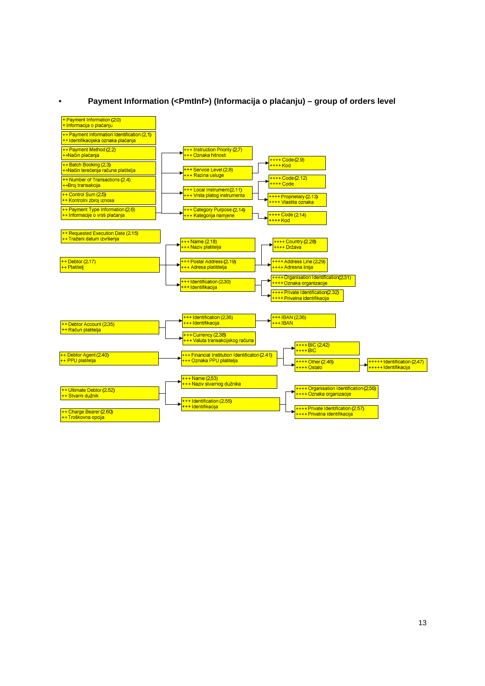

## • **Payment Information (<PmtInf>) (Informacija o plaćanju) – group of orders level**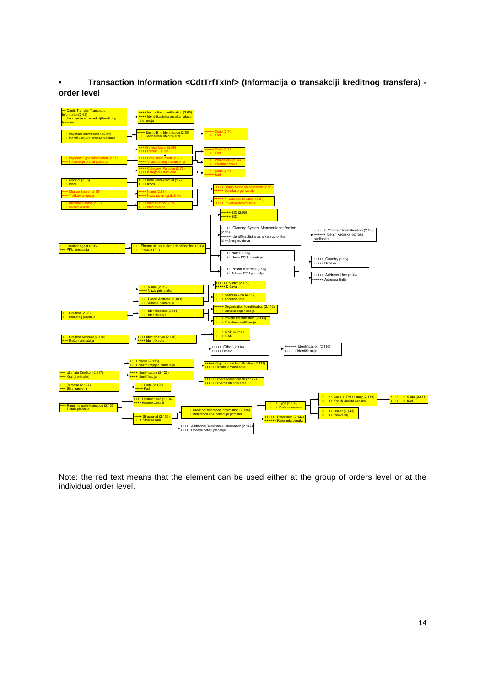• **Transaction Information <CdtTrfTxInf> (Informacija o transakciji kreditnog transfera) order level**



Note: the red text means that the element can be used either at the group of orders level or at the individual order level.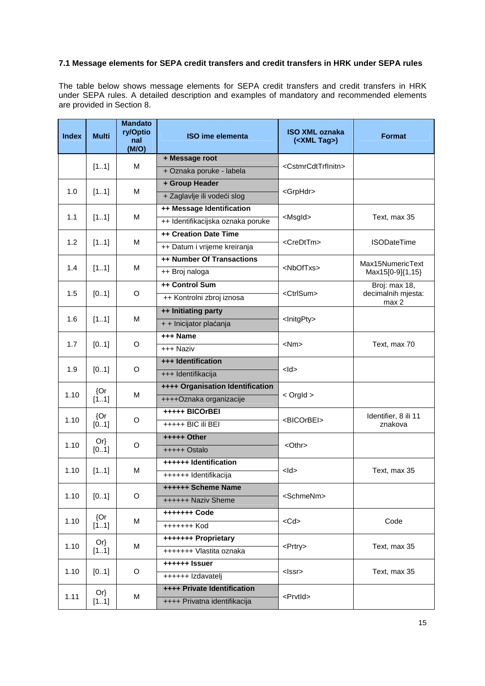# **7.1 Message elements for SEPA credit transfers and credit transfers in HRK under SEPA rules**

The table below shows message elements for SEPA credit transfers and credit transfers in HRK under SEPA rules. A detailed description and examples of mandatory and recommended elements are provided in Section 8.

| <b>Index</b> | <b>Multi</b>   | <b>Mandato</b><br>ry/Optio<br>nal<br>(M/O) | <b>ISO ime elementa</b>           | <b>ISO XML oznaka</b><br>( <xml tag="">)</xml> | <b>Format</b>               |  |  |  |               |
|--------------|----------------|--------------------------------------------|-----------------------------------|------------------------------------------------|-----------------------------|--|--|--|---------------|
|              |                |                                            | + Message root                    |                                                |                             |  |  |  |               |
|              | [11]           | M                                          | + Oznaka poruke - labela          | <cstmrcdttrfinitn></cstmrcdttrfinitn>          |                             |  |  |  |               |
|              |                |                                            | + Group Header                    |                                                |                             |  |  |  |               |
| 1.0          | [11]           | м                                          | + Zaglavlje ili vodeći slog       | <grphdr></grphdr>                              |                             |  |  |  |               |
|              |                |                                            | ++ Message Identification         |                                                |                             |  |  |  |               |
| 1.1          | [11]           | M                                          | ++ Identifikacijska oznaka poruke | <msgld></msgld>                                | Text, max 35                |  |  |  |               |
|              |                |                                            | ++ Creation Date Time             |                                                |                             |  |  |  |               |
| 1.2          | [11]           | м                                          | ++ Datum i vrijeme kreiranja      | <credttm></credttm>                            | <b>ISODateTime</b>          |  |  |  |               |
|              |                |                                            | ++ Number Of Transactions         |                                                | Max15NumericText            |  |  |  |               |
| 1.4          | [11]           | м                                          | ++ Broj naloga                    | <nboftxs></nboftxs>                            | Max15[0-9]{1,15}            |  |  |  |               |
|              |                |                                            | ++ Control Sum                    |                                                | Broj: max 18,               |  |  |  |               |
| 1.5          | [01]           | O                                          | ++ Kontrolni zbroj iznosa         | <ctrlsum></ctrlsum>                            | decimalnih mjesta:<br>max 2 |  |  |  |               |
| 1.6<br>[11]  |                | ++ Initiating party                        |                                   |                                                |                             |  |  |  |               |
|              |                | м                                          | + + Inicijator plaćanja           | <lnitgpty></lnitgpty>                          |                             |  |  |  |               |
| 1.7          | [01]           |                                            | +++ Name                          | $<$ Nm $>$                                     |                             |  |  |  |               |
|              |                | O                                          | +++ Naziv                         |                                                | Text, max 70                |  |  |  |               |
| 1.9          |                |                                            | +++ Identification                |                                                |                             |  |  |  |               |
|              | [01]           | O                                          | +++ Identifikacija                | $<$ ld>                                        |                             |  |  |  |               |
| 1.10         | ${Or}$         |                                            | M                                 | ++++ Organisation Identification               |                             |  |  |  |               |
|              | [11]           |                                            | ++++Oznaka organizacije           | $<$ Orgld $>$                                  |                             |  |  |  |               |
| 1.10         | ${Or}$         |                                            | +++++ BICOrBEI                    | <bicorbei></bicorbei>                          | Identifier, 8 ili 11        |  |  |  |               |
|              | [01]           | O                                          | +++++ BIC ili BEI                 |                                                | znakova                     |  |  |  |               |
| 1.10         | $Or\}$<br>[01] |                                            | O                                 | $++++$ Other                                   |                             |  |  |  |               |
|              |                |                                            |                                   |                                                |                             |  |  |  | $++++$ Ostalo |
| 1.10         |                | M                                          | ++++++ Identification             | $<$ ld>                                        | Text, max 35                |  |  |  |               |
|              | [11]           |                                            | ++++++ Identifikacija             |                                                |                             |  |  |  |               |
| 1.10         | [01]           | O                                          | ++++++ Scheme Name                | <schmenm></schmenm>                            |                             |  |  |  |               |
|              |                |                                            | ++++++ Naziv Sheme                |                                                |                             |  |  |  |               |
| 1.10         | ${Or}$         | м                                          | +++++++ Code                      | $<$ Cd $>$                                     | Code                        |  |  |  |               |
|              | [11]           |                                            | +++++++ Kod                       |                                                |                             |  |  |  |               |
| 1.10         | $Or\}$         | M                                          | +++++++ Proprietary               | <prtry></prtry>                                | Text, max 35                |  |  |  |               |
|              | [11]           |                                            | +++++++ Vlastita oznaka           |                                                |                             |  |  |  |               |
| 1.10         | [01]           | O                                          | ++++++ Issuer                     | <lssr></lssr>                                  | Text, max 35                |  |  |  |               |
|              |                |                                            | ++++++ Izdavatelj                 |                                                |                             |  |  |  |               |
| 1.11         | $Or\}$         | M                                          | ++++ Private Identification       | <prvtid></prvtid>                              |                             |  |  |  |               |
|              | [11]           |                                            | ++++ Privatna identifikacija      |                                                |                             |  |  |  |               |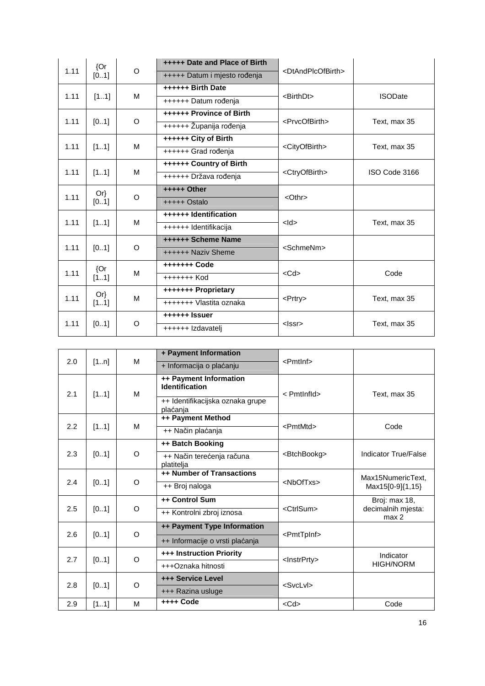|      | {Or            | O                 | +++++ Date and Place of Birth | <dtandplcofbirth></dtandplcofbirth> |                |
|------|----------------|-------------------|-------------------------------|-------------------------------------|----------------|
| 1.11 | [01]           |                   | +++++ Datum i mjesto rođenja  |                                     |                |
|      |                | ++++++ Birth Date |                               |                                     |                |
| 1.11 | [11]           | м                 | ++++++ Datum rođenja          | <birthdt></birthdt>                 | <b>ISODate</b> |
|      |                |                   | ++++++ Province of Birth      |                                     |                |
| 1.11 | [01]           | $\circ$           | ++++++ Županija rođenja       | <prvcofbirth></prvcofbirth>         | Text, max 35   |
| 1.11 |                | M                 | ++++++ City of Birth          |                                     | Text, max 35   |
|      | [11]           |                   | ++++++ Grad rođenja           | <cityofbirth></cityofbirth>         |                |
| 1.11 |                | M                 | ++++++ Country of Birth       | <ctryofbirth></ctryofbirth>         | ISO Code 3166  |
|      | [11]           |                   | ++++++ Država rođenja         |                                     |                |
| 1.11 | $Or\}$<br>[01] | O                 | +++++ Other                   | <othr></othr>                       |                |
|      |                |                   | $++++$ Ostalo                 |                                     |                |
| 1.11 | [11]           | M                 | ++++++ Identification         | $<$ ld $>$                          | Text, max 35   |
|      |                |                   | ++++++ Identifikacija         |                                     |                |
| 1.11 | [01]           | $\circ$           | ++++++ Scheme Name            | <schmenm></schmenm>                 |                |
|      |                |                   | ++++++ Naziv Sheme            |                                     |                |
| 1.11 | ${Or}$         | M                 | +++++++ Code                  | $<$ Cd $>$                          | Code           |
|      | [11]           |                   | +++++++ Kod                   |                                     |                |
| 1.11 | Or             | М                 | +++++++ Proprietary           | $<$ Prtry $>$                       | Text, max 35   |
|      | [11]           |                   | +++++++ Vlastita oznaka       |                                     |                |
|      |                | O                 | ++++++ Issuer                 | $<$ lssr $>$                        |                |
| 1.11 | [01]           |                   | ++++++ Izdavatelj             |                                     | Text, max 35   |

|     |      |          | + Payment Information                           |                         |                                        |
|-----|------|----------|-------------------------------------------------|-------------------------|----------------------------------------|
| 2.0 | [1n] | M        | + Informacija o plaćanju                        | $\epsilon$ Pmtlnf>      |                                        |
| 2.1 | [11] | M        | ++ Payment Information<br><b>Identification</b> | < PmtInfld>             | Text, max 35                           |
|     |      |          | ++ Identifikacijska oznaka grupe<br>plaćanja    |                         |                                        |
|     |      |          | ++ Payment Method                               |                         |                                        |
| 2.2 | [11] | M        | ++ Način plaćanja                               | <pmtmtd></pmtmtd>       | Code                                   |
|     |      |          | ++ Batch Booking                                |                         |                                        |
| 2.3 | [01] | $\circ$  | ++ Način terećenja računa<br>platitelia         | <btchbookg></btchbookg> | <b>Indicator True/False</b>            |
|     | [01] | $\Omega$ | ++ Number of Transactions                       | <nboftxs></nboftxs>     | Max15NumericText.                      |
| 2.4 |      |          | ++ Broj naloga                                  |                         | Max15[0-9]{1,15}                       |
|     | [01] |          | ++ Control Sum                                  | <ctrlsum></ctrlsum>     | Broj: max 18,                          |
| 2.5 |      | O        | ++ Kontrolni zbroj iznosa                       |                         | decimalnih mjesta:<br>max <sub>2</sub> |
|     |      |          | ++ Payment Type Information                     |                         |                                        |
| 2.6 | [01] | $\circ$  | ++ Informacije o vrsti plaćanja                 | <pmttpinf></pmttpinf>   |                                        |
| 2.7 |      |          | +++ Instruction Priority                        |                         | Indicator                              |
|     | [01] | $\circ$  | +++Oznaka hitnosti                              | <lnstrprty></lnstrprty> | <b>HIGH/NORM</b>                       |
| 2.8 | [01] | O        | <b>+++ Service Level</b>                        | <svclvl></svclvl>       |                                        |
|     |      |          | +++ Razina usluge                               |                         |                                        |
| 2.9 | [11] | M        | ++++ Code                                       | $<$ Cd $>$              | Code                                   |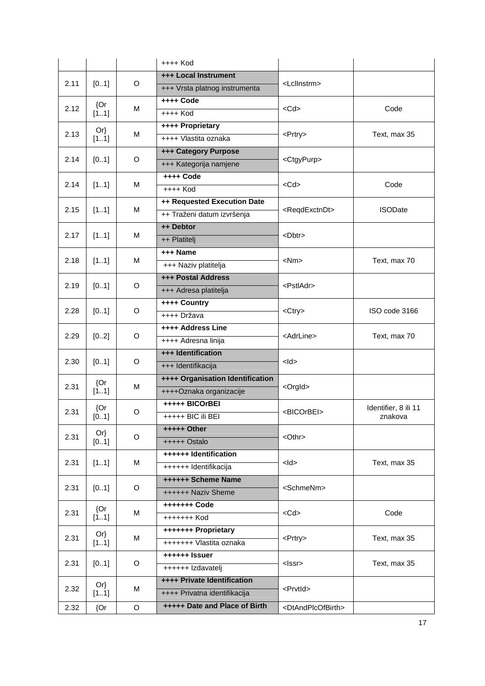|      |        |             | $++++$ Kod                       |                                     |                      |
|------|--------|-------------|----------------------------------|-------------------------------------|----------------------|
|      |        | O           | +++ Local Instrument             |                                     |                      |
| 2.11 | [01]   |             | +++ Vrsta platnog instrumenta    | <lcllnstrm></lcllnstrm>             |                      |
|      | ${Or}$ |             | ++++ Code                        |                                     |                      |
| 2.12 | [11]   | M           | $++++$ Kod                       | $<$ Cd $>$                          | Code                 |
|      | $Or\}$ |             | ++++ Proprietary                 |                                     |                      |
| 2.13 | [11]   | М           | ++++ Vlastita oznaka             | <prtry></prtry>                     | Text, max 35         |
|      |        |             | <b>+++ Category Purpose</b>      |                                     |                      |
| 2.14 | [01]   | O           | +++ Kategorija namjene           | <ctgypurp></ctgypurp>               |                      |
|      |        |             | ++++ Code                        |                                     |                      |
| 2.14 | [11]   | м           | $++++$ Kod                       | $<$ Cd $>$                          | Code                 |
|      |        |             | ++ Requested Execution Date      |                                     |                      |
| 2.15 | [11]   | м           | ++ Traženi datum izvršenja       | <reqdexctndt></reqdexctndt>         | <b>ISODate</b>       |
|      |        |             | ++ Debtor                        |                                     |                      |
| 2.17 | [11]   | м           | ++ Platitelj                     | <dbtr></dbtr>                       |                      |
|      |        |             | +++ Name                         |                                     |                      |
| 2.18 | [11]   | м           | +++ Naziv platitelja             | $<$ Nm $>$                          | Text, max 70         |
|      |        |             | <b>+++ Postal Address</b>        |                                     |                      |
| 2.19 | [01]   | O           | +++ Adresa platitelja            | <pstladr></pstladr>                 |                      |
|      | [01]   |             | ++++ Country                     | <ctry></ctry>                       |                      |
| 2.28 |        | O           | ++++ Država                      |                                     | ISO code 3166        |
|      | [02]   |             | ++++ Address Line                | <adrline></adrline>                 |                      |
| 2.29 |        | O           | ++++ Adresna linija              |                                     | Text, max 70         |
|      |        | O           | +++ Identification               | $<$ ld $>$                          |                      |
| 2.30 | [01]   |             | +++ Identifikacija               |                                     |                      |
|      | ${Or}$ | М           | ++++ Organisation Identification |                                     |                      |
| 2.31 | [11]   |             | ++++Oznaka organizacije          | <orgld></orgld>                     |                      |
| 2.31 | {Or    | O           | +++++ BICOrBEI                   | <bicorbei></bicorbei>               | Identifier, 8 ili 11 |
|      | [01]   |             | +++++ BIC ili BEI                |                                     | znakova              |
| 2.31 | $Or\}$ | O           | +++++ Other                      | <othr></othr>                       |                      |
|      | [01]   |             | +++++ Ostalo                     |                                     |                      |
|      |        |             | ++++++ Identification            | $<$ ld $>$                          |                      |
| 2.31 | [11]   | М           | ++++++ Identifikacija            |                                     | Text, max 35         |
|      |        | O           | ++++++ Scheme Name               | <schmenm></schmenm>                 |                      |
| 2.31 | [01]   |             | ++++++ Naziv Sheme               |                                     |                      |
|      | {Or    |             | +++++++ Code                     | $<$ Cd $>$                          | Code                 |
| 2.31 | [11]   | М           | +++++++ Kod                      |                                     |                      |
| 2.31 | $Or\}$ |             | +++++++ Proprietary              |                                     |                      |
|      | [11]   | м           | +++++++ Vlastita oznaka          | <prtry></prtry>                     | Text, max 35         |
| 2.31 |        |             | ++++++ Issuer                    |                                     |                      |
|      | [01]   | O           | ++++++ Izdavatelj                | $<$ Issr $>$                        | Text, max 35         |
|      | $Or\}$ |             | ++++ Private Identification      |                                     |                      |
| 2.32 | [11]   | М           | ++++ Privatna identifikacija     | <prvtid></prvtid>                   |                      |
| 2.32 | {Or    | $\mathsf O$ | +++++ Date and Place of Birth    | <dtandplcofbirth></dtandplcofbirth> |                      |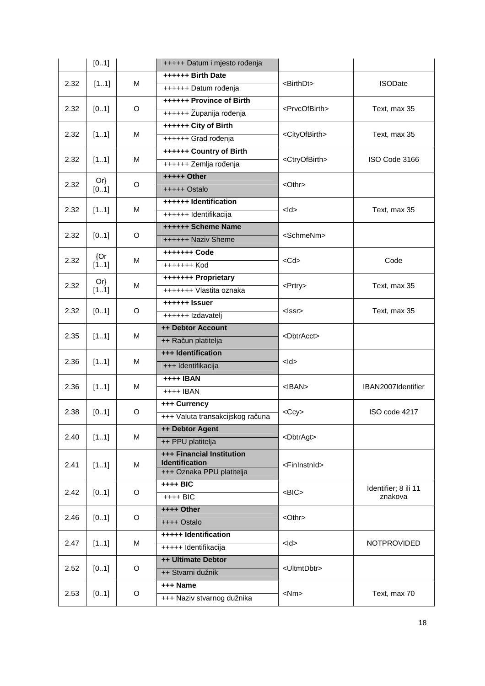|              | [01]   |                          | +++++ Datum i mjesto rođenja                       |                             |                      |
|--------------|--------|--------------------------|----------------------------------------------------|-----------------------------|----------------------|
|              |        |                          | ++++++ Birth Date                                  |                             |                      |
| 2.32<br>[11] | М      | ++++++ Datum rođenja     | <birthdt></birthdt>                                | <b>ISODate</b>              |                      |
|              |        | ++++++ Province of Birth |                                                    |                             |                      |
| 2.32         | [01]   | O                        | ++++++ Županija rođenja                            | <prvcofbirth></prvcofbirth> | Text, max 35         |
|              |        |                          | ++++++ City of Birth                               |                             |                      |
| 2.32         | [11]   | М                        | ++++++ Grad rođenja                                | <cityofbirth></cityofbirth> | Text, max 35         |
|              |        |                          | ++++++ Country of Birth                            |                             |                      |
| 2.32         | [11]   | M                        | ++++++ Zemlja rođenja                              | <ctryofbirth></ctryofbirth> | ISO Code 3166        |
|              | $Or\}$ |                          | +++++ Other                                        |                             |                      |
| 2.32         | [01]   | O                        | +++++ Ostalo                                       | $<$ Othr $>$                |                      |
|              |        |                          | ++++++ Identification                              |                             |                      |
| 2.32         | [11]   | М                        | ++++++ Identifikacija                              | $<$ ld $>$                  | Text, max 35         |
|              |        |                          | <b>++++++ Scheme Name</b>                          |                             |                      |
| 2.32         | [01]   | O                        | ++++++ Naziv Sheme                                 | <schmenm></schmenm>         |                      |
|              | ${Or}$ |                          | +++++++ Code                                       |                             |                      |
| 2.32         | [11]   | м                        | +++++++ Kod                                        | $<$ Cd $>$                  | Code                 |
|              | $Or\}$ |                          | +++++++ Proprietary                                |                             |                      |
| 2.32         | [11]   | M                        | +++++++ Vlastita oznaka                            | <prtry></prtry>             | Text, max 35         |
| 2.32         | [01]   | O                        | ++++++ Issuer                                      | <lssr></lssr>               |                      |
|              |        |                          | ++++++ Izdavatelj                                  |                             | Text, max 35         |
| 2.35         | [11]   | м                        | ++ Debtor Account                                  | <dbtracct></dbtracct>       |                      |
|              |        |                          | ++ Račun platitelja                                |                             |                      |
|              |        |                          | +++ Identification                                 | $<$ ld $>$                  |                      |
| 2.36         | [11]   | м                        | +++ Identifikacija                                 |                             |                      |
| 2.36         |        | м                        | <b>++++ IBAN</b>                                   | $<$ IBAN $>$                | IBAN2007Identifier   |
|              | [11]   |                          | ++++ IBAN                                          |                             |                      |
|              |        |                          | +++ Currency                                       |                             | ISO code 4217        |
| 2.38         | [01]   | O                        | +++ Valuta transakcijskog računa                   | $<$ Ccy $>$                 |                      |
| 2.40         | [11]   | М                        | ++ Debtor Agent                                    | <dbtragt></dbtragt>         |                      |
|              |        |                          | ++ PPU platitelja                                  |                             |                      |
|              |        |                          | +++ Financial Institution<br><b>Identification</b> |                             |                      |
| 2.41         | [11]   | М                        | +++ Oznaka PPU platitelja                          | <fininstnid></fininstnid>   |                      |
|              |        |                          | ++++ BIC                                           |                             | Identifier; 8 ili 11 |
| 2.42         | [01]   | O                        | $++++$ BIC                                         | $<$ BIC $>$                 | znakova              |
|              |        |                          | ++++ Other                                         |                             |                      |
| 2.46         | [01]   | O                        | ++++ Ostalo                                        | <othr></othr>               |                      |
|              |        |                          | +++++ Identification                               |                             |                      |
| 2.47         | [11]   | М                        | +++++ Identifikacija                               | $<$ ld>                     | <b>NOTPROVIDED</b>   |
|              |        |                          | ++ Ultimate Debtor                                 |                             |                      |
| 2.52         | [01]   | O                        | ++ Stvarni dužnik                                  | <ultmtdbtr></ultmtdbtr>     |                      |
|              |        |                          | +++ Name                                           |                             |                      |
| 2.53         | [01]   | O                        | +++ Naziv stvarnog dužnika                         | $<$ Nm $>$                  | Text, max 70         |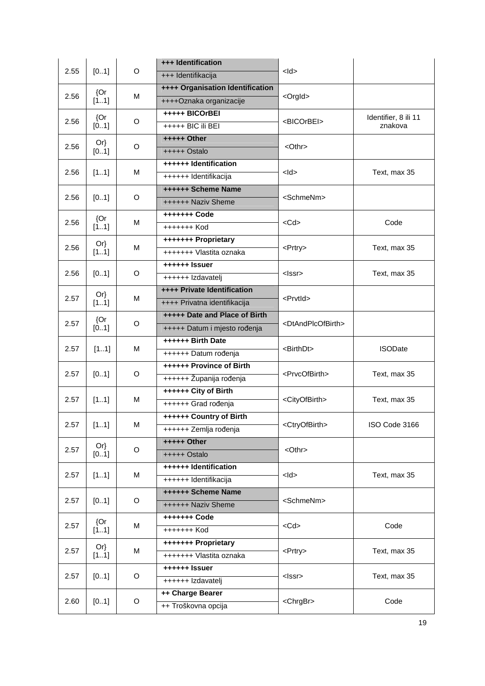|      |        | O | +++ Identification               |                                     |                      |
|------|--------|---|----------------------------------|-------------------------------------|----------------------|
| 2.55 | [01]   |   | +++ Identifikacija               | $<$ ld $>$                          |                      |
|      | ${Or}$ |   | ++++ Organisation Identification |                                     |                      |
| 2.56 | [11]   | М | ++++Oznaka organizacije          | <orgld></orgld>                     |                      |
| 2.56 | {Or    |   | +++++ BICOrBEI                   |                                     | Identifier, 8 ili 11 |
|      | [01]   | O | +++++ BIC ili BEI                | <bicorbei></bicorbei>               | znakova              |
|      | $Or\}$ |   | +++++ Other                      |                                     |                      |
| 2.56 | [01]   | O | +++++ Ostalo                     | $<$ Othr $>$                        |                      |
|      |        |   | ++++++ Identification            |                                     |                      |
| 2.56 | [11]   | М | ++++++ Identifikacija            | $<$ ld>                             | Text, max 35         |
|      |        |   | <b>++++++ Scheme Name</b>        | <schmenm></schmenm>                 |                      |
| 2.56 | [01]   | O | ++++++ Naziv Sheme               |                                     |                      |
|      | ${Or}$ |   | +++++++ Code                     |                                     |                      |
| 2.56 | [11]   | M | +++++++ Kod                      | $<$ Cd $>$                          | Code                 |
|      | $Or\}$ |   | +++++++ Proprietary              |                                     |                      |
| 2.56 | [11]   | M | +++++++ Vlastita oznaka          | <prtry></prtry>                     | Text, max 35         |
|      |        | O | ++++++ Issuer                    | $<$ Issr $>$                        |                      |
| 2.56 | [01]   |   | ++++++ Izdavatelj                |                                     | Text, max 35         |
|      | $Or\}$ | М | ++++ Private Identification      |                                     |                      |
| 2.57 | [11]   |   | ++++ Privatna identifikacija     | <prvtid></prvtid>                   |                      |
| 2.57 | ${Or}$ | O | +++++ Date and Place of Birth    | <dtandplcofbirth></dtandplcofbirth> |                      |
|      | [01]   |   | +++++ Datum i mjesto rođenja     |                                     |                      |
|      | [11]   | M | ++++++ Birth Date                | <birthdt></birthdt>                 | <b>ISODate</b>       |
| 2.57 |        |   | ++++++ Datum rođenja             |                                     |                      |
| 2.57 | [01]   | O | ++++++ Province of Birth         | <prvcofbirth></prvcofbirth>         | Text, max 35         |
|      |        |   | ++++++ Županija rođenja          |                                     |                      |
| 2.57 | [11]   | М | ++++++ City of Birth             | <cityofbirth></cityofbirth>         | Text, max 35         |
|      |        |   | ++++++ Grad rođenja              |                                     |                      |
| 2.57 | [11]   | M | ++++++ Country of Birth          | <ctryofbirth></ctryofbirth>         | ISO Code 3166        |
|      |        |   | ++++++ Zemlja rođenja            |                                     |                      |
| 2.57 | $Or\}$ | O | <b>+++++ Other</b>               | <othr></othr>                       |                      |
|      | [01]   |   | +++++ Ostalo                     |                                     |                      |
| 2.57 | [11]   | М | ++++++ Identification            | $<$ ld $>$                          | Text, max 35         |
|      |        |   | ++++++ Identifikacija            |                                     |                      |
| 2.57 | [01]   | O | ++++++ Scheme Name               | <schmenm></schmenm>                 |                      |
|      |        |   | ++++++ Naziv Sheme               |                                     |                      |
| 2.57 | ${Or}$ | М | +++++++ Code                     | $<$ Cd $>$                          | Code                 |
|      | [11]   |   | +++++++ Kod                      |                                     |                      |
| 2.57 | $Or\}$ | М | +++++++ Proprietary              | <prtry></prtry>                     | Text, max 35         |
|      | [11]   |   | +++++++ Vlastita oznaka          |                                     |                      |
| 2.57 | [01]   | O | ++++++ Issuer                    | <lssr></lssr>                       | Text, max 35         |
|      |        |   | ++++++ Izdavatelj                |                                     |                      |
| 2.60 | [01]   | O | ++ Charge Bearer                 | <chrgbr></chrgbr>                   | Code                 |
|      |        |   | ++ Troškovna opcija              |                                     |                      |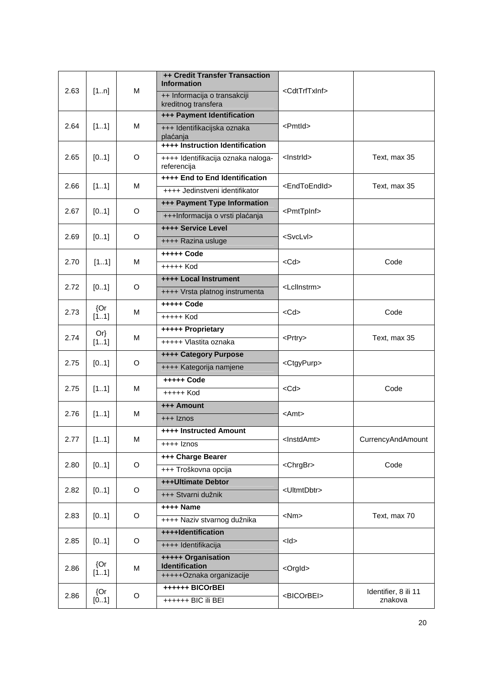| 2.63 | [1n]           | M | ++ Credit Transfer Transaction<br><b>Information</b><br>++ Informacija o transakciji<br>kreditnog transfera | <cdttrftxinf></cdttrftxinf> |                      |
|------|----------------|---|-------------------------------------------------------------------------------------------------------------|-----------------------------|----------------------|
|      |                |   | +++ Payment Identification                                                                                  |                             |                      |
| 2.64 | [11]           | M | +++ Identifikacijska oznaka<br>plaćanja                                                                     | <pmtld></pmtld>             |                      |
|      |                |   | ++++ Instruction Identification                                                                             |                             |                      |
| 2.65 | [01]           | O | ++++ Identifikacija oznaka naloga-<br>referencija                                                           | <lnstrld></lnstrld>         | Text, max 35         |
| 2.66 | [11]           | M | ++++ End to End Identification                                                                              | <endtoendid></endtoendid>   | Text, max 35         |
|      |                |   | ++++ Jedinstveni identifikator                                                                              |                             |                      |
| 2.67 | [01]           | O | +++ Payment Type Information                                                                                | <pmttpinf></pmttpinf>       |                      |
|      |                |   | +++Informacija o vrsti plaćanja                                                                             |                             |                      |
| 2.69 | [01]           | O | ++++ Service Level                                                                                          | <svclvl></svclvl>           |                      |
|      |                |   | ++++ Razina usluge                                                                                          |                             |                      |
| 2.70 | [11]           | M | +++++ Code                                                                                                  | $<$ Cd $>$                  | Code                 |
|      |                |   | $++++$ Kod                                                                                                  |                             |                      |
|      |                |   | ++++ Local Instrument                                                                                       |                             |                      |
| 2.72 | [01]           | O | ++++ Vrsta platnog instrumenta                                                                              | <lcllnstrm></lcllnstrm>     |                      |
|      | ${Or}$         | M | +++++ Code                                                                                                  |                             |                      |
|      | 2.73<br>[11]   |   | +++++ Kod                                                                                                   | $<$ Cd $>$                  | Code                 |
|      | $Or\}$         | M | +++++ Proprietary                                                                                           |                             |                      |
| 2.74 | [11]           |   | +++++ Vlastita oznaka                                                                                       | <prtry></prtry>             | Text, max 35         |
|      |                | O | <b>++++ Category Purpose</b>                                                                                | <ctgypurp></ctgypurp>       |                      |
| 2.75 | [01]           |   | ++++ Kategorija namjene                                                                                     |                             |                      |
|      |                |   | +++++ Code                                                                                                  |                             |                      |
| 2.75 | [11]           | м | +++++ Kod                                                                                                   | $<$ Cd $>$                  | Code                 |
|      |                |   | +++ Amount                                                                                                  |                             |                      |
| 2.76 | [11]           | м | +++ Iznos                                                                                                   | <amt></amt>                 |                      |
|      |                |   | ++++ Instructed Amount                                                                                      |                             |                      |
| 2.77 | [11]           | M | ++++ Iznos                                                                                                  | <lnstdamt></lnstdamt>       | CurrencyAndAmount    |
|      |                |   | +++ Charge Bearer                                                                                           |                             |                      |
| 2.80 | [01]           | O | +++ Troškovna opcija                                                                                        | <chrgbr></chrgbr>           | Code                 |
|      |                |   | +++Ultimate Debtor                                                                                          |                             |                      |
| 2.82 | [01]           | O | +++ Stvarni dužnik                                                                                          | <ultmtdbtr></ultmtdbtr>     |                      |
|      |                |   | <b>++++ Name</b>                                                                                            |                             |                      |
| 2.83 | [01]           | O | ++++ Naziv stvarnog dužnika                                                                                 | $<$ Nm $>$                  | Text, max 70         |
|      |                |   | ++++Identification                                                                                          |                             |                      |
| 2.85 | [01]           | O | ++++ Identifikacija                                                                                         | $<$ ld $>$                  |                      |
|      |                |   | +++++ Organisation                                                                                          |                             |                      |
| 2.86 | ${Qr}$<br>[11] | М | <b>Identification</b><br>+++++Oznaka organizacije                                                           | <orgld></orgld>             |                      |
|      |                |   | ++++++ BICOrBEI                                                                                             |                             |                      |
| 2.86 | {Or            | O | ++++++ BIC ili BEI                                                                                          | <bicorbei></bicorbei>       | Identifier, 8 ili 11 |
| [01] |                |   |                                                                                                             |                             | znakova              |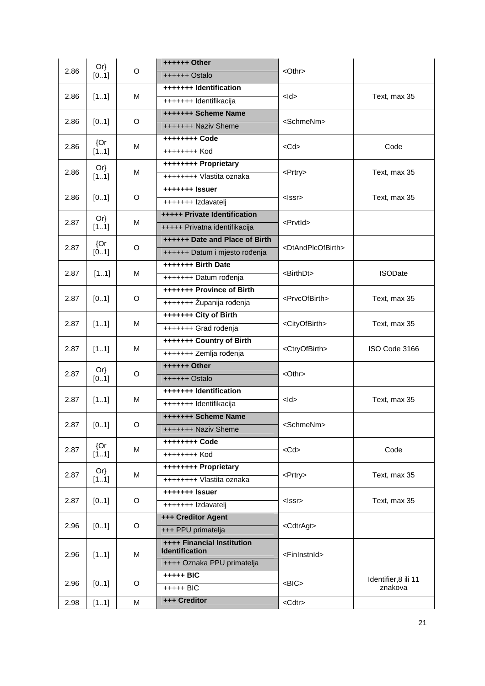|      | $Or\}$ | O | ++++++ Other                                               |                                     |                      |
|------|--------|---|------------------------------------------------------------|-------------------------------------|----------------------|
| 2.86 | [01]   |   | ++++++ Ostalo                                              | $<$ Othr $>$                        |                      |
|      |        |   | +++++++ Identification                                     |                                     |                      |
| 2.86 | [11]   | м | +++++++ Identifikacija                                     | $<$ ld $>$                          | Text, max 35         |
|      |        |   | +++++++ Scheme Name                                        |                                     |                      |
| 2.86 | [01]   | O | +++++++ Naziv Sheme                                        | <schmenm></schmenm>                 |                      |
|      | ${Or}$ |   | ++++++++ Code                                              |                                     |                      |
| 2.86 | [11]   | М | ++++++++ Kod                                               | $<$ Cd $>$                          | Code                 |
|      | Or     |   | ++++++++ Proprietary                                       |                                     |                      |
| 2.86 | [11]   | М | ++++++++ Vlastita oznaka                                   | <prtry></prtry>                     | Text, max 35         |
|      |        |   | +++++++ Issuer                                             |                                     |                      |
| 2.86 | [01]   | O | +++++++ Izdavatelj                                         | $<$ Issr $>$                        | Text, max 35         |
| 2.87 | $Or\}$ | М | +++++ Private Identification                               | <prvtid></prvtid>                   |                      |
|      | [11]   |   | +++++ Privatna identifikacija                              |                                     |                      |
| 2.87 | ${Or}$ | O | ++++++ Date and Place of Birth                             | <dtandplcofbirth></dtandplcofbirth> |                      |
|      | [01]   |   | ++++++ Datum i mjesto rođenja                              |                                     |                      |
| 2.87 | [11]   | M | +++++++ Birth Date                                         | <birthdt></birthdt>                 | <b>ISODate</b>       |
|      |        |   | +++++++ Datum rođenja                                      |                                     |                      |
| 2.87 | [01]   | O | +++++++ Province of Birth                                  | <prvcofbirth></prvcofbirth>         |                      |
|      |        |   | +++++++ Županija rođenja                                   |                                     | Text, max 35         |
| 2.87 | [11]   | М | +++++++ City of Birth                                      | <cityofbirth></cityofbirth>         | Text, max 35         |
|      |        |   | +++++++ Grad rođenja                                       |                                     |                      |
| 2.87 | [11]   | м | +++++++ Country of Birth                                   | <ctryofbirth></ctryofbirth>         | ISO Code 3166        |
|      |        |   | +++++++ Zemlja rođenja                                     |                                     |                      |
| 2.87 | $Or\}$ | O | ++++++ Other                                               | <othr></othr>                       |                      |
|      | [01]   |   | ++++++ Ostalo                                              |                                     |                      |
| 2.87 | [11]   | м | +++++++ Identification                                     | $<$ ld $>$                          | Text, max 35         |
|      |        |   | +++++++ Identifikacija                                     |                                     |                      |
| 2.87 | [01]   | O | +++++++ Scheme Name                                        | <schmenm></schmenm>                 |                      |
|      |        |   | +++++++ Naziv Sheme                                        |                                     |                      |
| 2.87 | ${Or}$ | М | ++++++++ Code                                              | $<$ Cd $>$                          | Code                 |
|      | [11]   |   | ++++++++ Kod                                               |                                     |                      |
| 2.87 | Or     | М | ++++++++ Proprietary                                       | <prtry></prtry>                     | Text, max 35         |
|      | [11]   |   | ++++++++ Vlastita oznaka                                   |                                     |                      |
| 2.87 | [01]   | O | +++++++ Issuer                                             | <lssr></lssr>                       | Text, max 35         |
|      |        |   | +++++++ Izdavatelj                                         |                                     |                      |
| 2.96 | [01]   | O | +++ Creditor Agent                                         | <cdtragt></cdtragt>                 |                      |
|      |        |   | +++ PPU primatelja                                         |                                     |                      |
| 2.96 |        | M | <b>++++ Financial Institution</b><br><b>Identification</b> | <fininstnid></fininstnid>           |                      |
|      | [11]   |   | ++++ Oznaka PPU primatelja                                 |                                     |                      |
|      |        |   | +++++ BIC                                                  |                                     | Identifier, 8 ili 11 |
| 2.96 | [01]   | O | $++++$ BIC                                                 | $<$ BIC $>$                         | znakova              |
| 2.98 | [11]   | M | +++ Creditor                                               | <cdtr></cdtr>                       |                      |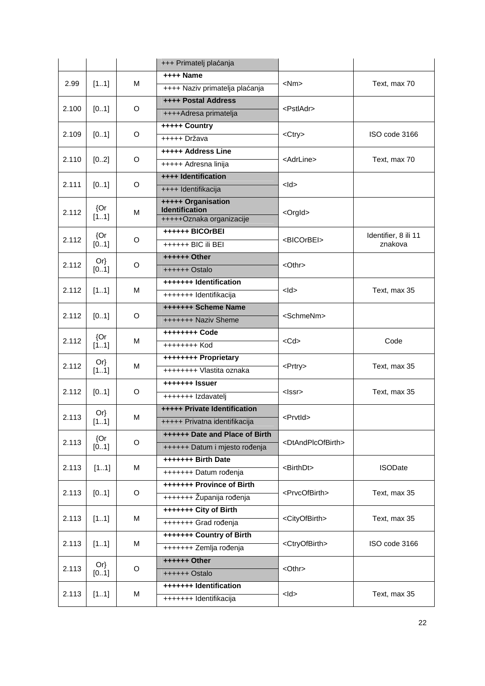|       |                |   | +++ Primatelj plaćanja                            |                                     |                                 |
|-------|----------------|---|---------------------------------------------------|-------------------------------------|---------------------------------|
|       |                |   | ++++ Name                                         |                                     |                                 |
| 2.99  | [11]           | м | ++++ Naziv primatelja plaćanja                    | $<$ Nm $>$                          | Text, max 70                    |
|       |                |   | <b>++++ Postal Address</b>                        |                                     |                                 |
| 2.100 | [01]           | O | ++++Adresa primatelja                             | <pstladr></pstladr>                 |                                 |
|       |                |   | +++++ Country                                     |                                     |                                 |
| 2.109 | [01]           | O | +++++ Država                                      | <ctry></ctry>                       | ISO code 3166                   |
|       |                |   | +++++ Address Line                                |                                     |                                 |
| 2.110 | [02]           | O | +++++ Adresna linija                              | <adrline></adrline>                 | Text, max 70                    |
|       |                |   | ++++ Identification                               |                                     |                                 |
| 2.111 | [01]           | O | ++++ Identifikacija                               | $<$ ld $>$                          |                                 |
|       | ${Or}$         |   | +++++ Organisation                                |                                     |                                 |
| 2.112 | [11]           | M | <b>Identification</b><br>+++++Oznaka organizacije | <orgld></orgld>                     |                                 |
|       |                |   | ++++++ BICOrBEI                                   |                                     |                                 |
| 2.112 | ${Or}$<br>[01] | O | ++++++ BIC ili BEI                                | <bicorbei></bicorbei>               | Identifier, 8 ili 11<br>znakova |
|       |                |   | ++++++ Other                                      |                                     |                                 |
| 2.112 | Or<br>[01]     | O | ++++++ Ostalo                                     | <othr></othr>                       |                                 |
|       |                |   | +++++++ Identification                            | $<$ ld $>$                          |                                 |
| 2.112 | [11]           | м | +++++++ Identifikacija                            |                                     | Text, max 35                    |
|       | 2.112<br>[01]  | O | +++++++ Scheme Name                               | <schmenm></schmenm>                 |                                 |
|       |                |   | +++++++ Naziv Sheme                               |                                     |                                 |
|       | ${Or}$         |   |                                                   |                                     |                                 |
| 2.112 | [11]           | M | ++++++++ Kod                                      | $<$ Cd $>$                          | Code                            |
|       | $Or\}$         | м | ++++++++ Proprietary                              |                                     |                                 |
| 2.112 | [11]           |   | ++++++++ Vlastita oznaka                          | <prtry></prtry>                     | Text, max 35                    |
| 2.112 |                | O | +++++++ Issuer                                    | <lssr></lssr>                       |                                 |
|       | [01]           |   | +++++++ Izdavatelj                                |                                     | Text, max 35                    |
| 2.113 | $Or\}$         | м | +++++ Private Identification                      | <prvtid></prvtid>                   |                                 |
|       | [11]           |   | +++++ Privatna identifikacija                     |                                     |                                 |
| 2.113 | ${Or}$         |   | ++++++ Date and Place of Birth                    | <dtandplcofbirth></dtandplcofbirth> |                                 |
|       | [01]           | O | ++++++ Datum i mjesto rođenja                     |                                     |                                 |
| 2.113 | [11]           | М | +++++++ Birth Date                                | <birthdt></birthdt>                 | <b>ISODate</b>                  |
|       |                |   | +++++++ Datum rođenja                             |                                     |                                 |
| 2.113 | [01]           | O | <b>+++++++ Province of Birth</b>                  | <prvcofbirth></prvcofbirth>         | Text, max 35                    |
|       |                |   | +++++++ Županija rođenja                          |                                     |                                 |
| 2.113 | [11]           | М | +++++++ City of Birth                             | <cityofbirth></cityofbirth>         | Text, max 35                    |
|       |                |   | +++++++ Grad rođenja                              |                                     |                                 |
| 2.113 | [11]           | М | +++++++ Country of Birth                          | <ctryofbirth></ctryofbirth>         | ISO code 3166                   |
|       |                |   | +++++++ Zemlja rođenja                            |                                     |                                 |
| 2.113 | $Or\}$         | O | ++++++ Other                                      | <othr></othr>                       |                                 |
|       | [01]           |   | ++++++ Ostalo                                     |                                     |                                 |
| 2.113 | [11]           | М | +++++++ Identification                            | $<$ ld $>$                          | Text, max 35                    |
|       |                |   | +++++++ Identifikacija                            |                                     |                                 |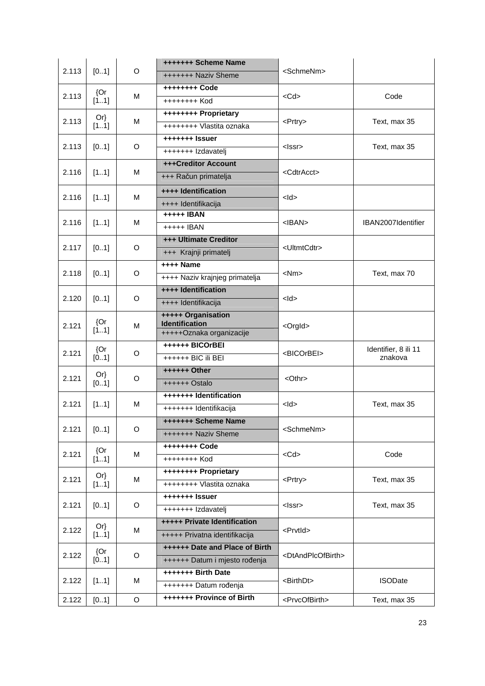|       |        | O           | +++++++ Scheme Name                         |                                     |                      |
|-------|--------|-------------|---------------------------------------------|-------------------------------------|----------------------|
| 2.113 | [01]   |             | +++++++ Naziv Sheme                         | <schmenm></schmenm>                 |                      |
|       | ${Or}$ |             | ++++++++ Code                               |                                     |                      |
| 2.113 | [11]   | м           | ++++++++ Kod                                | $<$ Cd $>$                          | Code                 |
|       | $Or\}$ |             | ++++++++ Proprietary                        |                                     |                      |
| 2.113 | [11]   | M           | ++++++++ Vlastita oznaka                    | <prtry></prtry>                     | Text, max 35         |
|       |        |             | +++++++ Issuer                              |                                     |                      |
| 2.113 | [01]   | O           | +++++++ Izdavatelj                          | $<$ Issr $>$                        | Text, max 35         |
|       |        |             | +++Creditor Account                         |                                     |                      |
| 2.116 | [11]   | м           | +++ Račun primatelja                        | <cdtracct></cdtracct>               |                      |
| 2.116 | [11]   | м           | ++++ Identification                         | $<$ ld $>$                          |                      |
|       |        |             | ++++ Identifikacija                         |                                     |                      |
| 2.116 | [11]   | м           | +++++ IBAN                                  | $<$ IBAN $>$                        | IBAN2007Identifier   |
|       |        |             | +++++ IBAN                                  |                                     |                      |
| 2.117 | [01]   | O           | +++ Ultimate Creditor                       | <ultmtcdtr></ultmtcdtr>             |                      |
|       |        |             | +++ Krajnji primatelj                       |                                     |                      |
| 2.118 |        | O           | ++++ Name                                   | $<$ Nm $>$                          |                      |
|       | [01]   |             | ++++ Naziv krajnjeg primatelja              |                                     | Text, max 70         |
| 2.120 |        |             | ++++ Identification                         | $<$ ld $>$                          |                      |
|       | [01]   | O           | ++++ Identifikacija                         |                                     |                      |
|       | ${Qr}$ |             | +++++ Organisation<br><b>Identification</b> |                                     |                      |
| 2.121 | [11]   | м           | +++++Oznaka organizacije                    | <orgld></orgld>                     |                      |
|       | ${Or}$ |             | ++++++ BICOrBEI                             |                                     | Identifier, 8 ili 11 |
| 2.121 | [01]   | O           | ++++++ BIC ili BEI                          | <bicorbei></bicorbei>               | znakova              |
|       | $Or\}$ | O           | ++++++ Other                                | <othr></othr>                       |                      |
| 2.121 | [01]   |             | ++++++ Ostalo                               |                                     |                      |
|       |        |             | +++++++ Identification                      | $<$ ld $>$                          |                      |
| 2.121 | [11]   | M           | +++++++ Identifikacija                      |                                     | Text, max 35         |
|       |        |             | +++++++ Scheme Name                         |                                     |                      |
| 2.121 | [01]   | O           | +++++++ Naziv Sheme                         | <schmenm></schmenm>                 |                      |
|       | ${Or}$ |             | ++++++++ Code                               |                                     |                      |
| 2.121 | [11]   | М           | ++++++++ Kod                                | $<$ Cd $>$                          | Code                 |
|       | $Or\}$ |             | ++++++++ Proprietary                        |                                     |                      |
| 2.121 | [11]   | М           | ++++++++ Vlastita oznaka                    | <prtry></prtry>                     | Text, max 35         |
|       |        |             | +++++++ Issuer                              |                                     |                      |
| 2.121 | [01]   | O           | +++++++ Izdavatelj                          | $<$ Issr $>$                        | Text, max 35         |
|       | $Or\}$ |             | +++++ Private Identification                |                                     |                      |
| 2.122 | [11]   | М           | +++++ Privatna identifikacija               | <prvtid></prvtid>                   |                      |
|       | ${Or}$ |             | ++++++ Date and Place of Birth              |                                     |                      |
| 2.122 | [01]   | O           | ++++++ Datum i mjesto rođenja               | <dtandplcofbirth></dtandplcofbirth> |                      |
|       |        |             | +++++++ Birth Date                          |                                     |                      |
| 2.122 | [11]   | М           | +++++++ Datum rođenja                       | <birthdt></birthdt>                 | <b>ISODate</b>       |
| 2.122 | [01]   | $\mathsf O$ | +++++++ Province of Birth                   | <prvcofbirth></prvcofbirth>         | Text, max 35         |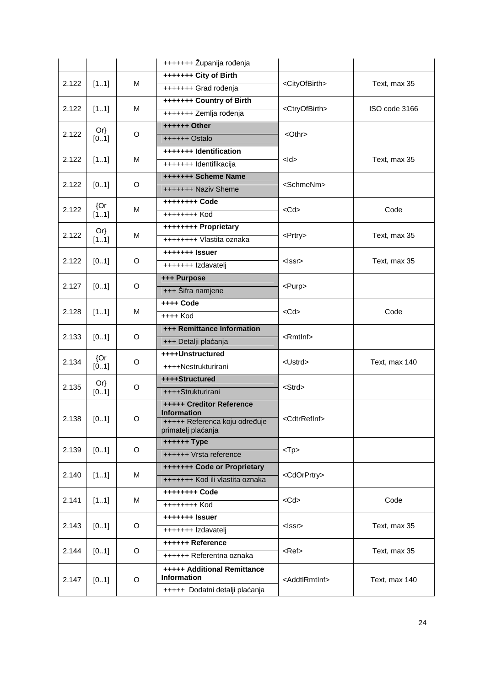|       |        |          | +++++++ Županija rođenja                                                               |                             |               |
|-------|--------|----------|----------------------------------------------------------------------------------------|-----------------------------|---------------|
|       |        |          | +++++++ City of Birth                                                                  |                             |               |
| 2.122 | [11]   | м        | +++++++ Grad rođenja                                                                   | <cityofbirth></cityofbirth> | Text, max 35  |
|       |        |          | +++++++ Country of Birth                                                               |                             |               |
| 2.122 | [11]   | м        | +++++++ Zemlja rođenja                                                                 | <ctryofbirth></ctryofbirth> | ISO code 3166 |
|       | $Or\}$ |          | ++++++ Other                                                                           |                             |               |
| 2.122 | [01]   | O        | ++++++ Ostalo                                                                          | $<$ Othr $>$                |               |
|       |        |          | +++++++ Identification                                                                 |                             |               |
| 2.122 | [11]   | м        | +++++++ Identifikacija                                                                 | $<$ ld $>$                  | Text, max 35  |
| 2.122 | [01]   | O        | +++++++ Scheme Name                                                                    | <schmenm></schmenm>         |               |
|       |        |          | +++++++ Naziv Sheme                                                                    |                             |               |
| 2.122 | ${Or}$ | м        | ++++++++ Code                                                                          | $<$ Cd $>$                  | Code          |
|       | [11]   |          | ++++++++ Kod                                                                           |                             |               |
| 2.122 | $Or\}$ | м        | ++++++++ Proprietary                                                                   | <prtry></prtry>             | Text, max 35  |
|       | [11]   |          | ++++++++ Vlastita oznaka                                                               |                             |               |
| 2.122 |        | O        | +++++++ Issuer                                                                         | $<$ Issr $>$                | Text, max 35  |
|       | [01]   |          | +++++++ Izdavatelj                                                                     |                             |               |
| 2.127 |        |          | +++ Purpose                                                                            |                             |               |
|       | [01]   | O        | +++ Šifra namjene                                                                      | <purp></purp>               |               |
| 2.128 | [11]   | М        | ++++ Code                                                                              | $<$ Cd $>$                  | Code          |
|       |        | ++++ Kod |                                                                                        |                             |               |
| 2.133 | [01]   | O        | +++ Remittance Information                                                             | $<$ Rmtlnf $>$              |               |
|       |        |          | +++ Detalji plaćanja                                                                   |                             |               |
| 2.134 | {Or    | O        | ++++Unstructured                                                                       | <ustrd></ustrd>             | Text, max 140 |
|       | [01]   |          | ++++Nestrukturirani                                                                    |                             |               |
| 2.135 | $Or\}$ | O        | ++++Structured                                                                         | <strd></strd>               |               |
|       | [01]   |          | ++++Strukturirani                                                                      |                             |               |
| 2.138 | [01]   | O        | <b>+++++ Creditor Reference</b><br><b>Information</b><br>+++++ Referenca koju određuje | <cdtrrefinf></cdtrrefinf>   |               |
|       |        |          | primatelj plaćanja                                                                     |                             |               |
|       |        |          | ++++++ Type                                                                            |                             |               |
| 2.139 | [01]   | O        | ++++++ Vrsta reference                                                                 | $<$ Tp $>$                  |               |
|       |        |          | +++++++ Code or Proprietary                                                            |                             |               |
| 2.140 | [11]   | М        | +++++++ Kod ili vlastita oznaka                                                        | <cdorprtry></cdorprtry>     |               |
|       |        |          | ++++++++ Code                                                                          |                             |               |
| 2.141 | [11]   | М        | ++++++++ Kod                                                                           | $<$ Cd $>$                  | Code          |
|       |        |          | +++++++ Issuer                                                                         |                             |               |
| 2.143 | [01]   | O        | +++++++ Izdavatelj                                                                     | <lssr></lssr>               | Text, max 35  |
|       |        |          | ++++++ Reference                                                                       |                             |               |
| 2.144 | [01]   | O        | ++++++ Referentna oznaka                                                               | <ref></ref>                 | Text, max 35  |
| 2.147 | [01]   | O        | +++++ Additional Remittance<br><b>Information</b>                                      | <addtlrmtinf></addtlrmtinf> | Text, max 140 |
|       |        |          | +++++ Dodatni detalji plaćanja                                                         |                             |               |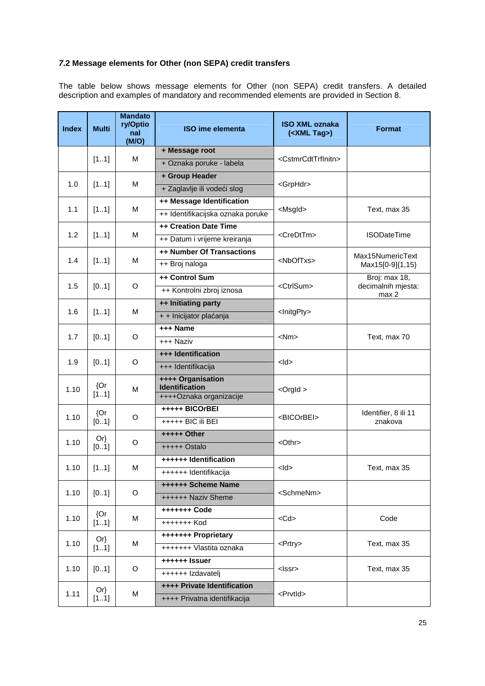# **7.2 Message elements for Other (non SEPA) credit transfers**

The table below shows message elements for Other (non SEPA) credit transfers. A detailed description and examples of mandatory and recommended elements are provided in Section 8.

| <b>Index</b> | <b>Multi</b> | <b>Mandato</b><br>ry/Optio<br>nal<br>(M/O) | <b>ISO ime elementa</b>                    | <b>ISO XML oznaka</b><br>$(<$ XML Tag>) | <b>Format</b>               |
|--------------|--------------|--------------------------------------------|--------------------------------------------|-----------------------------------------|-----------------------------|
|              |              |                                            | + Message root                             |                                         |                             |
|              | [11]         | M                                          | + Oznaka poruke - labela                   | <cstmrcdttrfinitn></cstmrcdttrfinitn>   |                             |
|              |              |                                            | + Group Header                             |                                         |                             |
| 1.0          | [11]         | M                                          | + Zaglavlje ili vodeći slog                | <grphdr></grphdr>                       |                             |
|              |              |                                            | ++ Message Identification                  |                                         |                             |
| 1.1          | [11]         | M                                          | ++ Identifikacijska oznaka poruke          | <msgld></msgld>                         | Text, max 35                |
|              |              |                                            | ++ Creation Date Time                      |                                         |                             |
| 1.2          | [11]         | M                                          | ++ Datum i vrijeme kreiranja               | <credttm></credttm>                     | <b>ISODateTime</b>          |
|              |              |                                            | ++ Number Of Transactions                  |                                         | Max15NumericText            |
| 1.4          | [11]         | M                                          | ++ Broj naloga                             | <nboftxs></nboftxs>                     | Max15[0-9]{1,15}            |
|              |              |                                            | ++ Control Sum                             |                                         | Broj: max 18,               |
| 1.5          | [01]         | O                                          | ++ Kontrolni zbroj iznosa                  | <ctrlsum></ctrlsum>                     | decimalnih mjesta:<br>max 2 |
|              |              |                                            | ++ Initiating party                        |                                         |                             |
|              | 1.6<br>[11]  | M                                          | + + Inicijator plaćanja                    | <lnitgpty></lnitgpty>                   |                             |
|              |              | O                                          | +++ Name                                   | $<$ Nm $>$                              |                             |
|              | 1.7<br>[01]  |                                            | +++ Naziv                                  |                                         | Text, max 70                |
|              |              | O                                          | +++ Identification                         | <ld></ld>                               |                             |
|              | 1.9<br>[01]  |                                            | +++ Identifikacija                         |                                         |                             |
|              | ${Or}$       | M                                          | ++++ Organisation<br><b>Identification</b> | $<$ Orgld $>$                           |                             |
| 1.10         | [11]         |                                            | ++++Oznaka organizacije                    |                                         |                             |
|              | ${Or}$       |                                            | +++++ BICOrBEI                             |                                         | Identifier, 8 ili 11        |
| 1.10         | [01]         | O                                          | +++++ BIC ili BEI                          | <bicorbei></bicorbei>                   | znakova                     |
|              | $Or\}$       |                                            | +++++ Other                                |                                         |                             |
| 1.10         | [0.1]        | O                                          | $++++$ Ostalo                              | <othr></othr>                           |                             |
|              |              |                                            | ++++++ Identification                      |                                         |                             |
| 1.10         | [11]         | M                                          | ++++++ Identifikacija                      | $<$ ld>                                 | Text, max 35                |
|              |              |                                            | ++++++ Scheme Name                         |                                         |                             |
| 1.10         | [01]         | O                                          | ++++++ Naziv Sheme                         | <schmenm></schmenm>                     |                             |
|              | ${Or}$       |                                            | +++++++ Code                               |                                         |                             |
| 1.10         | [11]         | M                                          | +++++++ Kod                                | $<$ Cd $>$                              | Code                        |
| 1.10         | $Or\}$       | M                                          | +++++++ Proprietary                        | <prtry></prtry>                         |                             |
|              | [11]         |                                            | +++++++ Vlastita oznaka                    |                                         | Text, max 35                |
| 1.10         | [01]         | O                                          | ++++++ Issuer                              | <lssr></lssr>                           | Text, max 35                |
|              |              |                                            | ++++++ Izdavatelj                          |                                         |                             |
| 1.11         | $Or\}$       | M                                          | ++++ Private Identification                | <prvtid></prvtid>                       |                             |
|              | [11]         |                                            | ++++ Privatna identifikacija               |                                         |                             |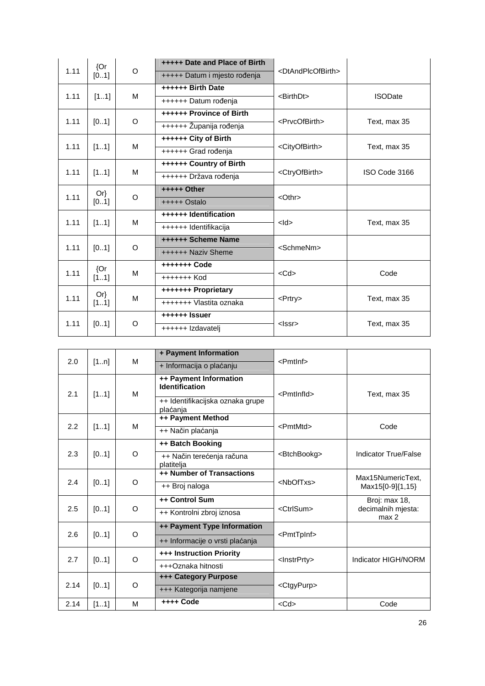| ${Or}$       |              | <b>+++++ Date and Place of Birth</b> |                                 |                                     |                |
|--------------|--------------|--------------------------------------|---------------------------------|-------------------------------------|----------------|
| 1.11         | [0.1]        | $\circ$                              | +++++ Datum i mjesto rođenja    | <dtandplcofbirth></dtandplcofbirth> |                |
|              |              |                                      | ++++++ Birth Date               |                                     |                |
| 1.11         | [11]         | M                                    | ++++++ Datum rođenja            | <birthdt></birthdt>                 | <b>ISODate</b> |
|              |              |                                      | <b>++++++ Province of Birth</b> |                                     |                |
| 1.11         | [01]         | $\circ$                              | ++++++ Županija rođenja         | <prvcofbirth></prvcofbirth>         | Text, max 35   |
|              |              |                                      | ++++++ City of Birth            |                                     |                |
| 1.11         | [11]         | M                                    | ++++++ Grad rođenja             | <cityofbirth></cityofbirth>         | Text, max 35   |
|              |              |                                      | ++++++ Country of Birth         |                                     |                |
|              | 1.11<br>[11] | M                                    | ++++++ Država rođenja           | <ctryofbirth></ctryofbirth>         | ISO Code 3166  |
|              | $Or\}$       |                                      | +++++ Other                     | $<$ Othr $>$                        |                |
| 1.11         | [01]         | O                                    | $++++$ Ostalo                   |                                     |                |
|              |              | M                                    | ++++++ Identification           | >                                   |                |
| 1.11         | [11]         |                                      | ++++++ Identifikacija           |                                     | Text, max 35   |
|              |              |                                      | ++++++ Scheme Name              |                                     |                |
| 1.11         | [01]         | $\circ$                              | ++++++ Naziv Sheme              | <schmenm></schmenm>                 |                |
| 1.11         | ${Qr}$       | M                                    | +++++++ Code                    |                                     | Code           |
|              | [11]         |                                      | +++++++ Kod                     | $<$ Cd $>$                          |                |
|              | $Or\}$       |                                      | +++++++ Proprietary             |                                     |                |
| 1.11         | [11]         | M                                    | +++++++ Vlastita oznaka         | <prtry></prtry>                     | Text, max 35   |
|              |              | $\circ$                              | ++++++ Issuer                   |                                     |                |
| 1.11<br>[01] |              |                                      | ++++++ Izdavatelj               | $<$ Issr $>$                        | Text, max 35   |

|      |      | м        | + Payment Information                           | <pmtlnf></pmtlnf>       |                             |
|------|------|----------|-------------------------------------------------|-------------------------|-----------------------------|
| 2.0  | [1n] |          | + Informacija o plaćanju                        |                         |                             |
| 2.1  | [11] | м        | ++ Payment Information<br><b>Identification</b> | <pmtlnfld></pmtlnfld>   | Text, max 35                |
|      |      |          | ++ Identifikacijska oznaka grupe<br>plaćanja    |                         |                             |
|      |      |          | ++ Payment Method                               |                         |                             |
| 2.2  | [11] | M        | ++ Način plaćanja                               | <pmtmtd></pmtmtd>       | Code                        |
|      |      |          | ++ Batch Booking                                |                         |                             |
| 2.3  | [01] | O        | ++ Način terećenja računa<br>platitelja         | <btchbookg></btchbookg> | Indicator True/False        |
|      |      |          | ++ Number of Transactions                       | <nboftxs></nboftxs>     | Max15NumericText.           |
| 2.4  | [01] | O        | ++ Broj naloga                                  |                         | Max15[0-9]{1,15}            |
|      |      | O        | ++ Control Sum                                  | <ctrlsum></ctrlsum>     | Broj: max 18,               |
| 2.5  | [01] |          | ++ Kontrolni zbroj iznosa                       |                         | decimalnih mjesta:<br>max 2 |
|      |      | $\Omega$ | ++ Payment Type Information                     |                         |                             |
| 2.6  | [01] |          | ++ Informacije o vrsti plaćanja                 | <pmttpinf></pmttpinf>   |                             |
| 2.7  | [01] | O        | <b>+++ Instruction Priority</b>                 | <lnstrprty></lnstrprty> | Indicator HIGH/NORM         |
|      |      |          | +++Oznaka hitnosti                              |                         |                             |
| 2.14 | [01] | O        | <b>+++ Category Purpose</b>                     | <ctgypurp></ctgypurp>   |                             |
|      |      |          | +++ Kategorija namjene                          |                         |                             |
| 2.14 | [11] | M        | ++++ Code                                       | $<$ Cd $>$              | Code                        |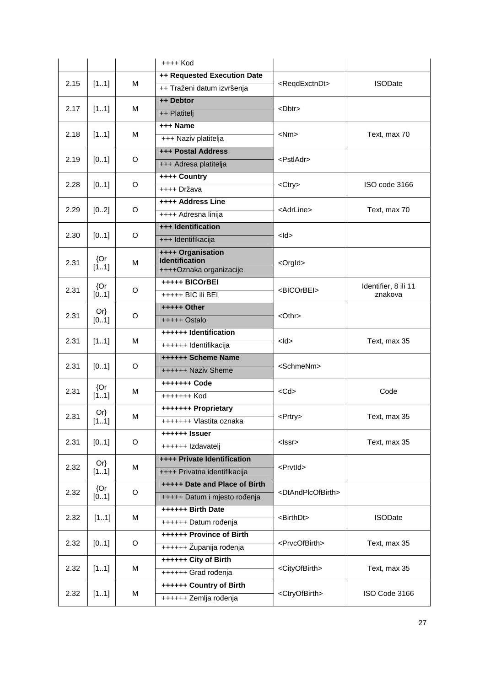|                         |                 |               | $++++$ Kod                                       |                                     |                                 |
|-------------------------|-----------------|---------------|--------------------------------------------------|-------------------------------------|---------------------------------|
|                         |                 |               | ++ Requested Execution Date                      |                                     |                                 |
| 2.15                    | [11]            | M             | ++ Traženi datum izvršenja                       | <regdexctndt></regdexctndt>         | <b>ISODate</b>                  |
|                         |                 |               | ++ Debtor                                        |                                     |                                 |
| 2.17                    | [11]            | м             | ++ Platiteli                                     | $<$ Dbtr $>$                        |                                 |
|                         |                 |               | +++ Name                                         |                                     |                                 |
| 2.18                    | [11]            | M             | +++ Naziv platitelja                             | $<$ Nm $>$                          | Text, max 70                    |
|                         |                 |               | <b>+++ Postal Address</b>                        |                                     |                                 |
| 2.19                    | [01]            | O             | +++ Adresa platitelja                            | <pstladr></pstladr>                 |                                 |
|                         |                 |               | ++++ Country                                     |                                     |                                 |
| 2.28                    | [01]            | O             | ++++ Država                                      | <ctry></ctry>                       | ISO code 3166                   |
|                         |                 |               | ++++ Address Line                                |                                     |                                 |
| 2.29                    | [02]            | O             | ++++ Adresna linija                              | <adrline></adrline>                 | Text, max 70                    |
|                         |                 |               | +++ Identification                               |                                     |                                 |
| 2.30                    | [01]            | O             | +++ Identifikacija                               | $<$ ld>                             |                                 |
|                         | ${Or}$          |               | <b>++++ Organisation</b>                         |                                     |                                 |
| 2.31                    | [11]            | M             | <b>Identification</b><br>++++Oznaka organizacije | <orgld></orgld>                     |                                 |
|                         |                 |               | +++++ BICOrBEI                                   |                                     |                                 |
| 2.31                    | ${Or}$<br>[0.1] | O             | +++++ BIC ili BEI                                | <bicorbei></bicorbei>               | Identifier, 8 ili 11<br>znakova |
|                         |                 |               | +++++ Other                                      |                                     |                                 |
| $Or\}$<br>2.31<br>[0.1] | O               | $++++$ Ostalo | <othr></othr>                                    |                                     |                                 |
|                         |                 |               | ++++++ Identification                            |                                     |                                 |
| 2.31                    | [11]            | M             | ++++++ Identifikacija                            | $<$ ld $>$                          | Text, max 35                    |
|                         |                 |               | ++++++ Scheme Name                               |                                     |                                 |
| 2.31                    | [01]            | O             | ++++++ Naziv Sheme                               | <schmenm></schmenm>                 |                                 |
|                         | ${Or}$          | M             | +++++++ Code                                     |                                     |                                 |
| 2.31                    | [11]            |               | +++++++ Kod                                      | $<$ Cd $>$                          | Code                            |
|                         | $Or\}$          |               | +++++++ Proprietary                              |                                     |                                 |
| 2.31                    | [11]            | M             | +++++++ Vlastita oznaka                          | <prtry></prtry>                     | Text, max 35                    |
|                         |                 |               | ++++++ Issuer                                    |                                     |                                 |
| 2.31                    | [01]            | O             | ++++++ Izdavatelj                                | <lssr></lssr>                       | Text, max 35                    |
|                         | $Or\}$          |               | ++++ Private Identification                      |                                     |                                 |
| 2.32                    | [11]            | M             | ++++ Privatna identifikacija                     | <prvtid></prvtid>                   |                                 |
|                         | ${Or}$          |               | +++++ Date and Place of Birth                    |                                     |                                 |
| 2.32                    | [01]            | O             | +++++ Datum i mjesto rođenja                     | <dtandplcofbirth></dtandplcofbirth> |                                 |
|                         |                 |               | ++++++ Birth Date                                |                                     |                                 |
| 2.32                    | [11]            | M             | ++++++ Datum rođenja                             | <birthdt></birthdt>                 | <b>ISODate</b>                  |
| 2.32                    |                 | O             | ++++++ Province of Birth                         | <prvcofbirth></prvcofbirth>         | Text, max 35                    |
|                         | [01]            |               | ++++++ Županija rođenja                          |                                     |                                 |
| 2.32                    | [11]            | M             | ++++++ City of Birth                             | <cityofbirth></cityofbirth>         | Text, max 35                    |
|                         |                 |               | ++++++ Grad rođenja                              |                                     |                                 |
| 2.32                    |                 | M             | ++++++ Country of Birth                          |                                     | ISO Code 3166                   |
|                         | [11]            |               | ++++++ Zemlja rođenja                            | <ctryofbirth></ctryofbirth>         |                                 |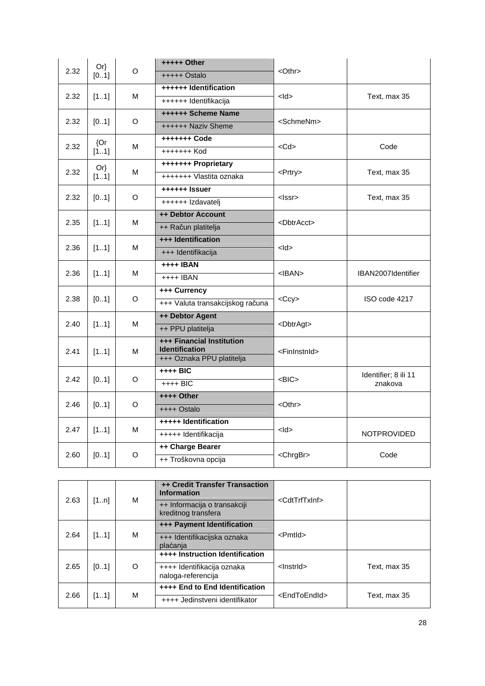| 2.32 | $Or\}$       | O       | +++++ Other                                        | $<$ Othr $>$              |                                 |
|------|--------------|---------|----------------------------------------------------|---------------------------|---------------------------------|
|      | [01]         |         | +++++ Ostalo                                       |                           |                                 |
| 2.32 | [11]         | M       | ++++++ Identification                              | $<$ ld $>$                | Text, max 35                    |
|      |              |         | ++++++ Identifikacija                              |                           |                                 |
|      |              | O       | ++++++ Scheme Name                                 |                           |                                 |
| 2.32 | [01]         |         | ++++++ Naziv Sheme                                 | <schmenm></schmenm>       |                                 |
|      | ${Qr}$       |         | +++++++ Code                                       |                           |                                 |
| 2.32 | [11]         | м       | +++++++ Kod                                        | $<$ Cd $>$                | Code                            |
|      | $Or\}$       |         | +++++++ Proprietary                                |                           |                                 |
| 2.32 | [11]         | М       | +++++++ Vlastita oznaka                            | <prtry></prtry>           | Text, max 35                    |
|      |              |         | ++++++ Issuer                                      |                           |                                 |
| 2.32 | [01]         | O       | ++++++ Izdavatelj                                  | <lssr></lssr>             | Text, max 35                    |
|      |              |         | ++ Debtor Account                                  |                           |                                 |
|      | 2.35<br>[11] | м       | ++ Račun platitelja                                | <dbtracct></dbtracct>     |                                 |
|      | 2.36<br>[11] |         | +++ Identification                                 | $<$ ld>                   |                                 |
|      |              | м       | +++ Identifikacija                                 |                           |                                 |
|      |              |         | ++++ IBAN                                          |                           |                                 |
| 2.36 | [11]         | м       | ++++ IBAN                                          | $<$ IBAN $>$              | IBAN2007Identifier              |
|      |              | O       | +++ Currency                                       | $<$ Ccy $>$               |                                 |
| 2.38 | [01]         |         | +++ Valuta transakcijskog računa                   |                           | ISO code 4217                   |
|      |              |         | ++ Debtor Agent                                    |                           |                                 |
| 2.40 | [11]         | M       | ++ PPU platitelja                                  | <dbtragt></dbtragt>       |                                 |
|      |              |         | +++ Financial Institution                          |                           |                                 |
| 2.41 | [11]         | M       | <b>Identification</b><br>+++ Oznaka PPU platitelja | <fininstnid></fininstnid> |                                 |
|      |              |         | ++++ BIC                                           |                           |                                 |
| 2.42 | [01]         | O       | $++++$ BIC                                         | $<$ BIC $>$               | Identifier; 8 ili 11<br>znakova |
|      |              |         | ++++ Other                                         |                           |                                 |
| 2.46 | [01]         | $\circ$ | ++++ Ostalo                                        | $<$ Othr $>$              |                                 |
|      |              |         | +++++ Identification                               |                           |                                 |
| 2.47 | [11]         | м       | +++++ Identifikacija                               | $<$ ld $>$                | <b>NOTPROVIDED</b>              |
|      |              |         | ++ Charge Bearer                                   |                           |                                 |
| 2.60 | [01]         | $\circ$ | ++ Troškovna opcija                                | <chrgbr></chrgbr>         | Code                            |

|      |      |   | <b>++ Credit Transfer Transaction</b><br><b>Information</b> | <cdttrftxinf></cdttrftxinf> |              |
|------|------|---|-------------------------------------------------------------|-----------------------------|--------------|
| 2.63 | [1n] | м | ++ Informacija o transakciji<br>kreditnog transfera         |                             |              |
|      |      |   | +++ Payment Identification                                  |                             |              |
| 2.64 | [11] | м | +++ Identifikacijska oznaka<br>plaćanja                     | <pmtld></pmtld>             |              |
|      |      |   | <b>++++ Instruction Identification</b>                      |                             |              |
| 2.65 | [01] | O | ++++ Identifikacija oznaka<br>naloga-referencija            | <lnstrld></lnstrld>         | Text, max 35 |
|      |      |   | ++++ End to End Identification                              |                             |              |
| 2.66 | [11] | M | ++++ Jedinstveni identifikator                              | <endtoendid></endtoendid>   | Text, max 35 |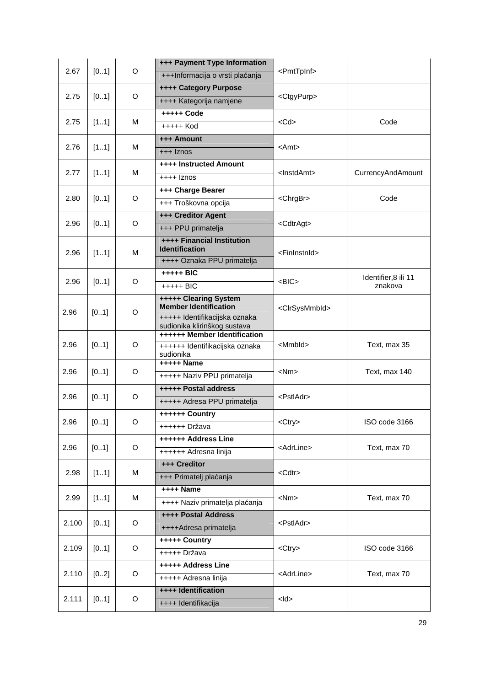|       |       | +++ Payment Type Information |                                                               |                             |                                 |
|-------|-------|------------------------------|---------------------------------------------------------------|-----------------------------|---------------------------------|
| 2.67  | [01]  | O                            | +++Informacija o vrsti plaćanja                               | <pmttpinf></pmttpinf>       |                                 |
|       |       |                              | <b>++++ Category Purpose</b>                                  |                             |                                 |
| 2.75  | [01]  | O                            | ++++ Kategorija namjene                                       | <ctgypurp></ctgypurp>       |                                 |
|       |       |                              | +++++ Code                                                    |                             |                                 |
| 2.75  | [11]  | М                            | +++++ Kod                                                     | $<$ Cd $>$                  | Code                            |
|       |       |                              | +++ Amount                                                    |                             |                                 |
| 2.76  | [11]  | М                            | $++$ $ z$ nos                                                 | $<$ Amt $>$                 |                                 |
|       |       |                              | <b>++++ Instructed Amount</b>                                 |                             |                                 |
| 2.77  | [11]  | м                            | $++++$ Iznos                                                  | <lnstdamt></lnstdamt>       | CurrencyAndAmount               |
|       |       |                              | +++ Charge Bearer                                             |                             |                                 |
| 2.80  | [01]  | O                            | +++ Troškovna opcija                                          | <chrgbr></chrgbr>           | Code                            |
|       |       |                              | +++ Creditor Agent                                            |                             |                                 |
| 2.96  | [01]  | O                            | +++ PPU primatelja                                            | <cdtragt></cdtragt>         |                                 |
|       |       |                              | <b>++++ Financial Institution</b><br><b>Identification</b>    |                             |                                 |
| 2.96  | [11]  | М                            | ++++ Oznaka PPU primatelja                                    | <fininstnid></fininstnid>   |                                 |
|       |       |                              | $++++$ BIC                                                    |                             |                                 |
| 2.96  | [01]  | O                            | +++++ BIC                                                     | $<$ BIC $>$                 | Identifier, 8 ili 11<br>znakova |
|       |       |                              | +++++ Clearing System                                         |                             |                                 |
| 2.96  | [01]  | O                            | <b>Member Identification</b>                                  | <clrsysmmbld></clrsysmmbld> |                                 |
|       |       |                              | +++++ Identifikacijska oznaka<br>sudionika klirinškog sustava |                             |                                 |
|       |       |                              | ++++++ Member Identification                                  |                             |                                 |
| 2.96  | [01]  | O                            | ++++++ Identifikacijska oznaka                                | <mmbld></mmbld>             | Text, max 35                    |
|       |       |                              | sudionika<br>+++++ Name                                       |                             |                                 |
| 2.96  | [01]  | O                            | +++++ Naziv PPU primatelja                                    | $<$ Nm $>$                  | Text, max 140                   |
|       |       |                              | <b>+++++ Postal address</b>                                   |                             |                                 |
| 2.96  | [01]  | O                            | +++++ Adresa PPU primatelja                                   | <pstladr></pstladr>         |                                 |
|       |       |                              | ++++++ Country                                                |                             |                                 |
| 2.96  | [01]  | O                            | ++++++ Država                                                 | <ctry></ctry>               | ISO code 3166                   |
|       |       |                              | ++++++ Address Line                                           |                             |                                 |
| 2.96  | [01]  | O                            | ++++++ Adresna linija                                         | <adrline></adrline>         | Text, max 70                    |
|       |       |                              | +++ Creditor                                                  |                             |                                 |
| 2.98  | [11]  | м                            | +++ Primatelj plaćanja                                        | <cdtr></cdtr>               |                                 |
|       |       |                              | ++++ Name                                                     |                             |                                 |
| 2.99  | [11]  | М                            | ++++ Naziv primatelja plaćanja                                | $<$ Nm $>$                  | Text, max 70                    |
|       |       |                              | ++++ Postal Address                                           |                             |                                 |
| 2.100 | [01]  | O                            | ++++Adresa primatelja                                         | <pstladr></pstladr>         |                                 |
|       |       |                              | +++++ Country                                                 |                             |                                 |
| 2.109 | [01]  | O                            | +++++ Država                                                  | <ctry></ctry>               | ISO code 3166                   |
|       |       |                              | +++++ Address Line                                            |                             |                                 |
| 2.110 | [02]  | O                            | +++++ Adresna linija                                          | <adrline></adrline>         | Text, max 70                    |
|       |       |                              | ++++ Identification                                           |                             |                                 |
| 2.111 | [0.1] | O                            | ++++ Identifikacija                                           | $<$ ld>                     |                                 |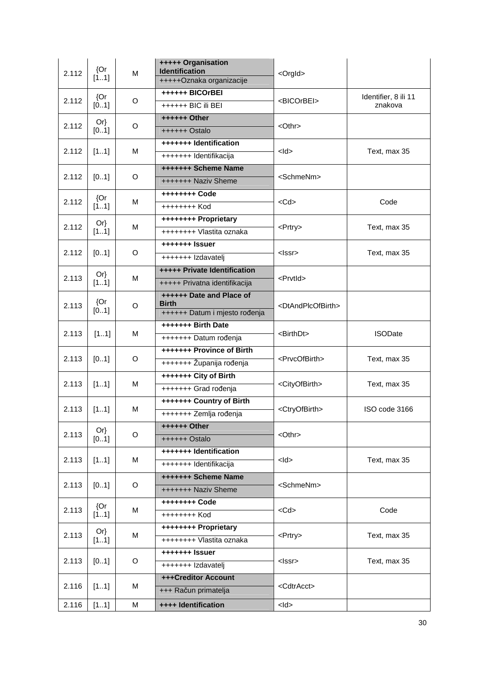| 2.112 | ${Or}$<br>[11] | M | +++++ Organisation<br><b>Identification</b><br>+++++Oznaka organizacije   | <orgld></orgld>                     |                                 |
|-------|----------------|---|---------------------------------------------------------------------------|-------------------------------------|---------------------------------|
| 2.112 | ${Or}$<br>[01] | O | ++++++ BICOrBEI<br>++++++ BIC ili BEI                                     | <bicorbei></bicorbei>               | Identifier, 8 ili 11<br>znakova |
| 2.112 | $Or\}$<br>[01] | O | ++++++ Other<br>++++++ Ostalo                                             | <othr></othr>                       |                                 |
| 2.112 | [11]           | M | +++++++ Identification<br>+++++++ Identifikacija                          | $<$ ld $>$                          | Text, max 35                    |
| 2.112 | [01]           | O | +++++++ Scheme Name<br>+++++++ Naziv Sheme                                | <schmenm></schmenm>                 |                                 |
| 2.112 | ${Or}$<br>[11] | M | ++++++++ Code<br>++++++++ Kod                                             | $<$ Cd $>$                          | Code                            |
| 2.112 | $Or\}$<br>[11] | M | ++++++++ Proprietary<br>++++++++ Vlastita oznaka                          | <prtry></prtry>                     | Text, max 35                    |
| 2.112 | [01]           | O | +++++++ Issuer<br>+++++++ Izdavatelj                                      | <lssr></lssr>                       | Text. max 35                    |
| 2.113 | $Or\}$<br>[11] | M | <b>+++++ Private Identification</b><br>+++++ Privatna identifikacija      | <prvtld></prvtld>                   |                                 |
| 2.113 | ${Or}$<br>[01] | O | ++++++ Date and Place of<br><b>Birth</b><br>++++++ Datum i mjesto rođenja | <dtandplcofbirth></dtandplcofbirth> |                                 |
| 2.113 | [11]           | M | +++++++ Birth Date<br>+++++++ Datum rođenja                               | <birthdt></birthdt>                 | <b>ISODate</b>                  |
| 2.113 | [01]           | O | +++++++ Province of Birth<br>+++++++ Županija rođenja                     | <prvcofbirth></prvcofbirth>         | Text, max 35                    |
| 2.113 | [11]           | M | +++++++ City of Birth<br>+++++++ Grad rođenja                             | <cityofbirth></cityofbirth>         | Text, max 35                    |
| 2.113 | [11]           | M | +++++++ Country of Birth<br>+++++++ Zemlja rođenja                        | <ctryofbirth></ctryofbirth>         | ISO code 3166                   |
| 2.113 | $Or\}$<br>[01] | O | ++++++ Other<br>++++++ Ostalo                                             | $<$ Othr $>$                        |                                 |
| 2.113 | [11]           | M | +++++++ Identification<br>+++++++ Identifikacija                          | $<$ ld>                             | Text, max 35                    |
| 2.113 | [01]           | O | <b>+++++++ Scheme Name</b><br>+++++++ Naziv Sheme                         | <schmenm></schmenm>                 |                                 |
| 2.113 | ${Or}$<br>[11] | M | ++++++++ Code<br>++++++++ Kod                                             | $<$ Cd $>$                          | Code                            |
| 2.113 | $Or\}$<br>[11] | M | ++++++++ Proprietary<br>++++++++ Vlastita oznaka                          | <prtry></prtry>                     | Text, max 35                    |
| 2.113 | [01]           | O | +++++++ Issuer<br>+++++++ Izdavatelj                                      | <lssr></lssr>                       | Text, max 35                    |
| 2.116 | [11]           | M | +++Creditor Account<br>+++ Račun primatelja                               | <cdtracct></cdtracct>               |                                 |
| 2.116 | [11]           | M | ++++ Identification                                                       | $<$ ld $>$                          |                                 |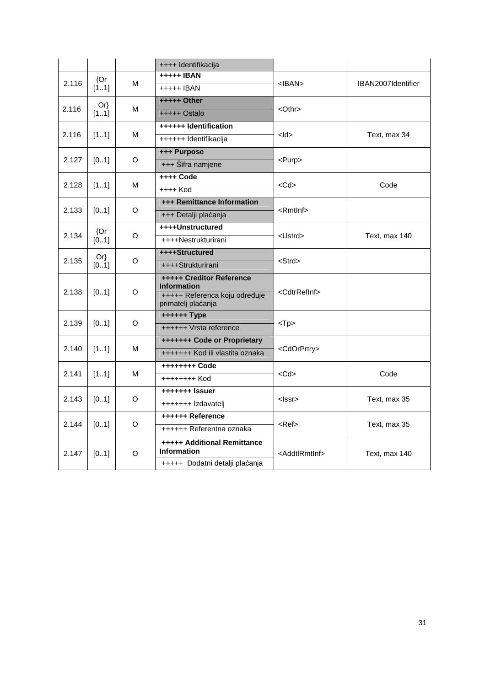|       |               |   | ++++ Identifikacija                                      |                             |                    |
|-------|---------------|---|----------------------------------------------------------|-----------------------------|--------------------|
| 2.116 | ${Or}$        |   | <b>+++++ IBAN</b>                                        |                             |                    |
|       | [11]          | м | +++++ IBAN                                               | $<$ IBAN $>$                | IBAN2007Identifier |
|       | $Or\}$        |   | +++++ Other                                              | $<$ Othr $>$                |                    |
| 2.116 | [11]          | м | $++++$ Ostalo                                            |                             |                    |
|       |               |   | ++++++ Identification                                    |                             |                    |
| 2.116 | [11]          | м | ++++++ Identifikacija                                    | $<$ ld $>$                  | Text, max 34       |
|       |               |   | +++ Purpose                                              |                             |                    |
| 2.127 | [01]          | O | +++ Šifra namjene                                        | $<$ Purp $>$                |                    |
|       |               |   | ++++ Code                                                |                             |                    |
| 2.128 | [11]          | M | $++++$ Kod                                               | $<$ Cd $>$                  | Code               |
|       |               |   | <b>+++ Remittance Information</b>                        |                             |                    |
| 2.133 | [01]          | O | +++ Detalji plaćanja                                     | $<$ Rmtlnf $>$              |                    |
|       | ${Or}$        | O | ++++Unstructured                                         | <ustrd></ustrd>             | Text, max 140      |
|       | 2.134<br>[01] |   | ++++Nestrukturirani                                      |                             |                    |
|       | $Or\}$        | O | ++++Structured                                           | <strd></strd>               |                    |
| 2.135 | [01]          |   | ++++Strukturirani                                        |                             |                    |
|       |               |   | <b>+++++ Creditor Reference</b>                          |                             |                    |
| 2.138 | [01]          | O | <b>Information</b><br>+++++ Referenca koju određuje      | <cdtrrefinf></cdtrrefinf>   |                    |
|       |               |   | primatelj plaćanja                                       |                             |                    |
| 2.139 |               | O | ++++++ Type                                              |                             |                    |
|       | [01]          |   | ++++++ Vrsta reference                                   | $<$ Tp $>$                  |                    |
|       |               | M | +++++++ Code or Proprietary                              |                             |                    |
| 2.140 | [11]          |   | +++++++ Kod ili vlastita oznaka                          | <cdorprtry></cdorprtry>     |                    |
| 2.141 | [11]          | м | ++++++++ Code                                            | $<$ Cd $>$                  | Code               |
|       |               |   | ++++++++ Kod                                             |                             |                    |
|       |               |   | +++++++ Issuer                                           |                             |                    |
| 2.143 | [01]          | O | +++++++ Izdavatelj                                       | <lssr></lssr>               | Text, max 35       |
|       |               |   | ++++++ Reference                                         |                             |                    |
| 2.144 | [01]          | O | ++++++ Referentna oznaka                                 | <ref></ref>                 | Text, max 35       |
| 2.147 | [01]          | O | <b>+++++ Additional Remittance</b><br><b>Information</b> | <addtlrmtinf></addtlrmtinf> | Text, max 140      |
|       |               |   | +++++ Dodatni detalji plaćanja                           |                             |                    |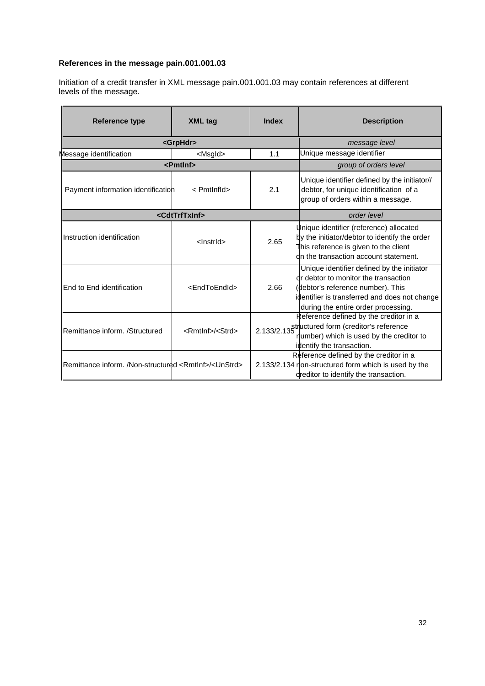# **References in the message pain.001.001.03**

Initiation of a credit transfer in XML message pain.001.001.03 may contain references at different levels of the message.

| <b>Reference type</b>                                                  | <b>XML tag</b>                  | <b>Index</b> | <b>Description</b>                                                                                                                                                                                              |
|------------------------------------------------------------------------|---------------------------------|--------------|-----------------------------------------------------------------------------------------------------------------------------------------------------------------------------------------------------------------|
|                                                                        | <grphdr></grphdr>               |              | message level                                                                                                                                                                                                   |
| Message identification                                                 | <msgld></msgld>                 | 1.1          | Unique message identifier                                                                                                                                                                                       |
|                                                                        | <pmtlnf></pmtlnf>               |              | group of orders level                                                                                                                                                                                           |
| Payment information identification                                     | < Pmtlnfld>                     | 2.1          | Unique identifier defined by the initiator//<br>debtor, for unique identification of a<br>group of orders within a message.                                                                                     |
|                                                                        | <cdttrftxinf></cdttrftxinf>     |              | order level                                                                                                                                                                                                     |
| Instruction identification                                             | <lnstrld></lnstrld>             | 2.65         | Unique identifier (reference) allocated<br>by the initiator/debtor to identify the order<br>This reference is given to the client<br>on the transaction account statement.                                      |
| End to End identification                                              | <endtoendid></endtoendid>       | 2.66         | Unique identifier defined by the initiator<br>or debtor to monitor the transaction<br>(debtor's reference number). This<br>identifier is transferred and does not change<br>during the entire order processing. |
| Remittance inform. /Structured                                         | <rmtlnf>/<strd></strd></rmtlnf> |              | Reference defined by the creditor in a<br>2.133/2.135 <sup>ti</sup> luctured form (creditor's reference<br>number) which is used by the creditor to<br>identify the transaction.                                |
| Remittance inform. /Non-structured <rmtlnf>/<unstrd></unstrd></rmtlnf> |                                 |              | Reference defined by the creditor in a<br>2.133/2.134 non-structured form which is used by the<br>dreditor to identify the transaction.                                                                         |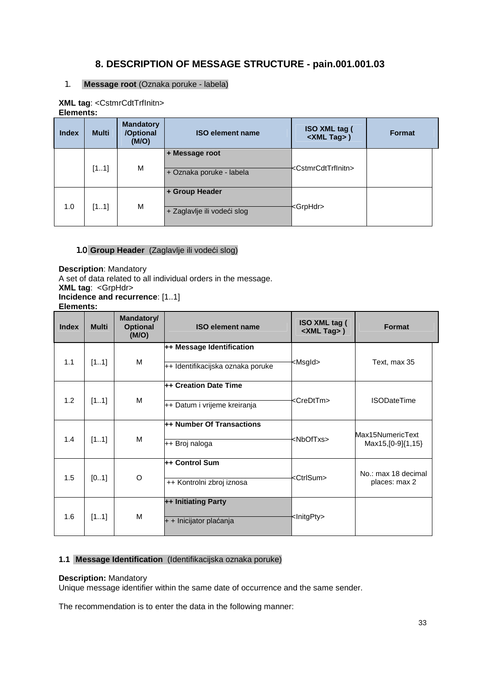# **8. DESCRIPTION OF MESSAGE STRUCTURE - pain.001.001.03**

## 1. **Message root** (Oznaka poruke - labela)

| <b>XML tag: <cstmrcdttrfinitn></cstmrcdttrfinitn></b> |
|-------------------------------------------------------|
| Elements:                                             |

| <b>Index</b> | <b>Multi</b> | <b>Mandatory</b><br>/Optional<br>(M/O) | <b>ISO element name</b>                       | ISO XML tag (<br><xml tag="">)</xml>  | <b>Format</b> |
|--------------|--------------|----------------------------------------|-----------------------------------------------|---------------------------------------|---------------|
|              | [11]         | M                                      | + Message root<br>+ Oznaka poruke - labela    | <cstmrcdttrfinitn></cstmrcdttrfinitn> |               |
| 1.0          | [11]         | M                                      | + Group Header<br>+ Zaglavlje ili vodeći slog | <grphdr></grphdr>                     |               |

# 1.0 **Group Header** (Zaglavlje ili vodeći slog)

**Description**: Mandatory A set of data related to all individual orders in the message. **XML tag**: <GrpHdr> **Incidence and recurrence**: [1..1] **Elements:**

| <b>Index</b> | <b>Multi</b> | Mandatory/<br><b>Optional</b><br>(M/O) | <b>ISO element name</b>           | <b>ISO XML tag (</b><br><xml tag="">)</xml> | <b>Format</b>                            |
|--------------|--------------|----------------------------------------|-----------------------------------|---------------------------------------------|------------------------------------------|
| 1.1          |              | M                                      | ++ Message Identification         | <msgld></msgld>                             | Text, max 35                             |
|              | [11]         |                                        | ++ Identifikacijska oznaka poruke |                                             |                                          |
|              |              |                                        | ++ Creation Date Time             |                                             |                                          |
| 1.2          | [11]         | M                                      | ++ Datum i vrijeme kreiranja      | <credttm></credttm>                         | <b>ISODateTime</b>                       |
|              | [11]         | M                                      | ++ Number Of Transactions         | <nboftxs></nboftxs>                         | Max15NumericText<br>Max15, [0-9] {1, 15} |
| 1.4          |              |                                        | ++ Broj naloga                    |                                             |                                          |
|              |              |                                        | ++ Control Sum                    |                                             | No.: max 18 decimal                      |
| 1.5          | [01]         | O                                      | ++ Kontrolni zbroj iznosa         | <ctrlsum></ctrlsum>                         | places: max 2                            |
|              |              |                                        | ++ Initiating Party               |                                             |                                          |
| 1.6          | [11]         | M                                      | $+$ + Inicijator plaćanja         | <lnitgpty></lnitgpty>                       |                                          |

# **1.1 Message Identification** (Identifikacijska oznaka poruke)

## **Description:** Mandatory

Unique message identifier within the same date of occurrence and the same sender.

The recommendation is to enter the data in the following manner: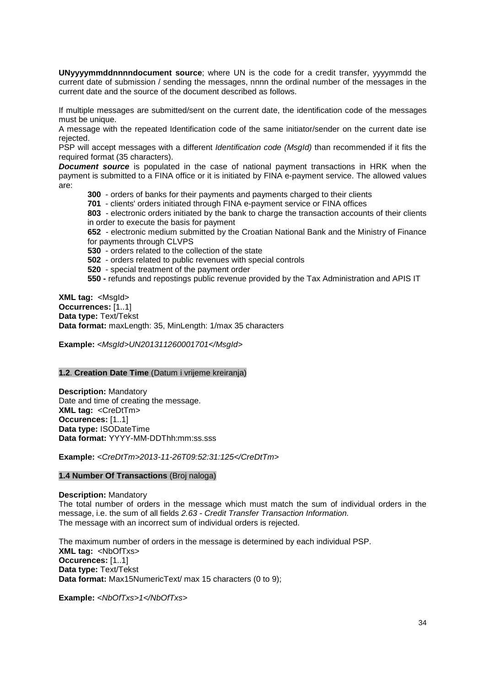**UNyyyymmddnnnndocument source**; where UN is the code for a credit transfer, yyyymmdd the current date of submission / sending the messages, nnnn the ordinal number of the messages in the current date and the source of the document described as follows.

If multiple messages are submitted/sent on the current date, the identification code of the messages must be unique.

A message with the repeated Identification code of the same initiator/sender on the current date ise rejected.

PSP will accept messages with a different *Identification code (MsgId)* than recommended if it fits the required format (35 characters).

**Document source** is populated in the case of national payment transactions in HRK when the payment is submitted to a FINA office or it is initiated by FINA e-payment service. The allowed values are:

**300** - orders of banks for their payments and payments charged to their clients

**701** - clients' orders initiated through FINA e-payment service or FINA offices

**803** - electronic orders initiated by the bank to charge the transaction accounts of their clients in order to execute the basis for payment

**652** - electronic medium submitted by the Croatian National Bank and the Ministry of Finance for payments through CLVPS

**530** - orders related to the collection of the state

**502** - orders related to public revenues with special controls

**520** - special treatment of the payment order

**550 -** refunds and repostings public revenue provided by the Tax Administration and APIS IT

**XML tag:** <MsgId> **Occurrences:** [1..1] **Data type:** Text/Tekst **Data format:** maxLength: 35, MinLength: 1/max 35 characters

**Example:** <MsgId>UN201311260001701</MsgId>

#### **1.2**. **Creation Date Time** (Datum i vrijeme kreiranja)

**Description:** Mandatory Date and time of creating the message. **XML tag:** <CreDtTm> **Occurences:** [1..1] **Data type:** ISODateTime **Data format:** YYYY-MM-DDThh:mm:ss.sss

**Example:** <CreDtTm>2013-11-26T09:52:31:125</CreDtTm>

#### **1.4 Number Of Transactions** (Broj naloga)

**Description:** Mandatory The total number of orders in the message which must match the sum of individual orders in the message, i.e. the sum of all fields 2.63 - Credit Transfer Transaction Information. The message with an incorrect sum of individual orders is rejected.

The maximum number of orders in the message is determined by each individual PSP. **XML tag: <NbOfTxs> Occurences:** [1..1] **Data type:** Text/Tekst **Data format:** Max15NumericText/ max 15 characters (0 to 9);

**Example:** <NbOfTxs>1</NbOfTxs>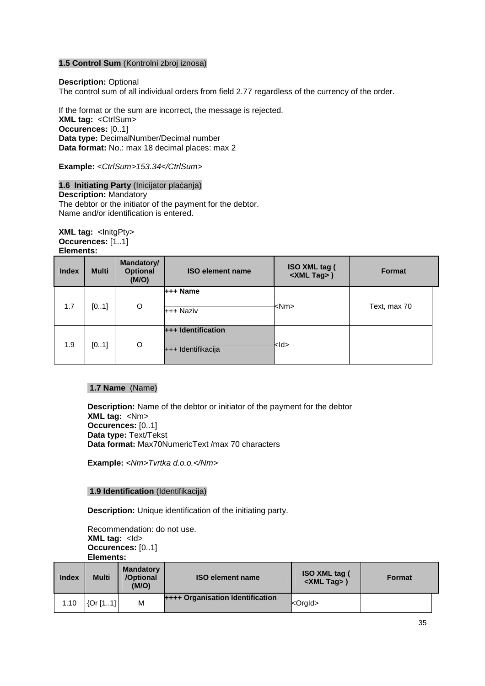#### **1.5 Control Sum** (Kontrolni zbroj iznosa)

**Description:** Optional

The control sum of all individual orders from field 2.77 regardless of the currency of the order.

If the format or the sum are incorrect, the message is rejected. **XML tag:** <CtrlSum> **Occurences:** [0..1] **Data type:** DecimalNumber/Decimal number **Data format:** No.: max 18 decimal places: max 2

**Example:** <CtrlSum>153.34</CtrlSum>

**1.6 Initiating Party** (Inicijator plaćanja) **Description:** Mandatory The debtor or the initiator of the payment for the debtor. Name and/or identification is entered.

#### **XML tag:** <InitgPty> **Occurences:** [1..1] **Elements:**

| <b>Index</b> | <b>Multi</b> | <b>Mandatory/</b><br><b>Optional</b><br>(M/O) | <b>ISO element name</b>                         | <b>ISO XML tag (</b><br><xml tag="">)</xml> | <b>Format</b> |
|--------------|--------------|-----------------------------------------------|-------------------------------------------------|---------------------------------------------|---------------|
| 1.7          | [01]         | O                                             | +++ Name<br>+++ Naziv                           | <nm></nm>                                   | Text, max 70  |
| 1.9          | [01]         | O                                             | <b>+++ Identification</b><br>+++ Identifikacija | kld>                                        |               |

# **1.7 Name** (Name)

**Description:** Name of the debtor or initiator of the payment for the debtor **XML tag:** <Nm> **Occurences:** [0..1] **Data type:** Text/Tekst **Data format:** Max70NumericText /max 70 characters

**Example:** <Nm>Tvrtka d.o.o.</Nm>

#### **1.9 Identification** (Identifikacija)

**Description:** Unique identification of the initiating party.

Recommendation: do not use. **XML tag: <d> Occurences:** [0..1] **Elements:**

| Index | <b>Multi</b> | <b>Mandatory</b><br>/Optional<br>(M/O) | <b>ISO element name</b>                 | <b>ISO XML tag (</b><br>$\le$ XML Tag $>$ ) | <b>Format</b> |
|-------|--------------|----------------------------------------|-----------------------------------------|---------------------------------------------|---------------|
| 1.10  | [Or[11]]     | M                                      | <b>++++ Organisation Identification</b> | $ $ <orgld></orgld>                         |               |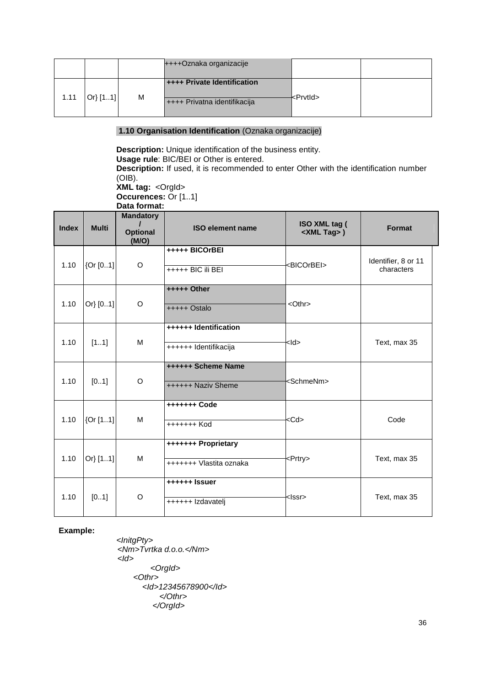|      |        |   | ++++Oznaka organizacije                                     |          |  |
|------|--------|---|-------------------------------------------------------------|----------|--|
| 1.11 | Or[11] | M | ++++ Private Identification<br>++++ Privatna identifikacija | kPrvtld> |  |

#### **1.10 Organisation Identification** (Oznaka organizacije)

**Description:** Unique identification of the business entity. **Usage rule**: BIC/BEI or Other is entered. **Description:** If used, it is recommended to enter Other with the identification number (OIB). **XML tag: <Orgld>** 

**Occurences:** Or [1..1] **Data format:**

| <b>Index</b> | <b>Multi</b> | <b>Mandatory</b><br><b>Optional</b><br>(M/O) | <b>ISO element name</b>                         | ISO XML tag (<br><xml tag="">)</xml> | Format                            |
|--------------|--------------|----------------------------------------------|-------------------------------------------------|--------------------------------------|-----------------------------------|
| 1.10         | [Or [01]     | O                                            | +++++ BICOrBEI<br>+++++ BIC ili BEI             | <bicorbei></bicorbei>                | Identifier, 8 or 11<br>characters |
| 1.10         | Or} [01]     | O                                            | +++++ Other<br>+++++ Ostalo                     | $<$ Othr $>$                         |                                   |
| 1.10         | [11]         | M                                            | ++++++ Identification<br>++++++ Identifikacija  | $<$ ld>                              | Text, max 35                      |
| 1.10         | [01]         | O                                            | <b>++++++ Scheme Name</b><br>++++++ Naziv Sheme | <schmenm></schmenm>                  |                                   |
| 1.10         | {Or [11]     | м                                            | +++++++ Code<br>+++++++ Kod                     | <cd></cd>                            | Code                              |
| 1.10         | Or} [11]     | M                                            | +++++++ Proprietary<br>+++++++ Vlastita oznaka  | <prtry></prtry>                      | Text, max 35                      |
| 1.10         | [01]         | O                                            | ++++++ Issuer<br>++++++ Izdavatelj              | <lssr></lssr>                        | Text, max 35                      |

**Example:**

<InitgPty> <Nm>Tvrtka d.o.o.</Nm>  $<$ *Id* $>$  <OrgId> <Othr> <Id>12345678900</Id> </Othr> </OrgId>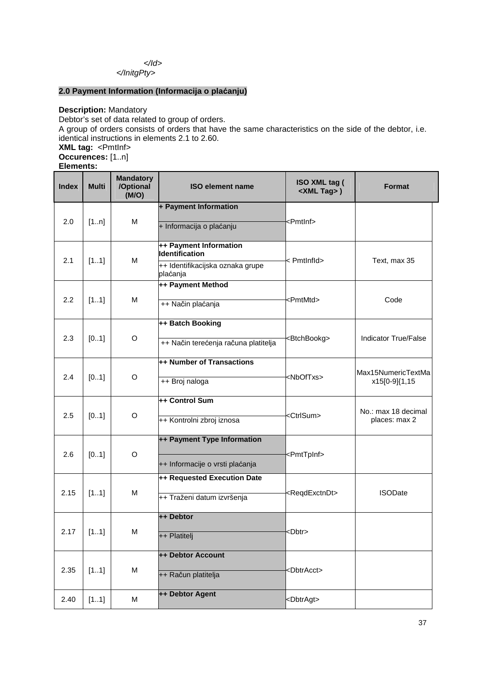</Id> </InitgPty>

## **2.0 Payment Information (Informacija o plaćanju)**

**Description:** Mandatory Debtor's set of data related to group of orders. A group of orders consists of orders that have the same characteristics on the side of the debtor, i.e. identical instructions in elements 2.1 to 2.60. **XML tag:** <PmtInf> **Occurences:** [1..n] **Elements:**

| <b>Index</b> | Multi | <b>Mandatory</b><br>/Optional<br>(M/O) | <b>ISO element name</b>                                           | ISO XML tag (<br><xml tag="">)</xml> | <b>Format</b>                        |
|--------------|-------|----------------------------------------|-------------------------------------------------------------------|--------------------------------------|--------------------------------------|
| 2.0          | [1n]  | М                                      | + Payment Information<br>+ Informacija o plaćanju                 | <pmtlnf></pmtlnf>                    |                                      |
| 2.1          | [11]  | M                                      | ++ Payment Information<br><b>Identification</b>                   | < Pmtlnfld>                          | Text, max 35                         |
|              |       |                                        | ++ Identifikacijska oznaka grupe<br>plaćanja<br>++ Payment Method |                                      |                                      |
| 2.2          | [11]  | M                                      | ++ Način plaćanja                                                 | <pmtmtd></pmtmtd>                    | Code                                 |
| 2.3          | [01]  | O                                      | ++ Batch Booking<br>++ Način terećenja računa platitelja          | <btchbookg></btchbookg>              | <b>Indicator True/False</b>          |
| 2.4          | [01]  | O                                      | ++ Number of Transactions<br>++ Broj naloga                       | <nboftxs></nboftxs>                  | Max15NumericTextMa<br>x15[0-9]{1,15  |
| 2.5          | [01]  | O                                      | ++ Control Sum<br>++ Kontrolni zbroj iznosa                       | <ctrlsum></ctrlsum>                  | No.: max 18 decimal<br>places: max 2 |
| 2.6          | [01]  | $\mathsf O$                            | ++ Payment Type Information<br>++ Informacije o vrsti plaćanja    | <pmttpinf></pmttpinf>                |                                      |
| 2.15         | [11]  | M                                      | ++ Requested Execution Date<br>++ Traženi datum izvršenja         | <reqdexctndt></reqdexctndt>          | <b>ISODate</b>                       |
| 2.17         | [11]  | M                                      | ++ Debtor<br>++ Platitelj                                         | <dbtr></dbtr>                        |                                      |
| 2.35         | [11]  | M                                      | ++ Debtor Account<br>++ Račun platitelja                          | <dbtracct></dbtracct>                |                                      |
| 2.40         | [11]  | M                                      | ++ Debtor Agent                                                   | <dbtragt></dbtragt>                  |                                      |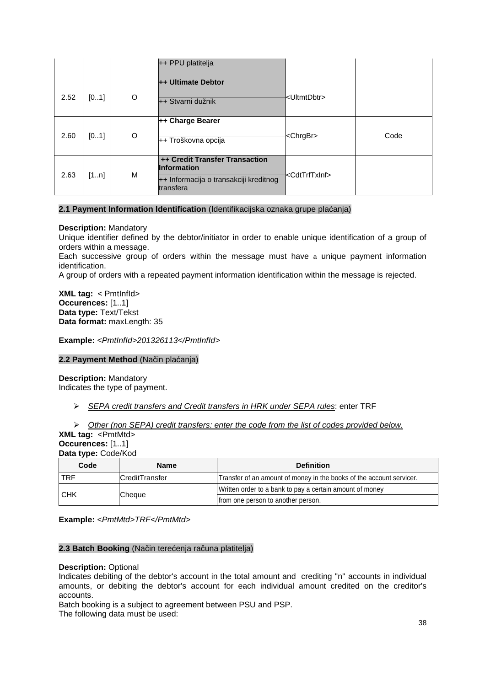|      |      |         | ++ PPU platitelja                                                                                                  |                             |      |
|------|------|---------|--------------------------------------------------------------------------------------------------------------------|-----------------------------|------|
| 2.52 | [01] | O       | ++ Ultimate Debtor<br>++ Stvarni dužnik                                                                            | kUltmtDbtr>                 |      |
| 2.60 | [01] | $\circ$ | ++ Charge Bearer<br>++ Troškovna opcija                                                                            | <chrgbr></chrgbr>           | Code |
| 2.63 | [1n] | м       | <b>++ Credit Transfer Transaction</b><br><b>Information</b><br>++ Informacija o transakciji kreditnog<br>transfera | <cdttrftxinf></cdttrftxinf> |      |

# **2.1 Payment Information Identification** (Identifikacijska oznaka grupe plaćanja)

## **Description:** Mandatory

Unique identifier defined by the debtor/initiator in order to enable unique identification of a group of orders within a message.

Each successive group of orders within the message must have a unique payment information identification.

A group of orders with a repeated payment information identification within the message is rejected.

**XML tag:** < PmtInfId> **Occurences:** [1..1] **Data type:** Text/Tekst **Data format:** maxLength: 35

**Example:** <PmtInfId>201326113</PmtInfId>

## **2.2 Payment Method** (Način plaćanja)

#### **Description:** Mandatory Indicates the type of payment.

- $\triangleright$  SEPA credit transfers and Credit transfers in HRK under SEPA rules: enter TRF
- $\triangleright$  Other (non SEPA) credit transfers: enter the code from the list of codes provided below.

|                  | <b>XML tag: <pmtmtd></pmtmtd></b> |
|------------------|-----------------------------------|
| Occurences: [11] |                                   |
|                  | Data type: Code/Kod               |

| Code<br><b>Name</b> |                        | <b>Definition</b>                                                    |  |
|---------------------|------------------------|----------------------------------------------------------------------|--|
| <b>TRF</b>          | <b>ICreditTransfer</b> | Transfer of an amount of money in the books of the account servicer. |  |
| <b>CHK</b>          |                        | Written order to a bank to pay a certain amount of money             |  |
|                     | <b>Cheque</b>          | from one person to another person.                                   |  |

**Example:** <PmtMtd>TRF</PmtMtd>

# **2.3 Batch Booking** (Način terećenja računa platitelja)

#### **Description:** Optional

Indicates debiting of the debtor's account in the total amount and crediting ''n'' accounts in individual amounts, or debiting the debtor's account for each individual amount credited on the creditor's accounts.

Batch booking is a subject to agreement between PSU and PSP.

The following data must be used: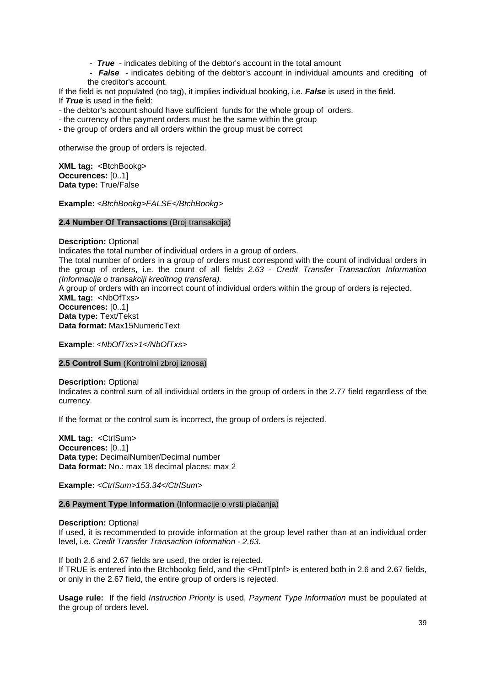- **True** - indicates debiting of the debtor's account in the total amount

 - **False** - indicates debiting of the debtor's account in individual amounts and crediting of the creditor's account.

If the field is not populated (no tag), it implies individual booking, i.e. **False** is used in the field. If **True** is used in the field:

- the debtor's account should have sufficient funds for the whole group of orders.

- the currency of the payment orders must be the same within the group

- the group of orders and all orders within the group must be correct

otherwise the group of orders is rejected.

**XML tag: <BtchBookg> Occurences:** [0..1] **Data type:** True/False

Example: <BtchBookg>FALSE</BtchBookg>

**2.4 Number Of Transactions** (Broj transakcija)

**Description:** Optional

Indicates the total number of individual orders in a group of orders.

The total number of orders in a group of orders must correspond with the count of individual orders in the group of orders, i.e. the count of all fields 2.63 - Credit Transfer Transaction Information (Informacija o transakciji kreditnog transfera).

A group of orders with an incorrect count of individual orders within the group of orders is rejected. **XML tag:** <NbOfTxs> **Occurences:** [0..1] **Data type:** Text/Tekst

**Data format:** Max15NumericText

**Example**: <NbOfTxs>1</NbOfTxs>

## **2.5 Control Sum** (Kontrolni zbroj iznosa)

**Description:** Optional

Indicates a control sum of all individual orders in the group of orders in the 2.77 field regardless of the currency.

If the format or the control sum is incorrect, the group of orders is rejected.

**XML tag:** <CtrlSum> **Occurences:** [0..1] **Data type:** DecimalNumber/Decimal number **Data format:** No.: max 18 decimal places: max 2

**Example:** <CtrlSum>153.34</CtrlSum>

# **2.6 Payment Type Information** (Informacije o vrsti plaćanja)

## **Description:** Optional

If used, it is recommended to provide information at the group level rather than at an individual order level, i.e. Credit Transfer Transaction Information - 2.63.

If both 2.6 and 2.67 fields are used, the order is rejected. If TRUE is entered into the Btchbookg field, and the <PmtTpInf> is entered both in 2.6 and 2.67 fields, or only in the 2.67 field, the entire group of orders is rejected.

**Usage rule:** If the field Instruction Priority is used, Payment Type Information must be populated at the group of orders level.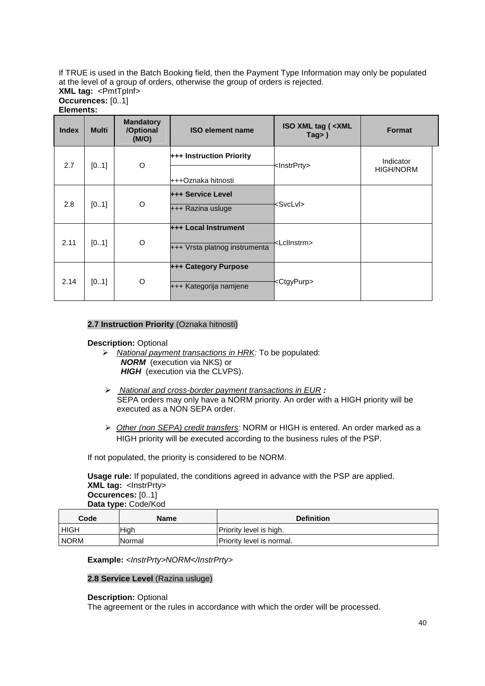If TRUE is used in the Batch Booking field, then the Payment Type Information may only be populated at the level of a group of orders, otherwise the group of orders is rejected.

| <b>XML tag: <pmttpinf></pmttpinf></b> |  |
|---------------------------------------|--|
| Occurences: [01]                      |  |
| Elements:                             |  |

| <b>Index</b> | <b>Multi</b> | <b>Mandatory</b><br>/Optional<br>(M/O) | <b>ISO element name</b>                                      | ISO XML tag ( <xml<br>Tag&gt;<math>)</math></xml<br> | <b>Format</b>                 |
|--------------|--------------|----------------------------------------|--------------------------------------------------------------|------------------------------------------------------|-------------------------------|
| 2.7          | [01]         | O                                      | +++ Instruction Priority                                     | <lnstrprty></lnstrprty>                              | Indicator<br><b>HIGH/NORM</b> |
|              |              |                                        | +++Oznaka hitnosti                                           |                                                      |                               |
| 2.8          | [01]         | O                                      | <b>+++ Service Level</b><br>+++ Razina usluge                | <svclvi></svclvi>                                    |                               |
| 2.11         | [01]         | O                                      | <b>+++ Local Instrument</b><br>+++ Vrsta platnog instrumenta | <lcllnstrm></lcllnstrm>                              |                               |
| 2.14         | [01]         | O                                      | <b>+++ Category Purpose</b><br>+++ Kategorija namjene        | <ctgypurp></ctgypurp>                                |                               |

# **2.7 Instruction Priority** (Oznaka hitnosti)

# **Description:** Optional

- $\triangleright$  National payment transactions in HRK: To be populated:  **NORM** (execution via NKS) or **HIGH** (execution via the CLVPS).
- National and cross-border payment transactions in EUR **:**  SEPA orders may only have a NORM priority. An order with a HIGH priority will be executed as a NON SEPA order.
- $\triangleright$  Other (non SEPA) credit transfers: NORM or HIGH is entered. An order marked as a HIGH priority will be executed according to the business rules of the PSP.

If not populated, the priority is considered to be NORM.

**Usage rule:** If populated, the conditions agreed in advance with the PSP are applied. **XML tag:** <InstrPrty> **Occurences:** [0..1] **Data type:** Code/Kod

| Code         | Name        | <b>Definition</b>         |
|--------------|-------------|---------------------------|
| l HIGH       | <b>High</b> | Priority level is high.   |
| <b>INORM</b> | Normal      | Priority level is normal. |

## Example: <*InstrPrty>NORM</InstrPrty>*

# **2.8 Service Level** (Razina usluge)

## **Description:** Optional

The agreement or the rules in accordance with which the order will be processed.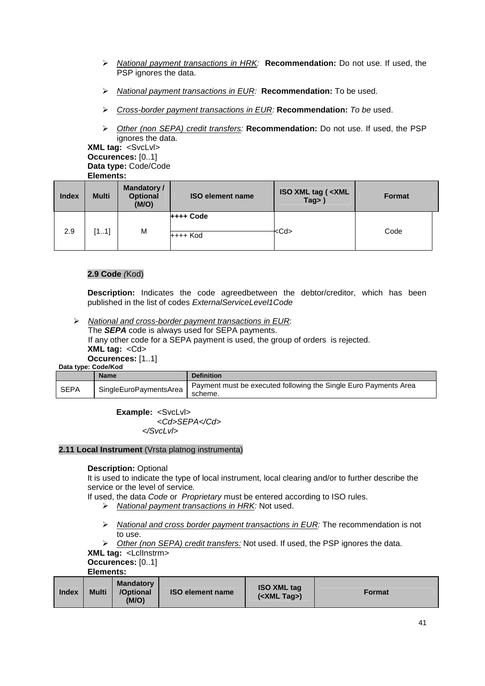- National payment transactions in HRK: **Recommendation:** Do not use. If used, the PSP ignores the data.
- National payment transactions in EUR: **Recommendation:** To be used.
- Cross-border payment transactions in EUR: **Recommendation:** To be used.
- Other (non SEPA) credit transfers: **Recommendation:** Do not use. If used, the PSP ignores the data.

**XML tag:** <SvcLvl> **Occurences:** [0..1] **Data type:** Code/Code **Elements:**

| <b>Index</b> | <b>Multi</b> | Mandatory /<br><b>Optional</b><br>(M/O) | <b>ISO element name</b> | ISO XML tag ( <xml<br>Tag&gt;)</xml<br> | <b>Format</b> |
|--------------|--------------|-----------------------------------------|-------------------------|-----------------------------------------|---------------|
| 2.9          | [11]         | M                                       | ++++ Code<br>++++ Kod   | <cd></cd>                               | Code          |

# **2.9 Code** (Kod)

**Description:** Indicates the code agreedbetween the debtor/creditor, which has been published in the list of codes ExternalServiceLevel1Code

> National and cross-border payment transactions in EUR:

The **SEPA** code is always used for SEPA payments. If any other code for a SEPA payment is used, the group of orders is rejected. **XML tag:** <Cd>

**Occurences:** [1..1]

|  | Data type: Code/Kod |
|--|---------------------|
|  |                     |

|             | <b>Name</b>            | <b>Definition</b>                                                           |
|-------------|------------------------|-----------------------------------------------------------------------------|
| <b>SEPA</b> | SingleEuroPaymentsArea | Payment must be executed following the Single Euro Payments Area<br>scheme. |

**Example:** <SvcLvl> <Cd>SEPA</Cd> </SvcLvl>

## **2.11 Local Instrument** (Vrsta platnog instrumenta)

## **Description:** Optional

It is used to indicate the type of local instrument, local clearing and/or to further describe the service or the level of service.

If used, the data Code or Proprietary must be entered according to ISO rules.

- $\triangleright$  National payment transactions in HRK: Not used.
- $\triangleright$  National and cross border payment transactions in EUR: The recommendation is not to use.

 $\triangleright$  Other (non SEPA) credit transfers: Not used. If used, the PSP ignores the data.

**XML tag:** <LclInstrm>

**Occurences:** [0..1]

**Elements:**

| <b>Index</b> | <b>Mandatory</b><br><b>Multi</b><br>/Optional<br>(M/O) | <b>ISO element name</b> | <b>ISO XML tag</b><br>$(<$ XML Tag $>$ ) | <b>Format</b> |
|--------------|--------------------------------------------------------|-------------------------|------------------------------------------|---------------|
|--------------|--------------------------------------------------------|-------------------------|------------------------------------------|---------------|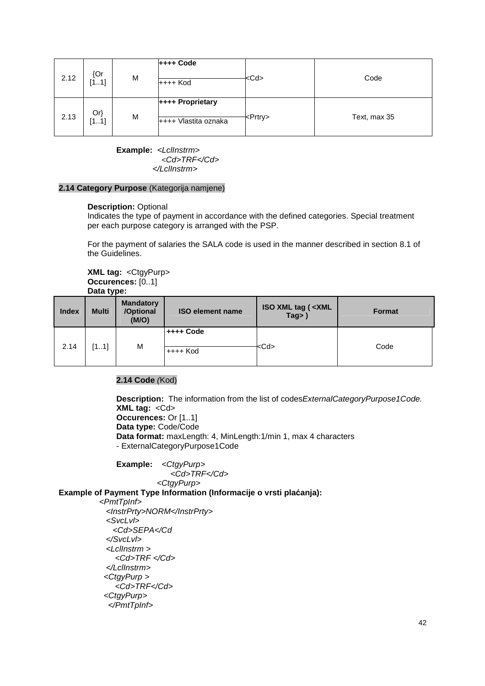| 2.12 | ${Or}$<br>[11] | M | $++++$ Code<br>++++ Kod                  | <cd></cd>       | Code         |
|------|----------------|---|------------------------------------------|-----------------|--------------|
| 2.13 | $Or\}$<br>[11] | M | ++++ Proprietary<br>++++ Vlastita oznaka | <prtry></prtry> | Text, max 35 |

**Example:** <Lcllnstrm> <Cd>TRF</Cd> </LclInstrm>

#### **2.14 Category Purpose** (Kategorija namjene)

#### **Description:** Optional

Indicates the type of payment in accordance with the defined categories. Special treatment per each purpose category is arranged with the PSP.

For the payment of salaries the SALA code is used in the manner described in section 8.1 of the Guidelines.

**XML tag:** <CtgyPurp> **Occurences:** [0..1] **Data type:**

| <b>Index</b> | <b>Multi</b> | <b>Mandatory</b><br>/Optional<br>(M/O) | <b>ISO element name</b>   | <b>ISO XML tag ( <xml< b=""><br/>Tag&gt;)</xml<></b> | <b>Format</b> |
|--------------|--------------|----------------------------------------|---------------------------|------------------------------------------------------|---------------|
| 2.14         | [11]         | М                                      | $++++$ Code<br>$++++$ Kod | <cd></cd>                                            | Code          |

# **2.14 Code** (Kod)

**Description:** The information from the list of codes ExternalCategory Purpose1Code. **XML tag:** <Cd> **Occurences:** Or [1..1] **Data type:** Code/Code **Data format:** maxLength: 4, MinLength:1/min 1, max 4 characters - ExternalCategoryPurpose1Code

Example: < CtgyPurp> <Cd>TRF</Cd> <CtgyPurp>

**Example of Payment Type Information (Informacije o vrsti plaćanja):**

<PmtTpInf> <InstrPrty>NORM</InstrPrty> <SvcLvl> <Cd>SEPA</Cd </SvcLvl> <LclInstrm > <Cd>TRF </Cd> </LclInstrm> <CtgyPurp > <Cd>TRF</Cd> <CtgyPurp> </PmtTpInf>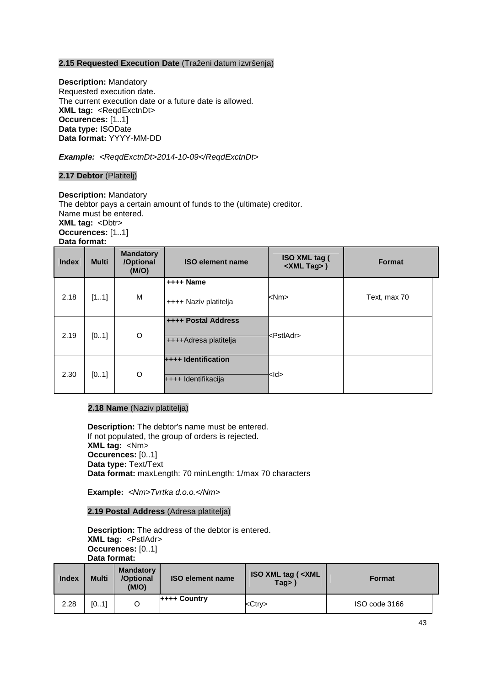# **2.15 Requested Execution Date** (Traženi datum izvršenja)

**Description:** Mandatory Requested execution date. The current execution date or a future date is allowed. **XML tag: <ReqdExctnDt> Occurences:** [1..1] **Data type:** ISODate **Data format:** YYYY-MM-DD

Example: <ReqdExctnDt>2014-10-09</ReqdExctnDt>

# **2.17 Debtor** (Platitelj)

**Description:** Mandatory The debtor pays a certain amount of funds to the (ultimate) creditor. Name must be entered. **XML tag: <Dbtr> Occurences:** [1..1] **Data format:**

| <b>Index</b> | <b>Multi</b> | <b>Mandatory</b><br>/Optional<br>(M/O) | <b>ISO element name</b>                             | ISO XML tag (<br><xml tag="">)</xml> | Format       |
|--------------|--------------|----------------------------------------|-----------------------------------------------------|--------------------------------------|--------------|
| 2.18         | [11]         | M                                      | ++++ Name<br>++++ Naziv platitelja                  | <nm></nm>                            | Text, max 70 |
| 2.19         | [01]         | O                                      | <b>++++ Postal Address</b><br>++++Adresa platitelja | <pstladr></pstladr>                  |              |
| 2.30         | [01]         | O                                      | ++++ Identification<br>++++ Identifikacija          | kld>                                 |              |

## **2.18 Name** (Naziv platitelja)

**Description:** The debtor's name must be entered. If not populated, the group of orders is rejected. **XML tag:** <Nm> **Occurences:** [0..1] **Data type:** Text/Text **Data format:** maxLength: 70 minLength: 1/max 70 characters

**Example:** <Nm>Tvrtka d.o.o.</Nm>

## **2.19 Postal Address** (Adresa platitelja)

**Description:** The address of the debtor is entered. **XML tag:** <PstlAdr> **Occurences:** [0..1] **Data format:**

| <b>Index</b> | <b>Multi</b> | <b>Mandatory</b><br>/Optional<br>(M/O) | <b>ISO element name</b> | <b>ISO XML tag (<xml)< b=""><br/>Taq</xml)<></b> | <b>Format</b> |  |
|--------------|--------------|----------------------------------------|-------------------------|--------------------------------------------------|---------------|--|
| 2.28         | [01]         | O                                      | <b>++++ Country</b>     | <ctry></ctry>                                    | ISO code 3166 |  |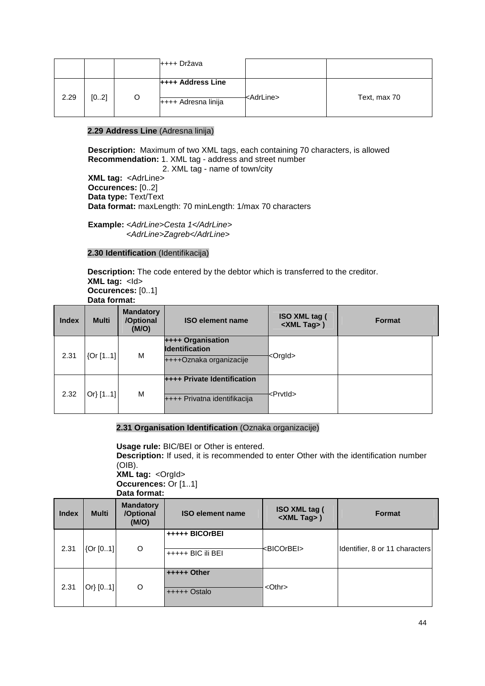|      |      |   | ++++ Država                                     |                     |              |
|------|------|---|-------------------------------------------------|---------------------|--------------|
| 2.29 | [02] | O | <b>H+++ Address Line</b><br>++++ Adresna linija | <adrline></adrline> | Text, max 70 |

# **2.29 Address Line** (Adresna linija)

 **Description:** Maximum of two XML tags, each containing 70 characters, is allowed  **Recommendation:** 1. XML tag - address and street number

 2. XML tag - name of town/city  **XML tag:** <AdrLine>  **Occurences:** [0..2]  **Data type:** Text/Text  **Data format:** maxLength: 70 minLength: 1/max 70 characters

**Example:** <AdrLine>Cesta 1</AdrLine> <AdrLine>Zagreb</AdrLine>

# **2.30 Identification** (Identifikacija)

**Description:** The code entered by the debtor which is transferred to the creditor. **XML tag:** <ld> **Occurences:** [0..1]

**Data format:**

| <b>Index</b> | <b>Multi</b> | <b>Mandatory</b><br>/Optional<br>(M/O) | <b>ISO element name</b>                                               | ISO XML tag (<br><xml tag="">)</xml> | <b>Format</b> |
|--------------|--------------|----------------------------------------|-----------------------------------------------------------------------|--------------------------------------|---------------|
| 2.31         | [0r[11]      | м                                      | ++++ Organisation<br><b>Identification</b><br>++++Oznaka organizacije | <orgid></orgid>                      |               |
| 2.32         | Or[11]       | М                                      | <b>++++ Private Identification</b><br>++++ Privatna identifikacija    | <prvtld></prvtld>                    |               |

# **2.31 Organisation Identification** (Oznaka organizacije)

**Usage rule:** BIC/BEI or Other is entered.

**Description:** If used, it is recommended to enter Other with the identification number (OIB).

**XML tag:** <OrgId> **Occurences:** Or [1..1] **Data format:**

| <b>Index</b> | <b>Multi</b> | <b>Mandatory</b><br>/Optional<br>(M/O) | <b>ISO element name</b>             | ISO XML tag (<br><xml tag="">)</xml> | <b>Format</b>                  |
|--------------|--------------|----------------------------------------|-------------------------------------|--------------------------------------|--------------------------------|
| 2.31         | [Or [01]     | O                                      | +++++ BICOrBEI<br>+++++ BIC ili BEI | <bicorbei></bicorbei>                | Identifier, 8 or 11 characters |
| 2.31         | Or[01]       | O                                      | $++++$ Other<br>+++++ Ostalo        | $<$ Othr $>$                         |                                |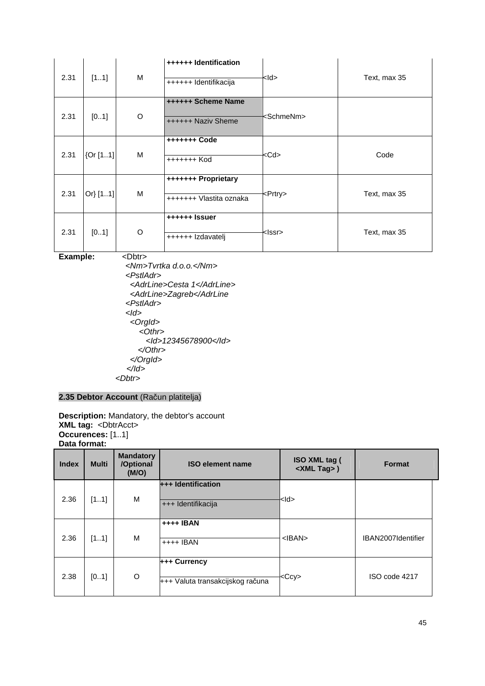| 2.31 | [11]     | M | ++++++ Identification<br>++++++ Identifikacija | <ld></ld>           | Text, max 35 |
|------|----------|---|------------------------------------------------|---------------------|--------------|
| 2.31 | [01]     | O | ++++++ Scheme Name<br>++++++ Naziv Sheme       | <schmenm></schmenm> |              |
| 2.31 | {Or [11] | M | ++++++++ Code<br>+++++++ Kod                   | <cd></cd>           | Code         |
| 2.31 | Or[11]   | M | +++++++ Proprietary<br>+++++++ Vlastita oznaka | <prtry></prtry>     | Text, max 35 |
| 2.31 | [01]     | O | ++++++ Issuer<br>++++++ Izdavatelj             | <lssr></lssr>       | Text, max 35 |

**Example:** <Dbtr>

 <Nm>Tvrtka d.o.o.</Nm> <PstlAdr> <AdrLine>Cesta 1</AdrLine> <AdrLine>Zagreb</AdrLine <PstlAdr>  $<$ Id $>$  <OrgId> <Othr> <Id>12345678900</Id> </Othr> </OrgId>  $<$ /ld> <Dbtr>

# **2.35 Debtor Account** (Račun platitelja)

**Description:** Mandatory, the debtor's account **XML tag:** <DbtrAcct> **Occurences:** [1..1] **Data format:**

| <b>Index</b> | <b>Multi</b> | <b>Mandatory</b><br>/Optional<br>(M/O) | <b>ISO element name</b>                          | ISO XML tag (<br><xml tag="">)</xml> | <b>Format</b>      |
|--------------|--------------|----------------------------------------|--------------------------------------------------|--------------------------------------|--------------------|
| 2.36         | [11]         | M                                      | +++ Identification<br>+++ Identifikacija         | <ld></ld>                            |                    |
| 2.36         | [11]         | M                                      | ++++ IBAN<br>$++++$ IBAN                         | $<$ IBAN $>$                         | IBAN2007Identifier |
| 2.38         | [01]         | O                                      | +++ Currency<br>+++ Valuta transakcijskog računa | $<$ Ccy $>$                          | ISO code 4217      |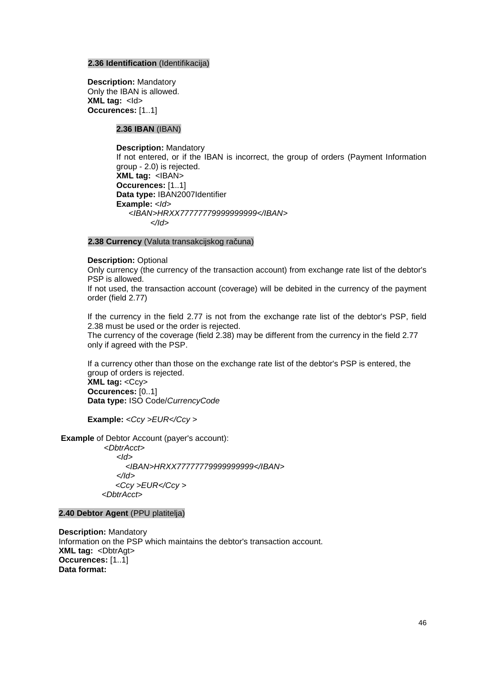## **2.36 Identification** (Identifikacija)

**Description:** Mandatory Only the IBAN is allowed. **XML tag: <ld> Occurences:** [1..1]

# **2.36 IBAN** (IBAN)

**Description:** Mandatory If not entered, or if the IBAN is incorrect, the group of orders (Payment Information group - 2.0) is rejected. **XML tag:** <IBAN> **Occurences:** [1..1] **Data type:** IBAN2007Identifier Example: <ld> <IBAN>HRXX77777779999999999</IBAN> </Id>

# **2.38 Currency** (Valuta transakcijskog računa)

**Description:** Optional

Only currency (the currency of the transaction account) from exchange rate list of the debtor's PSP is allowed.

If not used, the transaction account (coverage) will be debited in the currency of the payment order (field 2.77)

If the currency in the field 2.77 is not from the exchange rate list of the debtor's PSP, field 2.38 must be used or the order is rejected.

The currency of the coverage (field 2.38) may be different from the currency in the field 2.77 only if agreed with the PSP.

If a currency other than those on the exchange rate list of the debtor's PSP is entered, the group of orders is rejected. **XML tag: <Ccv> Occurences:** [0..1]

**Data type:** ISO Code/CurrencyCode

**Example:** <Ccy > EUR</Ccy >

 **Example** of Debtor Account (payer's account):

 <DbtrAcct>  $<$ Id $>$  <IBAN>HRXX77777779999999999</IBAN> </Id> <Ccy >EUR</Ccy > <DbtrAcct>

**2.40 Debtor Agent** (PPU platitelja)

**Description:** Mandatory Information on the PSP which maintains the debtor's transaction account. **XML tag:** <DbtrAgt> **Occurences:** [1..1] **Data format:**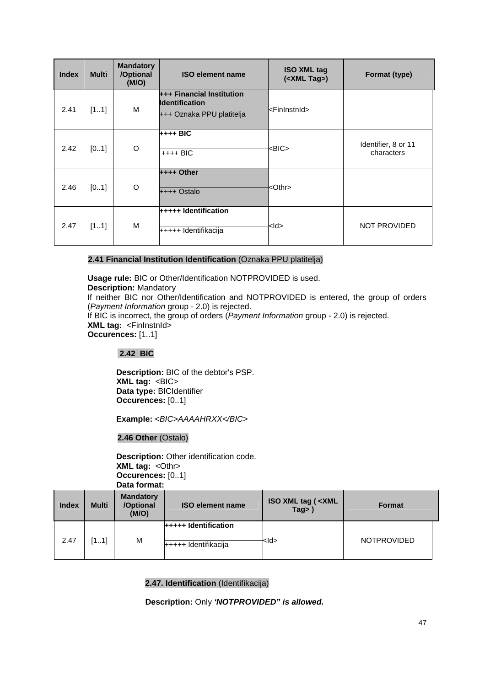| <b>Index</b> | <b>Multi</b> | <b>Mandatory</b><br>/Optional<br>(M/O) | <b>ISO element name</b>                                                                | <b>ISO XML tag</b><br>( <xml tag="">)</xml> | Format (type)                     |
|--------------|--------------|----------------------------------------|----------------------------------------------------------------------------------------|---------------------------------------------|-----------------------------------|
| 2.41         | [11]         | M                                      | <b>+++ Financial Institution</b><br><b>Identification</b><br>+++ Oznaka PPU platitelja | <fininstnid></fininstnid>                   |                                   |
| 2.42         | [01]         | O                                      | $++++$ BIC<br>$++++$ BIC                                                               | <bic></bic>                                 | Identifier, 8 or 11<br>characters |
| 2.46         | [01]         | O                                      | $++++$ Other<br>++++ Ostalo                                                            | <othr></othr>                               |                                   |
| 2.47         | [11]         | M                                      | +++++ Identification<br>+++++ Identifikacija                                           | <ld></ld>                                   | <b>NOT PROVIDED</b>               |

# **2.41 Financial Institution Identification** (Oznaka PPU platitelja)

**Usage rule:** BIC or Other/Identification NOTPROVIDED is used.

**Description:** Mandatory

If neither BIC nor Other/Identification and NOTPROVIDED is entered, the group of orders (Payment Information group - 2.0) is rejected.

If BIC is incorrect, the group of orders (Payment Information group - 2.0) is rejected. **XML tag:** <FinInstnId> **Occurences:** [1..1]

# **2.42 BIC**

**Description:** BIC of the debtor's PSP. **XML tag:** <BIC> **Data type:** BICIdentifier **Occurences:** [0..1]

Example: <BIC>AAAAHRXX</BIC>

**2.46 Other** (Ostalo)

**Description:** Other identification code. **XML tag: < Othr> Occurences:** [0..1] **Data format:**

| <b>Index</b> | <b>Multi</b> | <b>Mandatory</b><br>/Optional<br>(M/O) | <b>ISO element name</b>                             | <b>ISO XML tag (<xml)< b=""><br/>Tag &gt;</xml)<></b> | <b>Format</b>      |
|--------------|--------------|----------------------------------------|-----------------------------------------------------|-------------------------------------------------------|--------------------|
| 2.47         | [11]         | M                                      | <b>+++++ Identification</b><br>+++++ Identifikacija | <ld></ld>                                             | <b>NOTPROVIDED</b> |

# **2.47. Identification** (Identifikacija)

**Description:** Only **'NOTPROVIDED" is allowed.**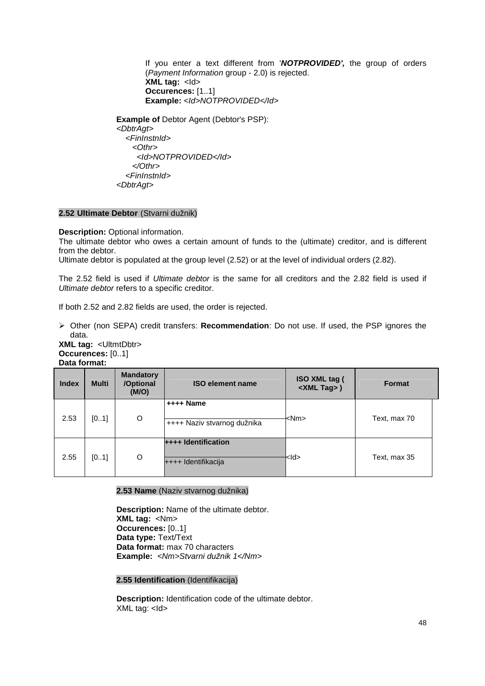If you enter a text different from '**NOTPROVIDED',** the group of orders (Payment Information group - 2.0) is rejected. **XML tag:** <ld> **Occurences:** [1..1] Example: <ld>NOTPROVIDED</ld>

**Example of** Debtor Agent (Debtor's PSP): <DbtrAgt> <FinInstnId> <Othr> <Id>NOTPROVIDED</Id> </Othr> <FinInstnId> <DbtrAgt>

# **2.52 Ultimate Debtor** (Stvarni dužnik)

**Description:** Optional information.

The ultimate debtor who owes a certain amount of funds to the (ultimate) creditor, and is different from the debtor.

Ultimate debtor is populated at the group level (2.52) or at the level of individual orders (2.82).

The 2.52 field is used if Ultimate debtor is the same for all creditors and the 2.82 field is used if Ultimate debtor refers to a specific creditor.

If both 2.52 and 2.82 fields are used, the order is rejected.

 Other (non SEPA) credit transfers: **Recommendation**: Do not use. If used, the PSP ignores the data.

**XML tag:** <UltmtDbtr> **Occurences:** [0..1] **Data format:**

| <b>Index</b> | <b>Multi</b> | <b>Mandatory</b><br>/Optional<br>(M/O) | <b>ISO element name</b>                           | ISO XML tag (<br><xml tag="">)</xml> | <b>Format</b> |
|--------------|--------------|----------------------------------------|---------------------------------------------------|--------------------------------------|---------------|
| 2.53         | [01]         | O                                      | $++++$ Name<br>++++ Naziv stvarnog dužnika        | <nm></nm>                            | Text, max 70  |
| 2.55         | [01]         | O                                      | <b>++++ Identification</b><br>++++ Identifikacija | <ld></ld>                            | Text, max 35  |

## **2.53 Name** (Naziv stvarnog dužnika)

**Description:** Name of the ultimate debtor. **XML tag:** <Nm> **Occurences:** [0..1] **Data type:** Text/Text **Data format:** max 70 characters **Example:** <Nm>Stvarni dužnik 1</Nm>

#### **2.55 Identification** (Identifikacija)

**Description:** Identification code of the ultimate debtor. XML tag: <Id>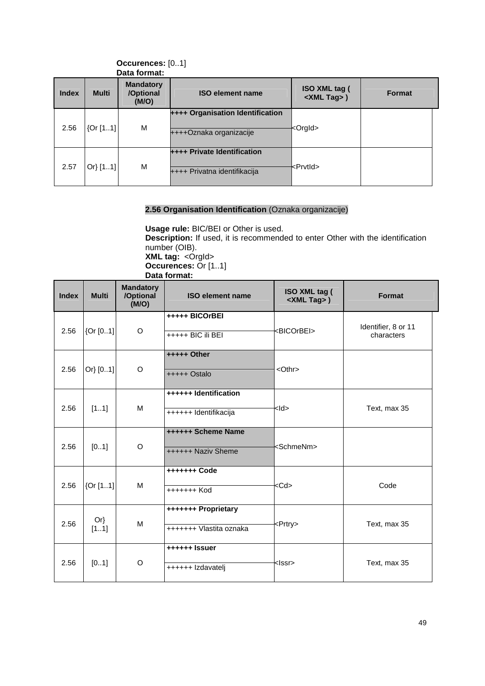|              |              | Data format.                           |                                                                    |                                             |               |
|--------------|--------------|----------------------------------------|--------------------------------------------------------------------|---------------------------------------------|---------------|
| <b>Index</b> | <b>Multi</b> | <b>Mandatory</b><br>/Optional<br>(M/O) | <b>ISO element name</b>                                            | <b>ISO XML tag (</b><br><xml tag="">)</xml> | <b>Format</b> |
| 2.56         | [0r[11]      | M                                      | ++++ Organisation Identification<br>++++Oznaka organizacije        | <orgid></orgid>                             |               |
| 2.57         | Or[11]       | M                                      | <b>++++ Private Identification</b><br>++++ Privatna identifikacija | <prvtid></prvtid>                           |               |

#### **Occurences:** [0..1] **Data format:**

# **2.56 Organisation Identification** (Oznaka organizacije)

**Usage rule:** BIC/BEI or Other is used. **Description:** If used, it is recommended to enter Other with the identification number (OIB). **XML tag:** <OrgId> **Occurences:** Or [1..1] **Data format:** 

| <b>Index</b> | <b>Multi</b>   | <b>Mandatory</b><br>/Optional<br>(M/O) | <b>ISO element name</b>                                   | ISO XML tag (<br><xml tag="">)</xml> | Format                            |
|--------------|----------------|----------------------------------------|-----------------------------------------------------------|--------------------------------------|-----------------------------------|
| 2.56         | [Or [01]]      | O                                      | +++++ BICOrBEI<br>+++++ BIC ili BEI                       | <bicorbei></bicorbei>                | Identifier, 8 or 11<br>characters |
| 2.56         | Or[01]         | O                                      | +++++ Other<br><othr><br/><math>++++</math> Ostalo</othr> |                                      |                                   |
| 2.56         | [11]           | M                                      | ++++++ Identification<br>++++++ Identifikacija            | <ld></ld>                            | Text, max 35                      |
| 2.56         | [01]           | O                                      | ++++++ Scheme Name<br>++++++ Naziv Sheme                  | <schmenm></schmenm>                  |                                   |
| 2.56         | [0r[11]]       | M                                      | +++++++ Code<br>+++++++ Kod                               | <cd></cd>                            | Code                              |
| 2.56         | $Or\}$<br>[11] | M                                      | +++++++ Proprietary<br>+++++++ Vlastita oznaka            | <prtry></prtry>                      | Text, max 35                      |
| 2.56         | [01]           | O                                      | ++++++ Issuer<br>++++++ Izdavatelj                        | <lssr></lssr>                        | Text, max 35                      |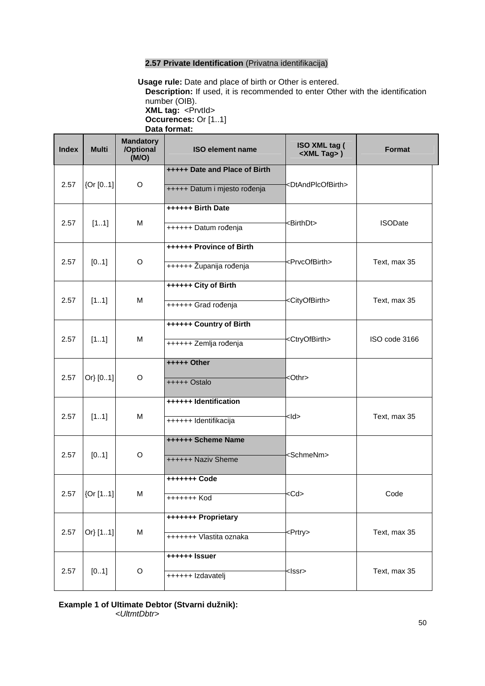# **2.57 Private Identification** (Privatna identifikacija)

 **Usage rule:** Date and place of birth or Other is entered. **Description:** If used, it is recommended to enter Other with the identification number (OIB). **XML tag: <PrvtId> Occurences:** Or [1..1] **Data format:** 

| <b>Index</b> | <b>Multi</b> | <b>Mandatory</b><br>/Optional<br>(M/O) | <b>ISO XML tag (</b><br><b>ISO element name</b><br><xml tag="">)</xml> |                                     | Format         |
|--------------|--------------|----------------------------------------|------------------------------------------------------------------------|-------------------------------------|----------------|
| 2.57         | [Or [01]     | O                                      | +++++ Date and Place of Birth<br>+++++ Datum i mjesto rođenja          | <dtandplcofbirth></dtandplcofbirth> |                |
| 2.57         | [11]         | M                                      | ++++++ Birth Date<br>++++++ Datum rođenja                              | <birthdt></birthdt>                 | <b>ISODate</b> |
| 2.57         | [01]         | O                                      | <b>++++++ Province of Birth</b><br>++++++ Županija rođenja             | <prvcofbirth></prvcofbirth>         | Text, max 35   |
| 2.57         | [11]         | м                                      | ++++++ City of Birth<br>++++++ Grad rođenja                            | <cityofbirth></cityofbirth>         | Text, max 35   |
| 2.57         | [11]         | M                                      | ++++++ Country of Birth<br>++++++ Zemlja rođenja                       | <ctryofbirth></ctryofbirth>         | ISO code 3166  |
| 2.57         | Or} [01]     | O                                      | +++++ Other<br>+++++ Ostalo                                            | <othr></othr>                       |                |
| 2.57         | [11]         | м                                      | ++++++ Identification<br>++++++ Identifikacija                         | $<$ ld>                             | Text, max 35   |
| 2.57         | [01]         | O                                      | ++++++ Scheme Name<br>++++++ Naziv Sheme                               | <schmenm></schmenm>                 |                |
| 2.57         | [0.1]        | M                                      | +++++++ Code<br>+++++++ Kod                                            | <cd></cd>                           | Code           |
| 2.57         | Or} [11]     | M                                      | +++++++ Proprietary<br>+++++++ Vlastita oznaka                         | <prtry></prtry>                     | Text, max 35   |
| 2.57         | [01]         | O                                      | ++++++ Issuer<br>++++++ Izdavatelj                                     | <lssr></lssr>                       | Text, max 35   |

# **Example 1 of UItimate Debtor (Stvarni dužnik):**  <UltmtDbtr>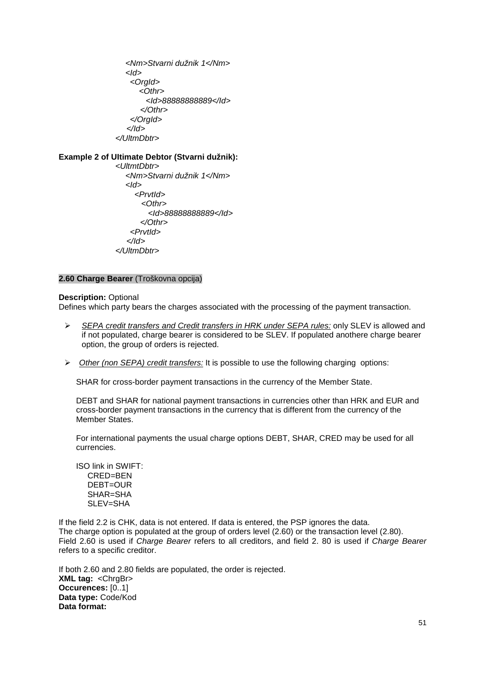<Nm>Stvarni dužnik 1</Nm>  $<$ Id $>$  <OrgId> <Othr> <Id>88888888889</Id> </Othr> </OrgId> </Id> </UltmDbtr>

**Example 2 of UItimate Debtor (Stvarni dužnik):** 

 <UltmtDbtr> <Nm>Stvarni dužnik 1</Nm>  $<$ Id $>$  <PrvtId>  $<$ Othr $>$  <Id>88888888889</Id> </Othr> <PrvtId> </Id> </UltmDbtr>

# **2.60 Charge Bearer** (Troškovna opcija)

**Description: Optional** 

Defines which party bears the charges associated with the processing of the payment transaction.

- $\triangleright$  SEPA credit transfers and Credit transfers in HRK under SEPA rules: only SLEV is allowed and if not populated, charge bearer is considered to be SLEV. If populated anothere charge bearer option, the group of orders is rejected.
- $\triangleright$  Other (non SEPA) credit transfers: It is possible to use the following charging options:

SHAR for cross-border payment transactions in the currency of the Member State.

DEBT and SHAR for national payment transactions in currencies other than HRK and EUR and cross-border payment transactions in the currency that is different from the currency of the Member States

For international payments the usual charge options DEBT, SHAR, CRED may be used for all currencies.

ISO link in SWIFT: CRED=BEN DEBT=OUR SHAR=SHA SLEV=SHA

If the field 2.2 is CHK, data is not entered. If data is entered, the PSP ignores the data. The charge option is populated at the group of orders level (2.60) or the transaction level (2.80). Field 2.60 is used if Charge Bearer refers to all creditors, and field 2. 80 is used if Charge Bearer refers to a specific creditor.

If both 2.60 and 2.80 fields are populated, the order is rejected. **XML tag: <ChrgBr> Occurences:** [0..1] **Data type:** Code/Kod **Data format:**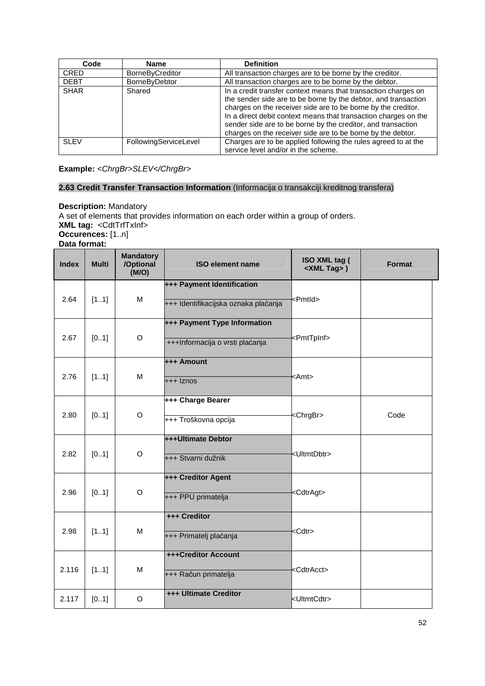| Code        | <b>Name</b>            | <b>Definition</b>                                                                                                                                                                                                                                                                                                                                                                                   |
|-------------|------------------------|-----------------------------------------------------------------------------------------------------------------------------------------------------------------------------------------------------------------------------------------------------------------------------------------------------------------------------------------------------------------------------------------------------|
| <b>CRED</b> | <b>BorneByCreditor</b> | All transaction charges are to be borne by the creditor.                                                                                                                                                                                                                                                                                                                                            |
| <b>DEBT</b> | BorneByDebtor          | All transaction charges are to be borne by the debtor.                                                                                                                                                                                                                                                                                                                                              |
| <b>SHAR</b> | Shared                 | In a credit transfer context means that transaction charges on<br>the sender side are to be borne by the debtor, and transaction<br>charges on the receiver side are to be borne by the creditor.<br>In a direct debit context means that transaction charges on the<br>sender side are to be borne by the creditor, and transaction<br>charges on the receiver side are to be borne by the debtor. |
| <b>SLEV</b> | FollowingServiceLevel  | Charges are to be applied following the rules agreed to at the                                                                                                                                                                                                                                                                                                                                      |
|             |                        | service level and/or in the scheme.                                                                                                                                                                                                                                                                                                                                                                 |

**Example:** <ChrgBr>SLEV</ChrgBr>

# **2.63 Credit Transfer Transaction Information** (Informacija o transakciji kreditnog transfera)

**Description:** Mandatory A set of elements that provides information on each order within a group of orders. **XML tag:** <CdtTrfTxInf> **Occurences:** [1..n] **Data format:**

| <b>Index</b> | <b>Multi</b> | <b>Mandatory</b><br>/Optional<br>(M/O) | <b>ISO element name</b>                                            | ISO XML tag (<br><xml tag="">)</xml> | <b>Format</b> |
|--------------|--------------|----------------------------------------|--------------------------------------------------------------------|--------------------------------------|---------------|
| 2.64         | [11]         | M                                      | +++ Payment Identification<br>+++ Identifikacijska oznaka plaćanja | <pmtld></pmtld>                      |               |
| 2.67         | [01]         | O                                      | +++ Payment Type Information<br>+++Informacija o vrsti plaćanja    | <pmttpinf></pmttpinf>                |               |
| 2.76         | [11]         | M                                      | +++ Amount<br>+++ Iznos                                            | <amt></amt>                          |               |
| 2.80         | [01]         | $\circ$                                | +++ Charge Bearer<br>+++ Troškovna opcija                          | <chrgbr></chrgbr>                    | Code          |
| 2.82         | [01]         | O                                      | +++Ultimate Debtor<br>+++ Stvarni dužnik                           | <ultmtdbtr></ultmtdbtr>              |               |
| 2.96         | [01]         | $\mathsf O$                            | +++ Creditor Agent<br>+++ PPU primatelja                           | <cdtragt></cdtragt>                  |               |
| 2.98         | [11]         | M                                      | +++ Creditor<br>+++ Primatelj plaćanja                             | <cdtr></cdtr>                        |               |
| 2.116        | [11]         | M                                      | +++Creditor Account<br>+++ Račun primatelja                        | <cdtracct></cdtracct>                |               |
| 2.117        | [01]         | O                                      | +++ Ultimate Creditor                                              | kUltmtCdtr>                          |               |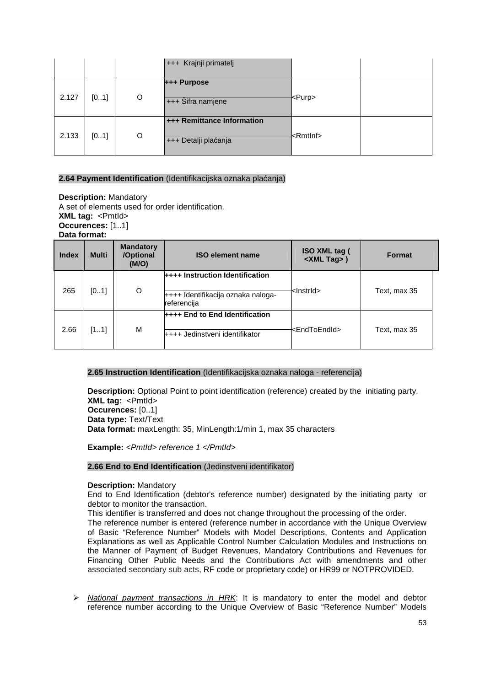|       |      |   | +++ Krajnji primatelj                              |                   |  |
|-------|------|---|----------------------------------------------------|-------------------|--|
| 2.127 | [01] | O | +++ Purpose<br>+++ Šifra namjene                   | <purp></purp>     |  |
| 2.133 | [01] | O | +++ Remittance Information<br>+++ Detalji plaćanja | <rmtlnf></rmtlnf> |  |

## **2.64 Payment Identification** (Identifikacijska oznaka plaćanja)

**Description:** Mandatory A set of elements used for order identification. **XML tag:** <PmtId> **Occurences:** [1..1] **Data format:**

| <b>Index</b> | <b>Multi</b> | <b>Mandatory</b><br>/Optional<br>(M/O) | <b>ISO element name</b>                                                 | <b>ISO XML tag (</b><br><xml tag="">)</xml> | Format       |
|--------------|--------------|----------------------------------------|-------------------------------------------------------------------------|---------------------------------------------|--------------|
|              |              |                                        | ++++ Instruction Identification                                         |                                             |              |
| 265          | [01]         | O                                      | ++++ Identifikacija oznaka naloga-<br>referencija                       | <lnstrid></lnstrid>                         | Text, max 35 |
| 2.66         | [11]         | M                                      | <b>++++ End to End Identification</b><br>++++ Jedinstveni identifikator | <endtoendid></endtoendid>                   | Text, max 35 |

# **2.65 Instruction Identification** (Identifikacijska oznaka naloga - referencija)

**Description:** Optional Point to point identification (reference) created by the initiating party. **XML tag:** <PmtId> **Occurences:** [0..1] **Data type:** Text/Text **Data format:** maxLength: 35, MinLength:1/min 1, max 35 characters

**Example:** <Pmtld> reference 1 </Pmtld>

# **2.66 End to End Identification** (Jedinstveni identifikator)

# **Description:** Mandatory

End to End Identification (debtor's reference number) designated by the initiating party or debtor to monitor the transaction.

This identifier is transferred and does not change throughout the processing of the order. The reference number is entered (reference number in accordance with the Unique Overview of Basic "Reference Number" Models with Model Descriptions, Contents and Application Explanations as well as Applicable Control Number Calculation Modules and Instructions on the Manner of Payment of Budget Revenues, Mandatory Contributions and Revenues for Financing Other Public Needs and the Contributions Act with amendments and other associated secondary sub acts, RF code or proprietary code) or HR99 or NOTPROVIDED.

 $\triangleright$  National payment transactions in HRK: It is mandatory to enter the model and debtor reference number according to the Unique Overview of Basic "Reference Number" Models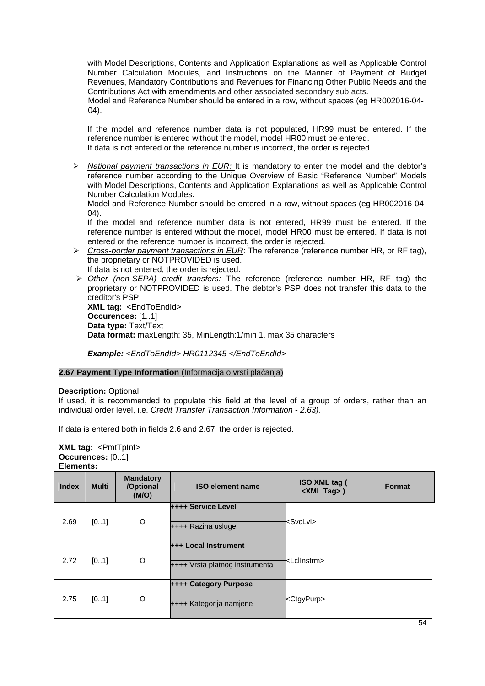with Model Descriptions, Contents and Application Explanations as well as Applicable Control Number Calculation Modules, and Instructions on the Manner of Payment of Budget Revenues, Mandatory Contributions and Revenues for Financing Other Public Needs and the Contributions Act with amendments and other associated secondary sub acts.

Model and Reference Number should be entered in a row, without spaces (eg HR002016-04- 04).

If the model and reference number data is not populated, HR99 must be entered. If the reference number is entered without the model, model HR00 must be entered. If data is not entered or the reference number is incorrect, the order is rejected.

 $\triangleright$  National payment transactions in EUR: It is mandatory to enter the model and the debtor's reference number according to the Unique Overview of Basic "Reference Number" Models with Model Descriptions, Contents and Application Explanations as well as Applicable Control Number Calculation Modules.

Model and Reference Number should be entered in a row, without spaces (eg HR002016-04-  $(04)$ .

If the model and reference number data is not entered, HR99 must be entered. If the reference number is entered without the model, model HR00 must be entered. If data is not entered or the reference number is incorrect, the order is rejected.

Cross-border payment transactions in EUR: The reference (reference number HR, or RF tag), the proprietary or NOTPROVIDED is used.

If data is not entered, the order is rejected.

> Other (non-SEPA) credit transfers: The reference (reference number HR, RF tag) the proprietary or NOTPROVIDED is used. The debtor's PSP does not transfer this data to the creditor's PSP. **XML tag:** <EndToEndId>

**Occurences:** [1..1] **Data type:** Text/Text **Data format:** maxLength: 35, MinLength:1/min 1, max 35 characters

**Example:** <EndToEndId> HR0112345 </EndToEndId>

## **2.67 Payment Type Information** (Informacija o vrsti plaćanja)

## **Description:** Optional

If used, it is recommended to populate this field at the level of a group of orders, rather than an individual order level, i.e. Credit Transfer Transaction Information - 2.63).

If data is entered both in fields 2.6 and 2.67, the order is rejected.

**XML tag:** <PmtTpInf> **Occurences:** [0..1] **Elements:**

| <b>Index</b> | <b>Multi</b> | <b>Mandatory</b><br>/Optional<br>(M/O) | <b>ISO element name</b>                                       | ISO XML tag (<br><xml tag="">)</xml> | <b>Format</b> |
|--------------|--------------|----------------------------------------|---------------------------------------------------------------|--------------------------------------|---------------|
| 2.69         | [01]         | O                                      | ++++ Service Level<br>++++ Razina usluge                      | <svclvl></svclvl>                    |               |
| 2.72         | [01]         | O                                      | <b>+++ Local Instrument</b><br>++++ Vrsta platnog instrumenta | kLclInstrm>                          |               |
| 2.75         | [01]         | O                                      | <b>++++ Category Purpose</b><br>++++ Kategorija namjene       | <ctgypurp></ctgypurp>                |               |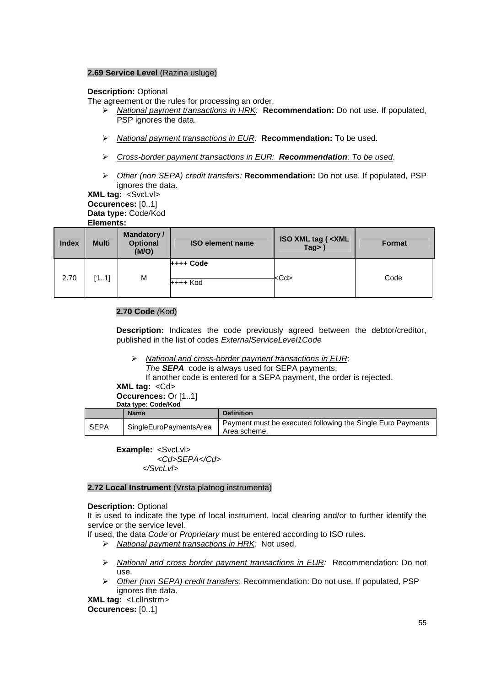# **2.69 Service Level** (Razina usluge)

# **Description:** Optional

The agreement or the rules for processing an order.

- National payment transactions in HRK: **Recommendation:** Do not use. If populated, PSP ignores the data.
- National payment transactions in EUR: **Recommendation:** To be used.
- Cross-border payment transactions in EUR: **Recommendation**: To be used.
- Other (non SEPA) credit transfers: **Recommendation:** Do not use. If populated, PSP ignores the data.
- **XML tag:** <SvcLvl>

**Occurences:** [0..1] **Data type:** Code/Kod

# **Elements:**

| <b>Index</b> | <b>Multi</b> | <b>Mandatory/</b><br><b>Optional</b><br>(M/O) | <b>ISO element name</b>        | <b>ISO XML tag (<xml< b=""><br/><math>Tag&gt;</math>)</xml<></b> | <b>Format</b> |
|--------------|--------------|-----------------------------------------------|--------------------------------|------------------------------------------------------------------|---------------|
| 2.70         | [11]         | M                                             | $++++$ Code<br><b>++++ Kod</b> | <cd></cd>                                                        | Code          |

# **2.70 Code** (Kod)

**Description:** Indicates the code previously agreed between the debtor/creditor, published in the list of codes ExternalServiceLevel1Code

- $\triangleright$  National and cross-border payment transactions in EUR: The **SEPA** code is always used for SEPA payments.
	- If another code is entered for a SEPA payment, the order is rejected.

**XML tag:** <Cd>

**Occurences:** Or [1..1] **Data type: Code/Kod**

|      | <b>Name</b>            | <b>Definition</b>                                                           |  |  |  |
|------|------------------------|-----------------------------------------------------------------------------|--|--|--|
| SEPA | SingleEuroPaymentsArea | Payment must be executed following the Single Euro Payments<br>Area scheme. |  |  |  |

**Example:** <SvcLvl> <Cd>SEPA</Cd> </SvcLvl>

# **2.72 Local Instrument** (Vrsta platnog instrumenta)

## **Description:** Optional

It is used to indicate the type of local instrument, local clearing and/or to further identify the service or the service level.

If used, the data Code or Proprietary must be entered according to ISO rules.

- National payment transactions in HRK: Not used.
- $\triangleright$  National and cross border payment transactions in EUR: Recommendation: Do not use.
- $\triangleright$  Other (non SEPA) credit transfers: Recommendation: Do not use. If populated, PSP ignores the data.

**XML tag:** <LclInstrm> **Occurences:** [0..1]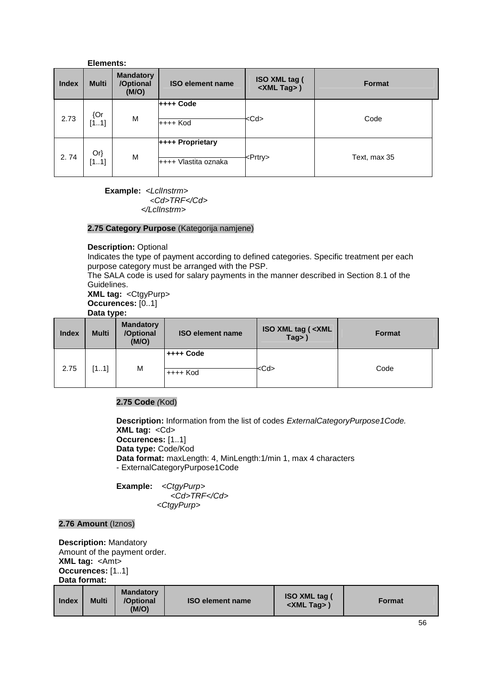|              | Elements:      |                                        |                                          |                                      |               |
|--------------|----------------|----------------------------------------|------------------------------------------|--------------------------------------|---------------|
| <b>Index</b> | <b>Multi</b>   | <b>Mandatory</b><br>/Optional<br>(M/O) | <b>ISO element name</b>                  | ISO XML tag (<br><xml tag="">)</xml> | <b>Format</b> |
| 2.73         | ${Or}$<br>[11] | M                                      | ++++ Code<br>++++ Kod                    | <cd></cd>                            | Code          |
| 2.74         | $Or\}$<br>[11] | M                                      | ++++ Proprietary<br>++++ Vlastita oznaka | <prtry></prtry>                      | Text, max 35  |

**Example:** <Lcllnstrm> <Cd>TRF</Cd> </LclInstrm>

## **2.75 Category Purpose** (Kategorija namjene)

## **Description:** Optional

Indicates the type of payment according to defined categories. Specific treatment per each purpose category must be arranged with the PSP.

The SALA code is used for salary payments in the manner described in Section 8.1 of the Guidelines.

**XML tag:** <CtgyPurp>

**Occurences:** [0..1]

# **Data type:**

| <b>Index</b> | <b>Multi</b> | <b>Mandatory</b><br>/Optional<br>(M/O) | <b>ISO element name</b> | <b>ISO XML tag (<xml< b=""><br/><math>Tag</math>&gt;)</xml<></b> | <b>Format</b> |
|--------------|--------------|----------------------------------------|-------------------------|------------------------------------------------------------------|---------------|
| 2.75         | [11]         | M                                      | ++++ Code<br>$++++$ Kod | <cd></cd>                                                        | Code          |

# **2.75 Code** (Kod)

**Description:** Information from the list of codes ExternalCategoryPurpose1Code. **XML tag:** <Cd> **Occurences:** [1..1] **Data type:** Code/Kod **Data format:** maxLength: 4, MinLength:1/min 1, max 4 characters - ExternalCategoryPurpose1Code

Example: <CtgyPurp> <Cd>TRF</Cd> <CtgyPurp>

# **2.76 Amount** (Iznos)

**Description:** Mandatory Amount of the payment order. **XML tag:** <Amt> **Occurences:** [1..1] **Data format:**

| <b>Index</b> | <b>Multi</b> | <b>Mandatory</b><br>/Optional<br>(M/O) | <b>ISO element name</b> | <b>ISO XML tag (</b><br><xml tag="">'</xml> | <b>Format</b> |
|--------------|--------------|----------------------------------------|-------------------------|---------------------------------------------|---------------|
|--------------|--------------|----------------------------------------|-------------------------|---------------------------------------------|---------------|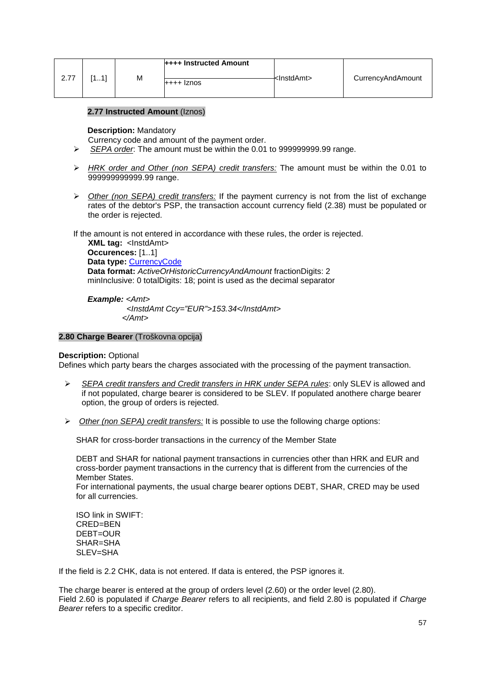| 2.77 | 111 | М | $++++$ Instructed Amount<br>$++++$ $\lambda$ | <lnstdamt></lnstdamt> | CurrencyAndAmount |
|------|-----|---|----------------------------------------------|-----------------------|-------------------|
|      |     |   |                                              |                       |                   |

# **2.77 Instructed Amount** (Iznos)

#### **Description:** Mandatory

Currency code and amount of the payment order.

- SEPA order: The amount must be within the 0.01 to 999999999.99 range.
- $\triangleright$  HRK order and Other (non SEPA) credit transfers: The amount must be within the 0.01 to 999999999999.99 range.
- $\triangleright$  Other (non SEPA) credit transfers: If the payment currency is not from the list of exchange rates of the debtor's PSP, the transaction account currency field (2.38) must be populated or the order is rejected.

If the amount is not entered in accordance with these rules, the order is rejected.

 **XML tag:** <InstdAmt> **Occurences:** [1..1] **Data type:** CurrencyCode **Data format:** ActiveOrHistoricCurrencyAndAmount fractionDigits: 2 minInclusive: 0 totalDigits: 18; point is used as the decimal separator

**Example:** <Amt> <InstdAmt Ccy="EUR">153.34</InstdAmt> </Amt>

#### **2.80 Charge Bearer** (Troškovna opcija)

#### **Description: Optional**

Defines which party bears the charges associated with the processing of the payment transaction.

- SEPA credit transfers and Credit transfers in HRK under SEPA rules: only SLEV is allowed and if not populated, charge bearer is considered to be SLEV. If populated anothere charge bearer option, the group of orders is rejected.
- $\triangleright$  Other (non SEPA) credit transfers: It is possible to use the following charge options:

SHAR for cross-border transactions in the currency of the Member State

DEBT and SHAR for national payment transactions in currencies other than HRK and EUR and cross-border payment transactions in the currency that is different from the currencies of the Member States.

For international payments, the usual charge bearer options DEBT, SHAR, CRED may be used for all currencies.

ISO link in SWIFT: CRED=BEN DEBT=OUR SHAR=SHA SLEV=SHA

If the field is 2.2 CHK, data is not entered. If data is entered, the PSP ignores it.

The charge bearer is entered at the group of orders level (2.60) or the order level (2.80). Field 2.60 is populated if Charge Bearer refers to all recipients, and field 2.80 is populated if Charge Bearer refers to a specific creditor.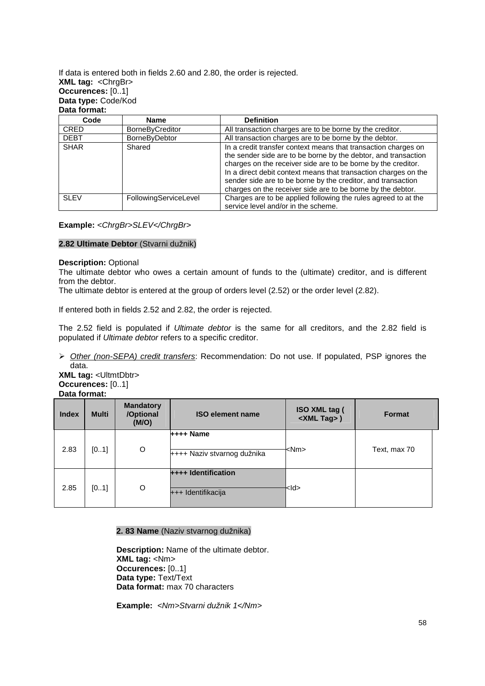If data is entered both in fields 2.60 and 2.80, the order is rejected. **XML tag:** <ChrgBr> **Occurences:** [0..1] **Data type:** Code/Kod **Data format:**

| Code        | <b>Name</b>           | <b>Definition</b>                                                                                                                                                                                                                                                                                                                                                                                   |
|-------------|-----------------------|-----------------------------------------------------------------------------------------------------------------------------------------------------------------------------------------------------------------------------------------------------------------------------------------------------------------------------------------------------------------------------------------------------|
| <b>CRED</b> | BorneByCreditor       | All transaction charges are to be borne by the creditor.                                                                                                                                                                                                                                                                                                                                            |
| <b>DEBT</b> | BorneByDebtor         | All transaction charges are to be borne by the debtor.                                                                                                                                                                                                                                                                                                                                              |
| <b>SHAR</b> | Shared                | In a credit transfer context means that transaction charges on<br>the sender side are to be borne by the debtor, and transaction<br>charges on the receiver side are to be borne by the creditor.<br>In a direct debit context means that transaction charges on the<br>sender side are to be borne by the creditor, and transaction<br>charges on the receiver side are to be borne by the debtor. |
| <b>SLEV</b> | FollowingServiceLevel | Charges are to be applied following the rules agreed to at the<br>service level and/or in the scheme.                                                                                                                                                                                                                                                                                               |

**Example:** <ChrgBr>SLEV</ChrgBr>

#### **2.82 Ultimate Debtor** (Stvarni dužnik)

#### **Description:** Optional

The ultimate debtor who owes a certain amount of funds to the (ultimate) creditor, and is different from the debtor.

The ultimate debtor is entered at the group of orders level (2.52) or the order level (2.82).

If entered both in fields 2.52 and 2.82, the order is rejected.

The 2.52 field is populated if Ultimate debtor is the same for all creditors, and the 2.82 field is populated if Ultimate debtor refers to a specific creditor.

 $\triangleright$  Other (non-SEPA) credit transfers: Recommendation: Do not use. If populated, PSP ignores the data.

**XML tag:** <UltmtDbtr> **Occurences:** [0..1] **Data format:**

| <b>Index</b> | <b>Multi</b> | <b>Mandatory</b><br>/Optional<br>(M/O) | <b>ISO element name</b>                    | ISO XML tag (<br><xml tag="">)</xml> | <b>Format</b> |
|--------------|--------------|----------------------------------------|--------------------------------------------|--------------------------------------|---------------|
| 2.83         | [01]         | O                                      | $++++$ Name<br>++++ Naziv stvarnog dužnika | <nm></nm>                            | Text, max 70  |
| 2.85         | [01]         | O                                      | ++++ Identification<br>+++ Identifikacija  | kld>                                 |               |

# **2. 83 Name** (Naziv stvarnog dužnika)

**Description:** Name of the ultimate debtor. **XML tag:** <Nm> **Occurences:** [0..1] **Data type:** Text/Text **Data format:** max 70 characters

**Example:** <Nm>Stvarni dužnik 1</Nm>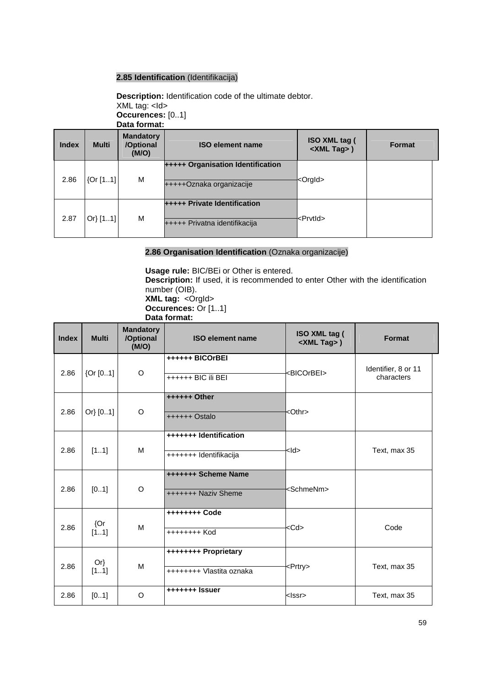# **2.85 Identification** (Identifikacija)

**Description:** Identification code of the ultimate debtor. XML tag: <Id> **Occurences:** [0..1] **Data format:**

| <b>Index</b> | <b>Multi</b> | <b>Mandatory</b><br>/Optional<br>(M/O) | <b>ISO element name</b>                                       | ISO XML tag (<br><xml tag="">)</xml> | <b>Format</b> |
|--------------|--------------|----------------------------------------|---------------------------------------------------------------|--------------------------------------|---------------|
| 2.86         | [0r[11]      | M                                      | +++++ Organisation Identification<br>+++++Oznaka organizacije | <orgld></orgld>                      |               |
| 2.87         | Or[11]       | M                                      | +++++ Private Identification<br>+++++ Privatna identifikacija | <prvtld></prvtld>                    |               |

# **2.86 Organisation Identification** (Oznaka organizacije)

**Usage rule:** BIC/BEi or Other is entered.

**Description:** If used, it is recommended to enter Other with the identification number (OIB). **XML tag: <Orgld>** 

**Occurences:** Or [1..1]

**Data format:** 

| <b>Index</b> | <b>Multi</b>   | <b>Mandatory</b><br>/Optional<br>(M/O) | <b>ISO element name</b>                          | ISO XML tag (<br><xml tag="">)</xml> | Format                            |
|--------------|----------------|----------------------------------------|--------------------------------------------------|--------------------------------------|-----------------------------------|
| 2.86         | ${Or}$ [01]    | $\circ$                                | ++++++ BICOrBEI<br>++++++ BIC ili BEI            | <bicorbei></bicorbei>                | Identifier, 8 or 11<br>characters |
| 2.86         | Or[01]         | O                                      | ++++++ Other<br>++++++ Ostalo                    | <othr></othr>                        |                                   |
| 2.86         | [11]           | M                                      | +++++++ Identification<br>+++++++ Identifikacija | kld>                                 | Text, max 35                      |
| 2.86         | [01]           | O                                      | +++++++ Scheme Name<br>+++++++ Naziv Sheme       | <schmenm></schmenm>                  |                                   |
| 2.86         | ${Qr}$<br>[11] | M                                      | ++++++++ Code<br>++++++++ Kod                    | <cd></cd>                            | Code                              |
| 2.86         | $Or\}$<br>[11] | M                                      | ++++++++ Proprietary<br>++++++++ Vlastita oznaka | <prtry></prtry>                      | Text, max 35                      |
| 2.86         | [01]           | $\circ$                                | +++++++ Issuer                                   | klssr>                               | Text, max 35                      |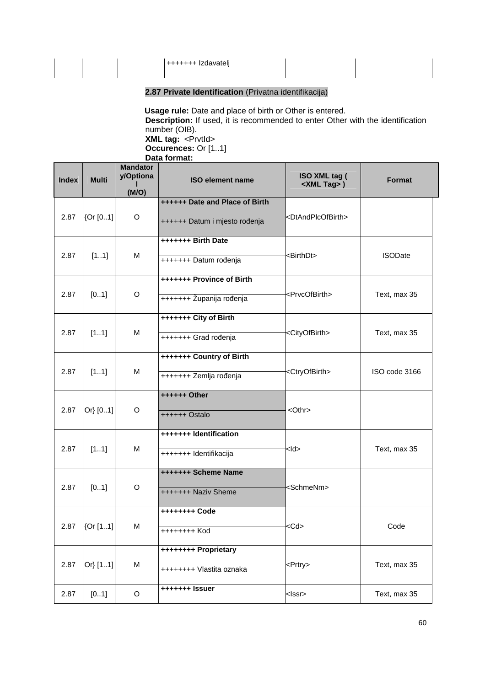|  | $+$ +++++++ Izdavatelj |  |
|--|------------------------|--|
|  |                        |  |
|  |                        |  |
|  |                        |  |

# **2.87 Private Identification** (Privatna identifikacija)

 **Usage rule:** Date and place of birth or Other is entered. **Description:** If used, it is recommended to enter Other with the identification number (OIB). **XML tag:** <PrvtId> **Occurences:** Or [1..1]

**Data format:** 

| <b>Index</b> | <b>Multi</b> | <b>Mandator</b><br>y/Optiona<br>(M/O) | <b>ISO element name</b>        | ISO XML tag (<br><xml tag="">)</xml> | <b>Format</b>  |
|--------------|--------------|---------------------------------------|--------------------------------|--------------------------------------|----------------|
|              |              |                                       | ++++++ Date and Place of Birth |                                      |                |
| 2.87         | {Or [01]     | O                                     | ++++++ Datum i mjesto rođenja  | <dtandplcofbirth></dtandplcofbirth>  |                |
|              |              |                                       | +++++++ Birth Date             |                                      |                |
| 2.87         | [11]         | M                                     | +++++++ Datum rođenja          | <birthdt></birthdt>                  | <b>ISODate</b> |
|              |              |                                       | +++++++ Province of Birth      |                                      |                |
| 2.87         | [01]         | O                                     | +++++++ Županija rođenja       | <prvcofbirth></prvcofbirth>          | Text, max 35   |
|              |              |                                       | +++++++ City of Birth          |                                      |                |
|              |              |                                       |                                |                                      |                |
| 2.87         | [11]         | M                                     | +++++++ Grad rođenja           | <cityofbirth></cityofbirth>          | Text, max 35   |
|              |              |                                       | +++++++ Country of Birth       |                                      |                |
| 2.87         | [11]         | M                                     | +++++++ Zemlja rođenja         | <ctryofbirth></ctryofbirth>          | ISO code 3166  |
|              |              |                                       | ++++++ Other                   |                                      |                |
| 2.87         | Or} [01]     | O                                     | ++++++ Ostalo                  | $<$ Othr $>$                         |                |
|              |              |                                       | +++++++ Identification         |                                      |                |
| 2.87         | [11]         | M                                     |                                | <ld></ld>                            | Text, max 35   |
|              |              |                                       | +++++++ Identifikacija         |                                      |                |
|              |              |                                       | +++++++ Scheme Name            |                                      |                |
| 2.87         | [01]         | O                                     | +++++++ Naziv Sheme            | <schmenm></schmenm>                  |                |
|              |              |                                       | ++++++++ Code                  |                                      |                |
| 2.87         | {Or [11]     | м                                     |                                | <cd></cd>                            | Code           |
|              |              |                                       | ++++++++ Kod                   |                                      |                |
|              |              |                                       | ++++++++ Proprietary           |                                      |                |
| 2.87         | Or} [11]     | M                                     | ++++++++ Vlastita oznaka       | <prtry></prtry>                      | Text, max 35   |
| 2.87         | [01]         | O                                     | +++++++ Issuer                 | <lssr></lssr>                        | Text, max 35   |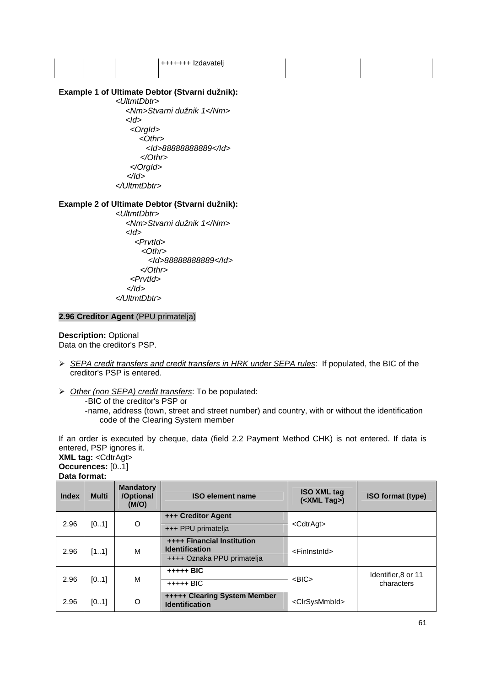|  | +++++++ Izdavateli<br>. |  |  |
|--|-------------------------|--|--|
|  |                         |  |  |

# **Example 1 of UItimate Debtor (Stvarni dužnik):**

 <UltmtDbtr> <Nm>Stvarni dužnik 1</Nm>  $<$ Id $>$  <OrgId> <Othr> <Id>88888888889</Id> </Othr> </OrgId> </Id> </UltmtDbtr>

# **Example 2 of UItimate Debtor (Stvarni dužnik):**

 <UltmtDbtr> <Nm>Stvarni dužnik 1</Nm>  $<$ Id $>$  <PrvtId>  $<$ Othr $>$  <Id>88888888889</Id> </Othr> <PrvtId>  $<$ /Id $>$ </UltmtDbtr>

# **2.96 Creditor Agent** (PPU primatelja)

**Description:** Optional Data on the creditor's PSP.

- SEPA credit transfers and credit transfers in HRK under SEPA rules: If populated, the BIC of the creditor's PSP is entered.
- > Other (non SEPA) credit transfers: To be populated:
	- BIC of the creditor's PSP or
		- name, address (town, street and street number) and country, with or without the identification code of the Clearing System member

If an order is executed by cheque, data (field 2.2 Payment Method CHK) is not entered. If data is entered, PSP ignores it.

#### **XML tag:** <CdtrAgt> **Occurences:** [0..1] **Data format:**

| <b>Index</b> | <b>Multi</b> | <b>Mandatory</b><br>/Optional<br>(M/O) | <b>ISO element name</b>                                                                  | <b>ISO XML tag</b><br>( <xml tag="">)</xml> | <b>ISO format (type)</b>          |
|--------------|--------------|----------------------------------------|------------------------------------------------------------------------------------------|---------------------------------------------|-----------------------------------|
| 2.96         | [01]         | $\circ$                                | +++ Creditor Agent<br>+++ PPU primatelja                                                 | <cdtragt></cdtragt>                         |                                   |
| 2.96         | [11]         | м                                      | <b>++++ Financial Institution</b><br><b>Identification</b><br>++++ Oznaka PPU primatelja | <fininstnid></fininstnid>                   |                                   |
| 2.96         | [01]         | М                                      | $++++$ BIC<br>$++++$ BIC                                                                 | $<$ BIC $>$                                 | Identifier, 8 or 11<br>characters |
| 2.96         | [01]         | O                                      | <b>+++++ Clearing System Member</b><br><b>Identification</b>                             | <clrsysmmbid></clrsysmmbid>                 |                                   |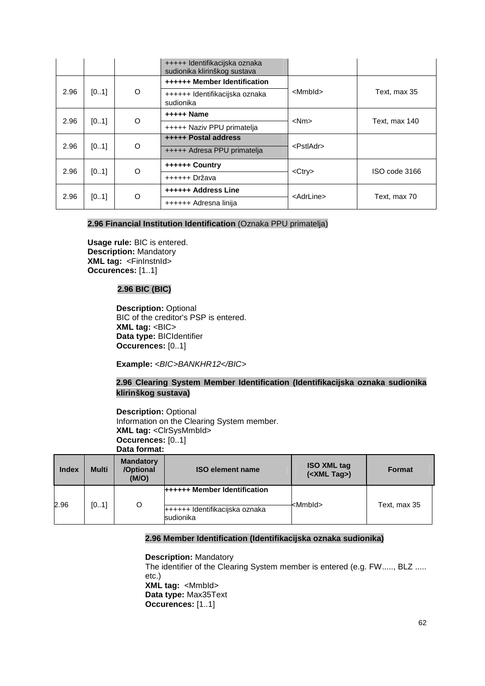|      |      |   | +++++ Identifikacijska oznaka<br>sudionika klirinškog sustava |                     |               |  |
|------|------|---|---------------------------------------------------------------|---------------------|---------------|--|
|      |      |   | <b>++++++ Member Identification</b>                           | <mmbld></mmbld>     |               |  |
| 2.96 | [01] | O | ++++++ Identifikacijska oznaka<br>sudionika                   |                     | Text, max 35  |  |
|      | [01] | O | +++++ Name                                                    | $<$ Nm $>$          | Text, max 140 |  |
| 2.96 |      |   | +++++ Naziv PPU primatelja                                    |                     |               |  |
|      |      | O | +++++ Postal address                                          | <pstladr></pstladr> |               |  |
| 2.96 | [01] |   | +++++ Adresa PPU primatelja                                   |                     |               |  |
| 2.96 |      |   | ++++++ Country                                                | $<$ Ctry $>$        |               |  |
|      | [01] | O | ++++++ Država                                                 |                     | ISO code 3166 |  |
|      |      |   | ++++++ Address Line                                           |                     |               |  |
| 2.96 | [01] | Ω | ++++++ Adresna linija                                         | <adrline></adrline> | Text, max 70  |  |

# **2.96 Financial Institution Identification** (Oznaka PPU primatelja)

**Usage rule:** BIC is entered. **Description:** Mandatory **XML tag:** <FinInstnId> **Occurences:** [1..1]

# **2.96 BIC (BIC)**

**Description:** Optional BIC of the creditor's PSP is entered. **XML tag: <BIC> Data type:** BICIdentifier **Occurences:** [0..1]

Example: <BIC>BANKHR12</BIC>

# **2.96 Clearing System Member Identification (Identifikacijska oznaka sudionika klirinškog sustava)**

**Description:** Optional Information on the Clearing System member. **XML tag:** <ClrSysMmbId> **Occurences:** [0..1] **Data format:**

| <b>Index</b> | <b>Multi</b> | <b>Mandatory</b><br>/Optional<br>(M/O) | <b>ISO element name</b>                                                            | <b>ISO XML tag</b><br>( <xml tag="">)</xml> | <b>Format</b> |
|--------------|--------------|----------------------------------------|------------------------------------------------------------------------------------|---------------------------------------------|---------------|
| 2.96         | [01]         | $\circ$                                | <b>++++++ Member Identification</b><br>++++++ Identifikacijska oznaka<br>sudionika | <mmbld></mmbld>                             | Text, max 35  |

## **2.96 Member Identification (Identifikacijska oznaka sudionika)**

## **Description:** Mandatory

The identifier of the Clearing System member is entered (e.g. FW....., BLZ ..... etc.) **XML tag:** <MmbId> **Data type:** Max35Text **Occurences:** [1..1]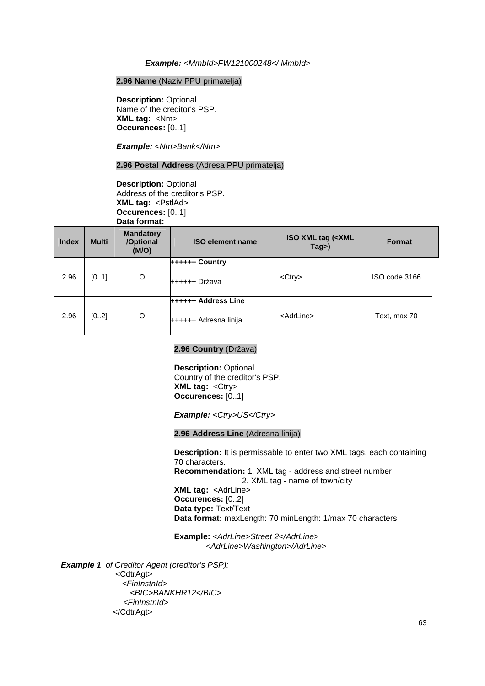#### **Example:** <MmbId>FW121000248</ MmbId>

## **2.96 Name** (Naziv PPU primatelja)

**Description:** Optional Name of the creditor's PSP. **XML tag:** <Nm> **Occurences:** [0..1]

**Example:** <Nm>Bank</Nm>

#### **2.96 Postal Address** (Adresa PPU primatelja)

**Description:** Optional Address of the creditor's PSP. **XML tag:** <PstlAd> **Occurences:** [0..1] **Data format:**

| <b>Index</b> | <b>Multi</b> | <b>Mandatory</b><br>/Optional<br>(M/O) | <b>ISO element name</b>                             | <b>ISO XML tag (<xml< b=""><br/>Tag&gt;)</xml<></b> | <b>Format</b> |  |
|--------------|--------------|----------------------------------------|-----------------------------------------------------|-----------------------------------------------------|---------------|--|
| 2.96         | [01]         | O                                      | ++++++ Country<br>++++++ Država                     | <ctry></ctry>                                       | ISO code 3166 |  |
| 2.96         | [02]         | O                                      | <b>++++++ Address Line</b><br>++++++ Adresna linija | <adrline></adrline>                                 | Text, max 70  |  |

#### **2.96 Country** (Država)

**Description:** Optional Country of the creditor's PSP. **XML tag: <Ctry> Occurences:** [0..1]

**Example:** <Ctry>US</Ctry>

#### **2.96 Address Line** (Adresna linija)

**Description:** It is permissable to enter two XML tags, each containing 70 characters. **Recommendation:** 1. XML tag - address and street number 2. XML tag - name of town/city **XML tag:** <AdrLine> **Occurences:** [0..2] **Data type:** Text/Text **Data format:** maxLength: 70 minLength: 1/max 70 characters

**Example:** <AdrLine>Street 2</AdrLine> <AdrLine>Washington>/AdrLine>

 **Example 1** of Creditor Agent (creditor's PSP):

 <CdtrAgt> <FinInstnId> <BIC>BANKHR12</BIC> <FinInstnId> </CdtrAgt>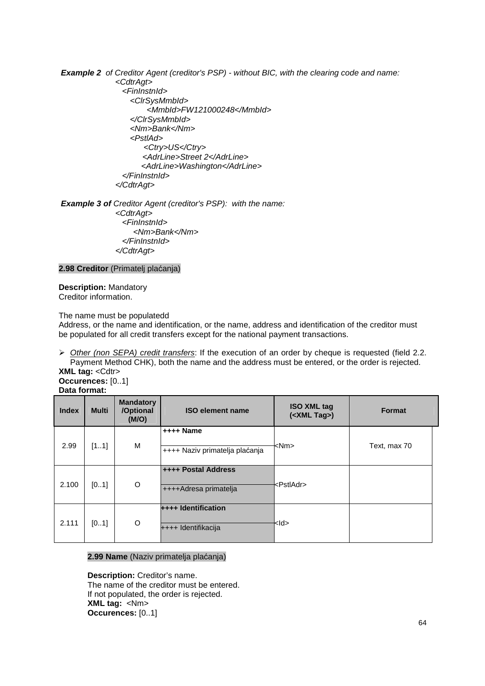**Example 2** of Creditor Agent (creditor's PSP) - without BIC, with the clearing code and name: <CdtrAgt>

 <FinInstnId> <ClrSysMmbId> <MmbId>FW121000248</MmbId> </ClrSysMmbId> <Nm>Bank</Nm> <PstlAd> <Ctry>US</Ctry> <AdrLine>Street 2</AdrLine> <AdrLine>Washington</AdrLine> </FinInstnId> </CdtrAgt>

**Example 3 of** Creditor Agent (creditor's PSP): with the name: <CdtrAgt> <FinInstnId> <Nm>Bank</Nm> </FinInstnId> </CdtrAgt>

**2.98 Creditor** (Primatelj plaćanja)

**Description:** Mandatory Creditor information.

The name must be populatedd

Address, or the name and identification, or the name, address and identification of the creditor must be populated for all credit transfers except for the national payment transactions.

 Other (non SEPA) credit transfers: If the execution of an order by cheque is requested (field 2.2. Payment Method CHK), both the name and the address must be entered, or the order is rejected. **XML tag: <Cdtr>** 

**Occurences:** [0..1] **Data format:**

| <b>Index</b> | <b>Multi</b> | <b>Mandatory</b><br>/Optional<br>(M/O) | <b>ISO element name</b>                             | <b>ISO XML tag</b><br>$(<$ XML Tag>) | <b>Format</b> |
|--------------|--------------|----------------------------------------|-----------------------------------------------------|--------------------------------------|---------------|
| 2.99         | [11]         | М                                      | $++++$ Name<br>++++ Naziv primatelja plaćanja       | <nm></nm>                            | Text, max 70  |
| 2.100        | [01]         | O                                      | <b>++++ Postal Address</b><br>++++Adresa primatelja | <pstladr></pstladr>                  |               |
| 2.111        | [01]         | O                                      | <b>++++ Identification</b><br>++++ Identifikacija   | kld>                                 |               |

## **2.99 Name** (Naziv primatelja plaćanja)

**Description:** Creditor's name. The name of the creditor must be entered. If not populated, the order is rejected. **XML tag:** <Nm> **Occurences:** [0..1]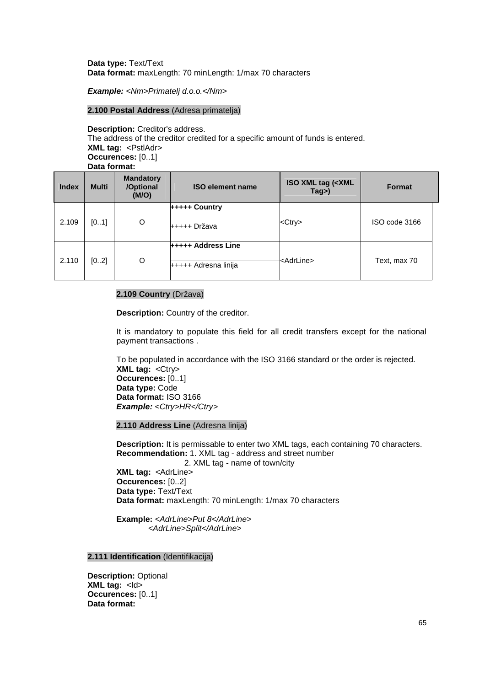## **Data type:** Text/Text **Data format:** maxLength: 70 minLength: 1/max 70 characters

**Example:** <Nm>Primatelj d.o.o.</Nm>

## **2.100 Postal Address** (Adresa primatelja)

**Description:** Creditor's address. The address of the creditor credited for a specific amount of funds is entered. **XML tag:** <PstlAdr> **Occurences:** [0..1] **Data format:**

| <b>Index</b> | <b>Multi</b> | <b>Mandatory</b><br>/Optional<br>(M/O) | <b>ISO element name</b>                           | <b>ISO XML tag (<xml< b=""><br/>Tag&gt;)</xml<></b> | <b>Format</b> |  |
|--------------|--------------|----------------------------------------|---------------------------------------------------|-----------------------------------------------------|---------------|--|
| 2.109        | [01]         | O                                      | +++++ Country<br>+++++ Država                     | <ctrv></ctrv>                                       | ISO code 3166 |  |
| 2.110        | [02]         | O                                      | <b>+++++ Address Line</b><br>+++++ Adresna linija | <adrline></adrline>                                 | Text, max 70  |  |

#### **2.109 Country** (Država)

**Description:** Country of the creditor.

It is mandatory to populate this field for all credit transfers except for the national payment transactions .

To be populated in accordance with the ISO 3166 standard or the order is rejected. **XML tag:** <Ctry> **Occurences:** [0..1] **Data type:** Code **Data format:** ISO 3166 **Example:** <Ctry>HR</Ctry>

## **2.110 Address Line** (Adresna linija)

**Description:** It is permissable to enter two XML tags, each containing 70 characters. **Recommendation:** 1. XML tag - address and street number 2. XML tag - name of town/city

**XML tag:** <AdrLine> **Occurences:** [0..2] **Data type:** Text/Text **Data format:** maxLength: 70 minLength: 1/max 70 characters

Example: <AdrLine>Put 8</AdrLine> <AdrLine>Split</AdrLine>

#### **2.111 Identification** (Identifikacija)

**Description:** Optional **XML tag:** <ld> **Occurences:** [0..1] **Data format:**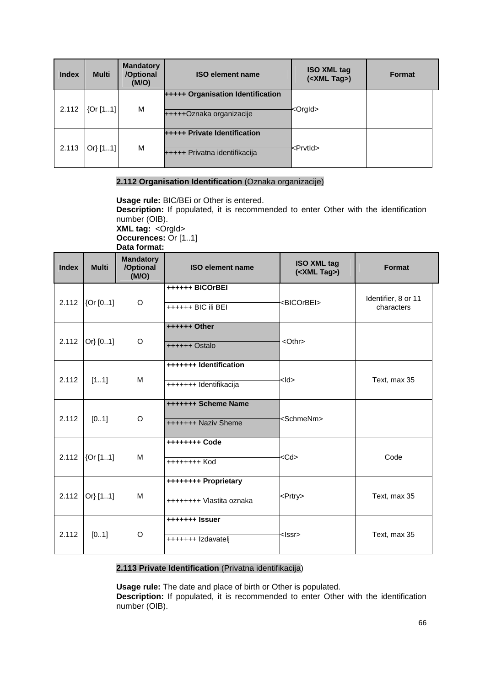| <b>Index</b> | <b>Multi</b> | <b>Mandatory</b><br>/Optional<br>(M/O) | <b>ISO element name</b>                                              | <b>ISO XML tag</b><br>( <xml tag="">)</xml> | <b>Format</b> |
|--------------|--------------|----------------------------------------|----------------------------------------------------------------------|---------------------------------------------|---------------|
| 2.112        | [0r[11]      | M                                      | <b>+++++ Organisation Identification</b><br>+++++Oznaka organizacije | <orgid></orgid>                             |               |
| 2.113        | Or[11]       | M                                      | <b>+++++ Private Identification</b><br>+++++ Privatna identifikacija | <prvtld></prvtld>                           |               |

# **2.112 Organisation Identification** (Oznaka organizacije)

**Usage rule:** BIC/BEi or Other is entered. **Description:** If populated, it is recommended to enter Other with the identification number (OIB). **XML tag: < Orgld> Occurences:** Or [1..1] **Data format:** 

| <b>Index</b> | <b>Multi</b> | <b>Mandatory</b><br>/Optional<br>(M/O) | <b>ISO element name</b>                          | <b>ISO XML tag</b><br>( <xml tag="">)</xml> | Format                            |
|--------------|--------------|----------------------------------------|--------------------------------------------------|---------------------------------------------|-----------------------------------|
| 2.112        | {Or [01]     | O                                      | <b>++++++ BICOrBEI</b><br>++++++ BIC ili BEI     | <bicorbei></bicorbei>                       | Identifier, 8 or 11<br>characters |
| 2.112        | Or[01]       | O                                      | ++++++ Other<br>++++++ Ostalo                    | <othr></othr>                               |                                   |
| 2.112        | [11]         | M                                      | +++++++ Identification<br>+++++++ Identifikacija | $>$ ld $>$                                  | Text, max 35                      |
| 2.112        | [01]         | O                                      | +++++++ Scheme Name<br>+++++++ Naziv Sheme       | <schmenm></schmenm>                         |                                   |
| 2.112        | [Or [11]     | M                                      | ++++++++ Code<br>++++++++ Kod                    | <cd></cd>                                   | Code                              |
| 2.112        | Or} $[11]$   | м                                      | ++++++++ Proprietary<br>++++++++ Vlastita oznaka | <prtry></prtry>                             | Text, max 35                      |
| 2.112        | [01]         | O                                      | +++++++ Issuer<br>+++++++ Izdavatelj             | <lssr></lssr>                               | Text, max 35                      |

# **2.113 Private Identification** (Privatna identifikacija)

**Usage rule:** The date and place of birth or Other is populated. **Description:** If populated, it is recommended to enter Other with the identification number (OIB).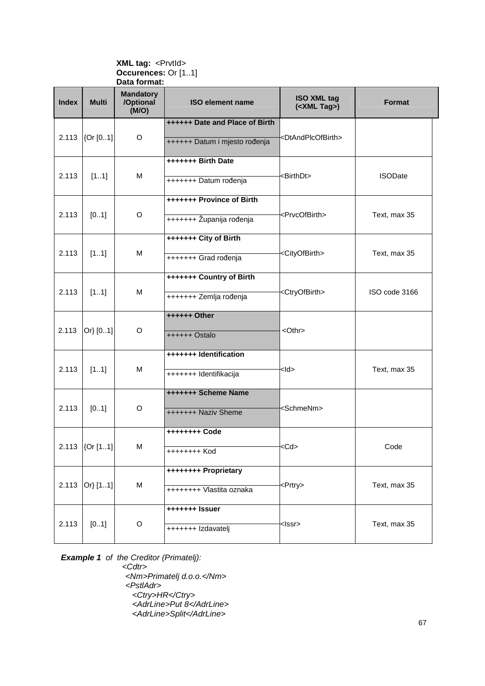#### **XML tag: <PrvtId> Occurences:** Or [1..1] **Data format:**

| <b>Index</b> | <b>Multi</b>     | <b>Mandatory</b><br>/Optional<br>(M/O) | <b>ISO element name</b>        | <b>ISO XML tag</b><br>( <xml tag="">)</xml> | <b>Format</b>  |
|--------------|------------------|----------------------------------------|--------------------------------|---------------------------------------------|----------------|
|              |                  |                                        | ++++++ Date and Place of Birth |                                             |                |
| 2.113        | {Or [01]         | $\circ$                                | ++++++ Datum i mjesto rođenja  | <dtandplcofbirth></dtandplcofbirth>         |                |
|              |                  |                                        | +++++++ Birth Date             |                                             |                |
| 2.113        | [11]             | M                                      | +++++++ Datum rođenja          | <birthdt></birthdt>                         | <b>ISODate</b> |
|              |                  |                                        | +++++++ Province of Birth      |                                             |                |
| 2.113        | [01]             | O                                      | +++++++ Županija rođenja       | <prvcofbirth></prvcofbirth>                 | Text, max 35   |
|              |                  |                                        | +++++++ City of Birth          |                                             |                |
| 2.113        | [11]             | M                                      | +++++++ Grad rođenja           | <cityofbirth></cityofbirth>                 | Text, max 35   |
|              |                  |                                        | +++++++ Country of Birth       |                                             |                |
| 2.113        | [11]             | M                                      | +++++++ Zemlja rođenja         | <ctryofbirth></ctryofbirth>                 | ISO code 3166  |
|              |                  |                                        | ++++++ Other                   |                                             |                |
| 2.113        | Or} [01]         | O                                      | ++++++ Ostalo                  | <othr></othr>                               |                |
|              |                  |                                        | +++++++ Identification         |                                             |                |
| 2.113        | [11]             | M                                      | +++++++ Identifikacija         | <ld></ld>                                   | Text, max 35   |
|              |                  |                                        | +++++++ Scheme Name            |                                             |                |
| 2.113        | [01]             | O                                      | +++++++ Naziv Sheme            | <schmenm></schmenm>                         |                |
|              |                  |                                        | ++++++++ Code                  |                                             |                |
|              | 2.113 $[Or [11]$ | M                                      | ++++++++ Kod                   | <cd></cd>                                   | Code           |
|              |                  |                                        | ++++++++ Proprietary           |                                             |                |
| 2.113        | Or} [11]         | M                                      | ++++++++ Vlastita oznaka       | <prtry></prtry>                             | Text, max 35   |
|              |                  |                                        | +++++++ Issuer                 |                                             |                |
| 2.113        | [01]             | $\circ$                                | +++++++ Izdavatelj             | <lssr></lssr>                               | Text, max 35   |

**Example 1** of the Creditor (Primatelj):

 <Cdtr> <Nm>Primatelj d.o.o.</Nm> <PstlAdr> <Ctry>HR</Ctry> <AdrLine>Put 8</AdrLine> <AdrLine>Split</AdrLine>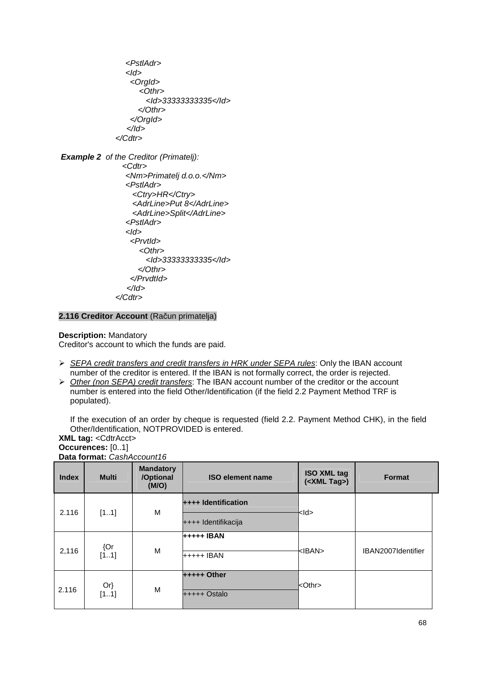<PstlAdr> <Id> <OrgId> <Othr> <Id>33333333335</Id> </Othr> </OrgId> </Id> </Cdtr>

**Example 2** of the Creditor (Primatelj): <Cdtr> <Nm>Primatelj d.o.o.</Nm> <PstlAdr> <Ctry>HR</Ctry> <AdrLine>Put 8</AdrLine> <AdrLine>Split</AdrLine> <PstlAdr> <Id> <PrvtId> <Othr> <Id>33333333335</Id> </Othr> </PrvdtId> </Id> </Cdtr>

**2.116 Creditor Account** (Račun primatelja)

#### **Description:** Mandatory

Creditor's account to which the funds are paid.

- SEPA credit transfers and credit transfers in HRK under SEPA rules: Only the IBAN account number of the creditor is entered. If the IBAN is not formally correct, the order is rejected.
- $\triangleright$  Other (non SEPA) credit transfers: The IBAN account number of the creditor or the account number is entered into the field Other/Identification (if the field 2.2 Payment Method TRF is populated).

If the execution of an order by cheque is requested (field 2.2. Payment Method CHK), in the field Other/Identification, NOTPROVIDED is entered.

**XML tag:** <CdtrAcct> **Occurences:** [0..1] **Data format:** CashAccount16

| <b>Index</b> | <b>Multi</b> | <b>Mandatory</b><br>/Optional<br>(M/O) | <b>ISO element name</b> | <b>ISO XML tag</b><br>$(<$ XML Tag>) | <b>Format</b>      |
|--------------|--------------|----------------------------------------|-------------------------|--------------------------------------|--------------------|
|              |              | M                                      | ++++ Identification     | <ld></ld>                            |                    |
| 2.116        | [11]         |                                        | ++++ Identifikacija     |                                      |                    |
|              | ${Qr}$       |                                        | +++++ IBAN              |                                      |                    |
| 2,116        | [11]         | M                                      | $++++$ IBAN             | <iban></iban>                        | IBAN2007Identifier |
|              | $Or\}$       |                                        | $++++$ Other            | <othr></othr>                        |                    |
| 2.116        | [11]         | M                                      | +++++ Ostalo            |                                      |                    |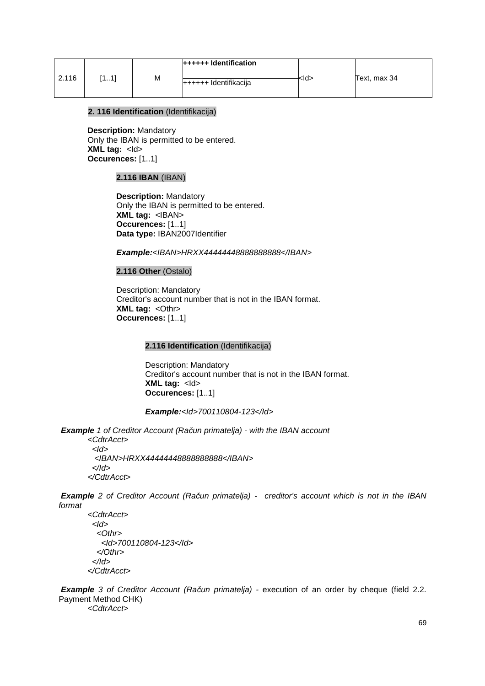|       |              |   | $+$ +++++ Identification |           |              |
|-------|--------------|---|--------------------------|-----------|--------------|
| 2.116 | - 41<br>[11] | M | $+++++$ Identifikacija   | <ld></ld> | Text, max 34 |

## **2. 116 Identification** (Identifikacija)

**Description:** Mandatory Only the IBAN is permitted to be entered. **XML tag:** <Id> **Occurences:** [1..1]

# **2.116 IBAN** (IBAN)

**Description:** Mandatory Only the IBAN is permitted to be entered. **XML tag:** <IBAN> **Occurences:** [1..1] **Data type:** IBAN2007Identifier

## **Example:**<IBAN>HRXX44444448888888888</IBAN>

#### **2.116 Other** (Ostalo)

Description: Mandatory Creditor's account number that is not in the IBAN format. **XML tag: < Othr> Occurences:** [1..1]

## **2.116 Identification** (Identifikacija)

Description: Mandatory Creditor's account number that is not in the IBAN format. **XML tag:** <Id> **Occurences:** [1..1]

## **Example:**<Id>700110804-123</Id>

 **Example** 1 of Creditor Account (Ra*č*un primatelja) - with the IBAN account

<CdtrAcct>  $<$ Id $>$  <IBAN>HRXX44444448888888888</IBAN> </Id> </CdtrAcct>

 **Example** 2 of Creditor Account (Ra*č*un primatelja) - creditor's account which is not in the IBAN format

<CdtrAcct>  $<$ Id $>$  $<$  Othr $>$  <Id>700110804-123</Id> </Othr> </Id> </CdtrAcct>

 **Example** 3 of Creditor Account (Ra*č*un primatelja) - execution of an order by cheque (field 2.2. Payment Method CHK) <CdtrAcct>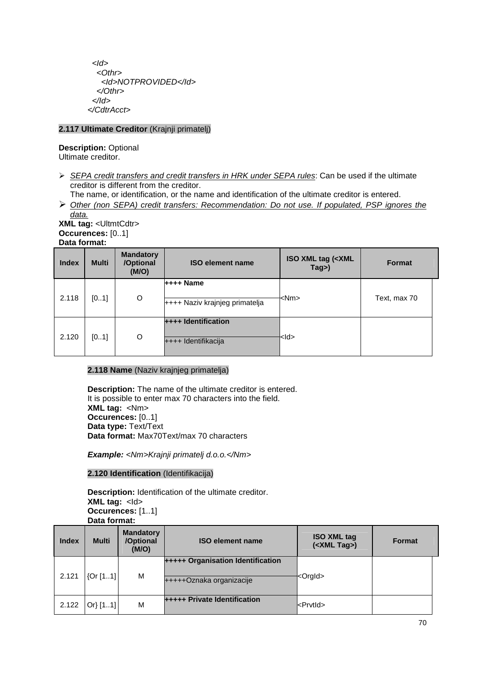$<$ Id $>$  <Othr> <Id>NOTPROVIDED</Id> </Othr> </Id> </CdtrAcct>

# **2.117 Ultimate Creditor** (Krajnji primatelj)

**Description:** Optional Ultimate creditor.

- $\triangleright$  SEPA credit transfers and credit transfers in HRK under SEPA rules: Can be used if the ultimate creditor is different from the creditor.
- The name, or identification, or the name and identification of the ultimate creditor is entered. Other (non SEPA) credit transfers: Recommendation: Do not use. If populated, PSP ignores the data.

**XML tag:** <UltmtCdtr> **Occurences:** [0..1] **Data format:**

| <b>Index</b> | <b>Multi</b> | <b>Mandatory</b><br>/Optional<br>(M/O) | <b>ISO element name</b>                           | <b>ISO XML tag (<xml< b=""><br/>Tag&gt;)</xml<></b> | <b>Format</b> |
|--------------|--------------|----------------------------------------|---------------------------------------------------|-----------------------------------------------------|---------------|
| 2.118        | [01]         | O                                      | $++++$ Name<br>$++++$ Naziv krajnjeg primatelja   | <nm></nm>                                           | Text, max 70  |
| 2.120        | [01]         | O                                      | <b>++++ Identification</b><br>++++ Identifikacija | <ld></ld>                                           |               |

# **2.118 Name** (Naziv krajnjeg primatelja)

**Description:** The name of the ultimate creditor is entered. It is possible to enter max 70 characters into the field. **XML tag:** <Nm> **Occurences:** [0..1] **Data type:** Text/Text **Data format:** Max70Text/max 70 characters

**Example:** <Nm>Krajnji primatelj d.o.o.</Nm>

# **2.120 Identification** (Identifikacija)

**Description:** Identification of the ultimate creditor. **XML tag: <Id> Occurences:** [1..1] **Data format:**

| <b>Index</b> | <b>Multi</b> | <b>Mandatory</b><br>/Optional<br>(M/O) | <b>ISO element name</b>                                              | <b>ISO XML tag</b><br>( <xml tag="">)</xml> | <b>Format</b> |
|--------------|--------------|----------------------------------------|----------------------------------------------------------------------|---------------------------------------------|---------------|
| 2.121        | [0r[11]      | M                                      | <b>+++++ Organisation Identification</b><br>+++++Oznaka organizacije | <orgld></orgld>                             |               |
| 2.122        | Or[11]       | М                                      | <b>+++++ Private Identification</b>                                  | $k$ PrvtId $\geq$                           |               |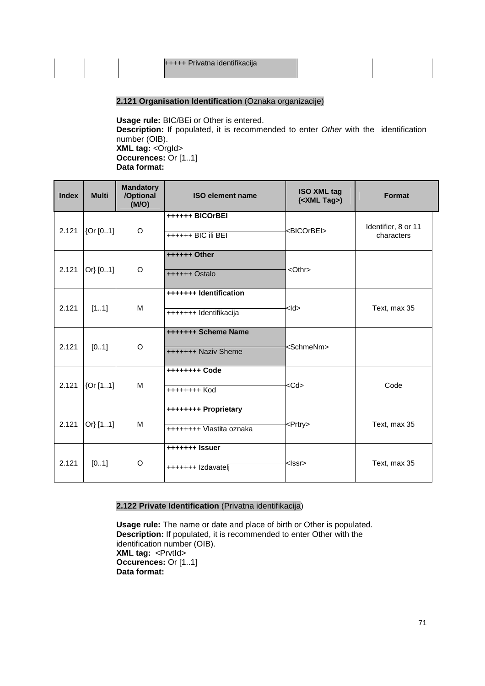|  | +++++ Privatna identifikacija |  |
|--|-------------------------------|--|
|  |                               |  |

# **2.121 Organisation Identification** (Oznaka organizacije)

**Usage rule:** BIC/BEi or Other is entered. **Description:** If populated, it is recommended to enter Other with the identification number (OIB). **XML tag: <Orgld> Occurences:** Or [1..1] **Data format:** 

| <b>Index</b> | <b>Multi</b> | <b>Mandatory</b><br>/Optional<br>(M/O) | <b>ISO element name</b>                          | <b>ISO XML tag</b><br>( <xml tag="">)</xml> | Format                            |
|--------------|--------------|----------------------------------------|--------------------------------------------------|---------------------------------------------|-----------------------------------|
| 2.121        | [Or [01]]    | O                                      | ++++++ BICOrBEI<br>++++++ BIC ili BEI            | <bicorbei></bicorbei>                       | Identifier, 8 or 11<br>characters |
| 2.121        | Or[01]       | O                                      | ++++++ Other<br>++++++ Ostalo                    | $<$ Othr $>$                                |                                   |
| 2.121        | [11]         | M                                      | +++++++ Identification<br>+++++++ Identifikacija | kld>                                        | Text, max 35                      |
| 2.121        | [01]         | O                                      | +++++++ Scheme Name<br>+++++++ Naziv Sheme       | <schmenm></schmenm>                         |                                   |
| 2.121        | [0r[11]]     | м                                      | +++++++++ Code<br>++++++++ Kod                   | <cd></cd>                                   | Code                              |
| 2.121        | Or} $[11]$   | M                                      | ++++++++ Proprietary<br>++++++++ Vlastita oznaka | <prtry></prtry>                             | Text, max 35                      |
| 2.121        | [01]         | O                                      | +++++++ Issuer<br>+++++++ Izdavatelj             | <lssr></lssr>                               | Text, max 35                      |

# **2.122 Private Identification** (Privatna identifikacija)

**Usage rule:** The name or date and place of birth or Other is populated. **Description:** If populated, it is recommended to enter Other with the identification number (OIB). **XML tag:** <PrvtId> **Occurences:** Or [1..1] **Data format:**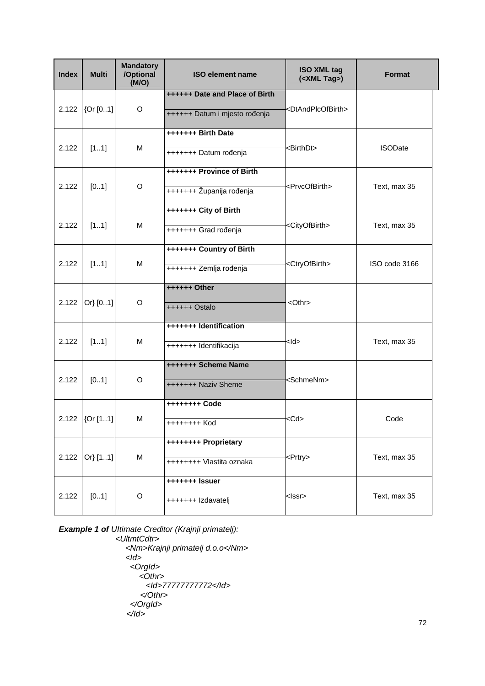| <b>Index</b> | <b>Multi</b>    | <b>Mandatory</b><br>/Optional<br>(M/O) | <b>ISO element name</b>        | <b>ISO XML tag</b><br>( <xml tag="">)</xml> | <b>Format</b>  |
|--------------|-----------------|----------------------------------------|--------------------------------|---------------------------------------------|----------------|
|              |                 |                                        | ++++++ Date and Place of Birth |                                             |                |
| 2.122        | {Or [01]        | O                                      | ++++++ Datum i mjesto rođenja  | <dtandplcofbirth></dtandplcofbirth>         |                |
|              |                 |                                        | +++++++ Birth Date             |                                             |                |
| 2.122        | [11]            | M                                      | +++++++ Datum rođenja          | <birthdt></birthdt>                         | <b>ISODate</b> |
|              |                 |                                        | +++++++ Province of Birth      |                                             |                |
| 2.122        | [01]            | O                                      | +++++++ Županija rođenja       | <prvcofbirth></prvcofbirth>                 | Text, max 35   |
|              |                 |                                        | +++++++ City of Birth          |                                             |                |
| 2.122        | [11]            | м                                      | +++++++ Grad rođenja           | <cityofbirth></cityofbirth>                 | Text, max 35   |
|              |                 |                                        | +++++++ Country of Birth       |                                             |                |
| 2.122        | [11]            | м                                      | +++++++ Zemlja rođenja         | <ctryofbirth></ctryofbirth>                 | ISO code 3166  |
|              |                 |                                        | ++++++ Other                   |                                             |                |
| 2.122        | Or} [01]        | O                                      | ++++++ Ostalo                  | <othr></othr>                               |                |
|              |                 |                                        | +++++++ Identification         |                                             |                |
| 2.122        | [11]            | м                                      | +++++++ Identifikacija         | <ld></ld>                                   | Text, max 35   |
|              |                 |                                        | +++++++ Scheme Name            |                                             |                |
| 2.122        | [01]            | O                                      | +++++++ Naziv Sheme            | <schmenm></schmenm>                         |                |
|              |                 |                                        |                                |                                             |                |
|              | 2.122 $[Or[11]$ | М                                      | ++++++++ Kod                   | <cd></cd>                                   | Code           |
|              |                 |                                        | ++++++++ Proprietary           |                                             |                |
| 2.122        | Or} [11]        | M                                      | ++++++++ Vlastita oznaka       | <prtry></prtry>                             | Text, max 35   |
|              |                 |                                        | +++++++ Issuer                 |                                             |                |
| 2.122        | [01]            | O                                      | +++++++ Izdavatelj             | <lssr></lssr>                               | Text, max 35   |

**Example 1 of** Ultimate Creditor (Krajnji primatelj): <UltmtCdtr> <Nm>Krajnji primatelj d.o.o</Nm>  $<$ Id $>$  <OrgId> <Othr> <Id>77777777772</Id> </Othr> </OrgId>  $<$ /Id>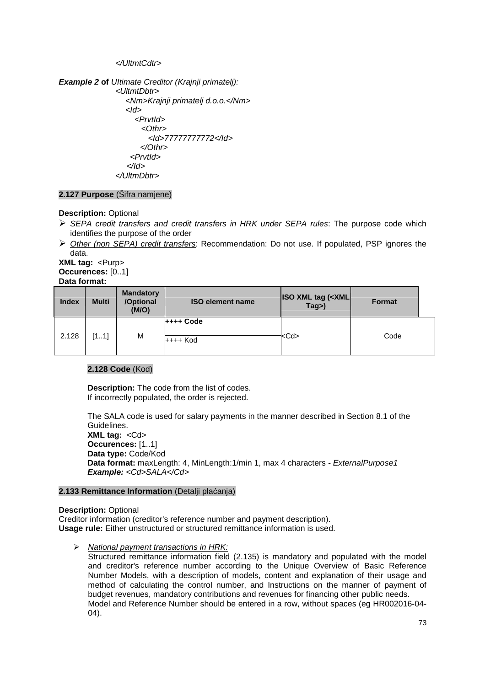</UltmtCdtr>

**Example 2 of** Ultimate Creditor (Krajnji primatelj): <UltmtDbtr> <Nm>Krajnji primatelj d.o.o.</Nm> <Id> <PrvtId>  $<$ Othr $>$  <Id>77777777772</Id> </Othr> <PrvtId> </Id> </UltmDbtr>

## **2.127 Purpose** (Šifra namjene)

**Description:** Optional

- $\triangleright$  SEPA credit transfers and credit transfers in HRK under SEPA rules: The purpose code which identifies the purpose of the order
- $\triangleright$  Other (non SEPA) credit transfers: Recommendation: Do not use. If populated, PSP ignores the data.

**XML tag: <Purp> Occurences:** [0..1] **Data format:**

| <b>Index</b> | <b>Multi</b> | <b>Mandatory</b><br>/Optional<br>(M/O) | <b>ISO element name</b> | <b>ISO XML tag (<xml)< b=""><br/>Tag&gt;)</xml)<></b> | <b>Format</b> |  |
|--------------|--------------|----------------------------------------|-------------------------|-------------------------------------------------------|---------------|--|
| 2.128        | [11]         | M                                      | $++++$ Code<br>++++ Kod | <cd></cd>                                             | Code          |  |

### **2.128 Code** (Kod)

**Description:** The code from the list of codes. If incorrectly populated, the order is rejected.

The SALA code is used for salary payments in the manner described in Section 8.1 of the Guidelines. **XML tag:** <Cd> **Occurences:** [1..1] **Data type:** Code/Kod **Data format:** maxLength: 4, MinLength:1/min 1, max 4 characters - ExternalPurpose1 **Example:** <Cd>SALA</Cd>

#### **2.133 Remittance Information** (Detalji plaćanja)

#### **Description:** Optional

Creditor information (creditor's reference number and payment description). **Usage rule:** Either unstructured or structured remittance information is used.

> National payment transactions in HRK:

Structured remittance information field (2.135) is mandatory and populated with the model and creditor's reference number according to the Unique Overview of Basic Reference Number Models, with a description of models, content and explanation of their usage and method of calculating the control number, and Instructions on the manner of payment of budget revenues, mandatory contributions and revenues for financing other public needs. Model and Reference Number should be entered in a row, without spaces (eg HR002016-04- 04).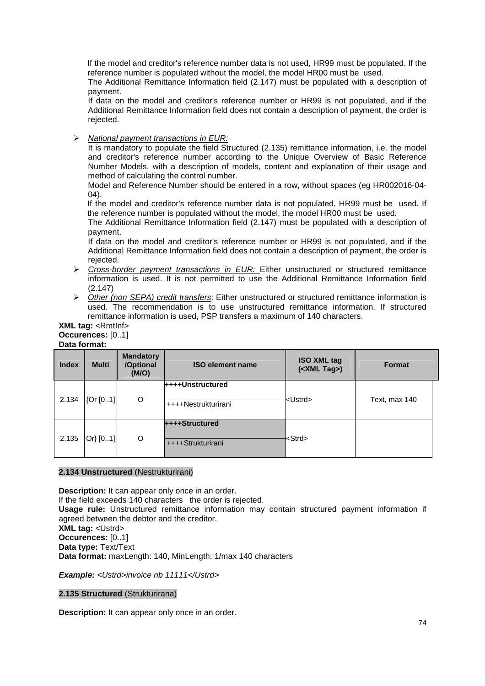If the model and creditor's reference number data is not used, HR99 must be populated. If the reference number is populated without the model, the model HR00 must be used.

The Additional Remittance Information field (2.147) must be populated with a description of payment.

If data on the model and creditor's reference number or HR99 is not populated, and if the Additional Remittance Information field does not contain a description of payment, the order is rejected.

 $\triangleright$  National payment transactions in EUR:

It is mandatory to populate the field Structured (2.135) remittance information, i.e. the model and creditor's reference number according to the Unique Overview of Basic Reference Number Models, with a description of models, content and explanation of their usage and method of calculating the control number.

Model and Reference Number should be entered in a row, without spaces (eg HR002016-04-  $\Omega$ 

If the model and creditor's reference number data is not populated, HR99 must be used. If the reference number is populated without the model, the model HR00 must be used.

The Additional Remittance Information field (2.147) must be populated with a description of payment.

If data on the model and creditor's reference number or HR99 is not populated, and if the Additional Remittance Information field does not contain a description of payment, the order is rejected.

- $\triangleright$  Cross-border payment transactions in EUR: Either unstructured or structured remittance information is used. It is not permitted to use the Additional Remittance Information field (2.147)
- $\triangleright$  Other (non SEPA) credit transfers: Either unstructured or structured remittance information is used. The recommendation is to use unstructured remittance information. If structured remittance information is used, PSP transfers a maximum of 140 characters.

#### **XML tag:** <RmtInf> **Occurences:** [0..1] **Data format:**

| <b>Index</b> | <b>Multi</b> | <b>Mandatory</b><br>/Optional<br>(M/O) | <b>ISO element name</b>                        | <b>ISO XML tag</b><br>( <xml tag="">)</xml> | <b>Format</b> |
|--------------|--------------|----------------------------------------|------------------------------------------------|---------------------------------------------|---------------|
| 2.134        | {Or [01]     | O                                      | <b>++++Unstructured</b><br>++++Nestrukturirani | <ustrd></ustrd>                             | Text, max 140 |
| 2.135        | Or[01]       | O                                      | ++++Structured<br>++++Strukturirani            | <strd></strd>                               |               |

## **2.134 Unstructured** (Nestrukturirani)

**Description:** It can appear only once in an order. If the field exceeds 140 characters the order is rejected. **Usage rule:** Unstructured remittance information may contain structured payment information if agreed between the debtor and the creditor. **XML tag:** <Ustrd> **Occurences:** [0..1] **Data type:** Text/Text **Data format:** maxLength: 140, MinLength: 1/max 140 characters

**Example:** <Ustrd>invoice nb 11111</Ustrd>

#### **2.135 Structured** (Strukturirana)

**Description:** It can appear only once in an order.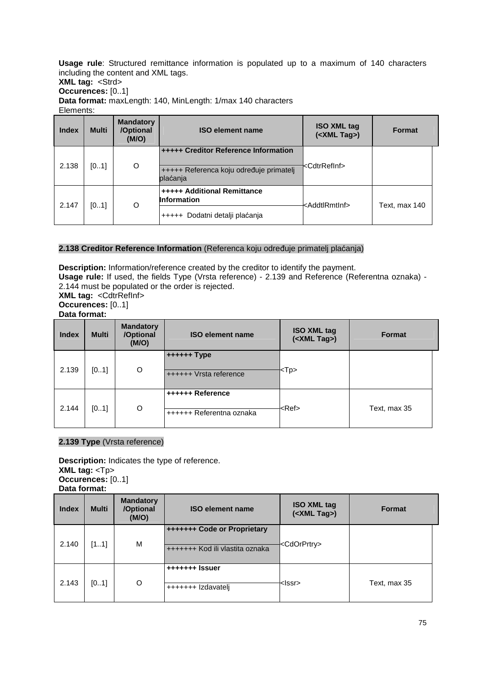**Usage rule**: Structured remittance information is populated up to a maximum of 140 characters including the content and XML tags.

**XML tag: <Strd> Occurences:** [0..1]

**Data format:** maxLength: 140, MinLength: 1/max 140 characters

Elements:

| <b>Index</b> | <b>Multi</b> | <b>Mandatory</b><br>/Optional<br>(M/O) | <b>ISO element name</b>                                                                            | <b>ISO XML tag</b><br>( <xml tag="">)</xml> | <b>Format</b> |
|--------------|--------------|----------------------------------------|----------------------------------------------------------------------------------------------------|---------------------------------------------|---------------|
| 2.138        | [01]         | O                                      | <b>+++++ Creditor Reference Information</b><br>+++++ Referenca koju određuje primatelj<br>plaćanja | <cdtrrefinf></cdtrrefinf>                   |               |
| 2.147        | [01]         | O                                      | <b>+++++ Additional Remittance</b><br><b>Information</b>                                           | <addtlrmtinf></addtlrmtinf>                 | Text, max 140 |
|              |              |                                        | +++++ Dodatni detalji plaćanja                                                                     |                                             |               |

## **2.138 Creditor Reference Information** (Referenca koju određuje primatelj plaćanja)

**Description:** Information/reference created by the creditor to identify the payment. **Usage rule:** If used, the fields Type (Vrsta reference) - 2.139 and Reference (Referentna oznaka) - 2.144 must be populated or the order is rejected. **XML tag: < CdtrRefInf> Occurences:** [0..1] **Data format:**

| <b>Index</b> | <b>Multi</b> | <b>Mandatory</b><br>/Optional<br>(M/O) | <b>ISO element name</b>                      | <b>ISO XML tag</b><br>( <xml tag="">)</xml> | <b>Format</b> |
|--------------|--------------|----------------------------------------|----------------------------------------------|---------------------------------------------|---------------|
| 2.139        | [01]         | O                                      | $++++++$ Type<br>++++++ Vrsta reference      | <tp></tp>                                   |               |
| 2.144        | [01]         | O                                      | ++++++ Reference<br>++++++ Referentna oznaka | <ref></ref>                                 | Text, max 35  |

# **2.139 Type** (Vrsta reference)

**Description:** Indicates the type of reference. **XML tag:** <Tp> **Occurences:** [0..1] **Data format:**

| <b>Index</b> | <b>Multi</b> | <b>Mandatory</b><br>/Optional<br>(M/O) | <b>ISO element name</b>                                        | <b>ISO XML tag</b><br>( <xml tag="">)</xml> | <b>Format</b> |
|--------------|--------------|----------------------------------------|----------------------------------------------------------------|---------------------------------------------|---------------|
| 2.140        | [11]         | M                                      | +++++++ Code or Proprietary<br>+++++++ Kod ili vlastita oznaka | <cdorprtry></cdorprtry>                     |               |
| 2.143        | [01]         | O                                      | +++++++ Izdavateli                                             | <lssr></lssr>                               | Text, max 35  |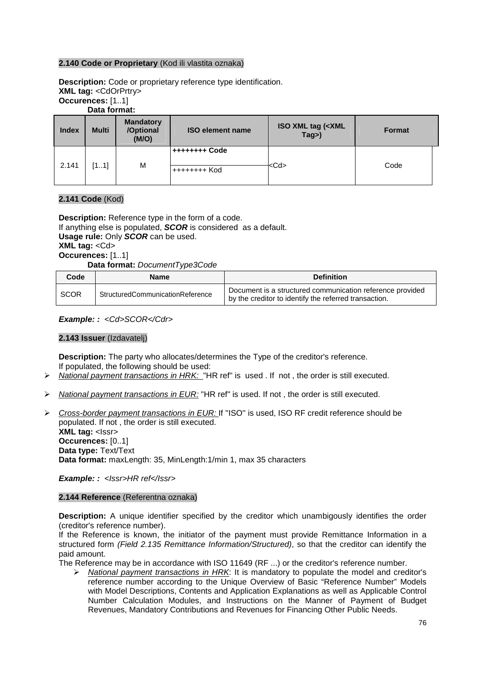### **2.140 Code or Proprietary** (Kod ili vlastita oznaka)

**Description:** Code or proprietary reference type identification. **XML tag:** <CdOrPrtry> **Occurences:** [1..1] **Data format:**

| <b>Index</b> | <b>Multi</b> | <b>Mandatory</b><br>/Optional<br>(M/O) | <b>ISO element name</b>        | <b>ISO XML tag (<xml< b=""><br/>Tag&gt;)</xml<></b> | <b>Format</b> |  |
|--------------|--------------|----------------------------------------|--------------------------------|-----------------------------------------------------|---------------|--|
| 2.141        | [11]         | M                                      | ++++++++ Code<br>'++++++++ Kod | <cd></cd>                                           | Code          |  |

### **2.141 Code** (Kod)

**Description:** Reference type in the form of a code. If anything else is populated, **SCOR** is considered as a default. **Usage rule:** Only **SCOR** can be used. **XML tag:** <Cd> **Occurences:** [1..1] **Data format:** DocumentType3Code

| Code        | Name                             | <b>Definition</b>                                                                                                  |
|-------------|----------------------------------|--------------------------------------------------------------------------------------------------------------------|
| <b>SCOR</b> | StructuredCommunicationReference | Document is a structured communication reference provided<br>by the creditor to identify the referred transaction. |

**Example: :** <Cd>SCOR</Cdr>

### **2.143 Issuer** (Izdavatelj)

**Description:** The party who allocates/determines the Type of the creditor's reference. If populated, the following should be used:

- $\triangleright$  National payment transactions in HRK: "HR ref" is used . If not, the order is still executed.
- $\triangleright$  National payment transactions in EUR: "HR ref" is used. If not, the order is still executed.
- ▶ Cross-border payment transactions in EUR: If "ISO" is used, ISO RF credit reference should be populated. If not , the order is still executed. **XML tag: <Issr> Occurences:** [0..1] **Data type:** Text/Text **Data format:** maxLength: 35, MinLength:1/min 1, max 35 characters

**Example:** : <Issr>HR ref</Issr>

#### **2.144 Reference** (Referentna oznaka)

**Description:** A unique identifier specified by the creditor which unambigously identifies the order (creditor's reference number).

If the Reference is known, the initiator of the payment must provide Remittance Information in a structured form (Field 2.135 Remittance Information/Structured), so that the creditor can identify the paid amount.

The Reference may be in accordance with ISO 11649 (RF ...) or the creditor's reference number.

National payment transactions in HRK: It is mandatory to populate the model and creditor's reference number according to the Unique Overview of Basic "Reference Number" Models with Model Descriptions, Contents and Application Explanations as well as Applicable Control Number Calculation Modules, and Instructions on the Manner of Payment of Budget Revenues, Mandatory Contributions and Revenues for Financing Other Public Needs.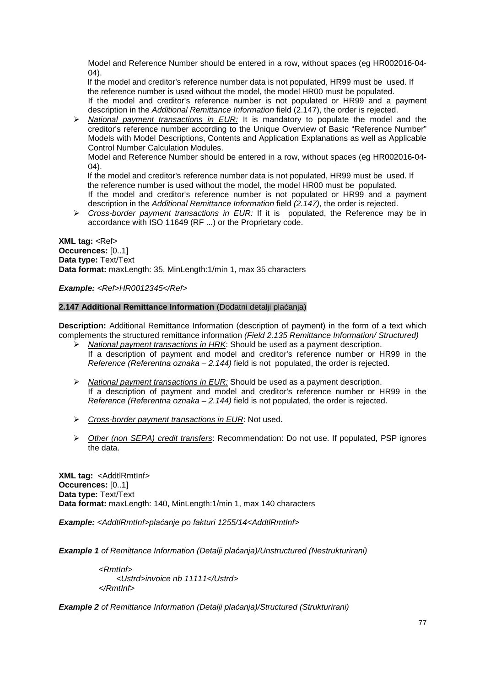Model and Reference Number should be entered in a row, without spaces (eg HR002016-04- 04).

If the model and creditor's reference number data is not populated, HR99 must be used. If the reference number is used without the model, the model HR00 must be populated. If the model and creditor's reference number is not populated or HR99 and a payment description in the Additional Remittance Information field (2.147), the order is rejected.

 $\triangleright$  *National payment transactions in EUR:* It is mandatory to populate the model and the creditor's reference number according to the Unique Overview of Basic "Reference Number" Models with Model Descriptions, Contents and Application Explanations as well as Applicable Control Number Calculation Modules.

Model and Reference Number should be entered in a row, without spaces (eg HR002016-04- 04).

If the model and creditor's reference number data is not populated, HR99 must be used. If the reference number is used without the model, the model HR00 must be populated. If the model and creditor's reference number is not populated or HR99 and a payment description in the Additional Remittance Information field (2.147), the order is rejected.

 $\triangleright$  Cross-border payment transactions in EUR: If it is populated, the Reference may be in accordance with ISO 11649 (RF ...) or the Proprietary code.

**XML tag: <Ref> Occurences:** [0..1] **Data type:** Text/Text **Data format:** maxLength: 35, MinLength:1/min 1, max 35 characters

**Example:** <Ref>HR0012345</Ref>

#### **2.147 Additional Remittance Information** (Dodatni detalji plaćanja)

**Description:** Additional Remittance Information (description of payment) in the form of a text which complements the structured remittance information (Field 2.135 Remittance Information/ Structured)

- $\triangleright$  National payment transactions in HRK: Should be used as a payment description. If a description of payment and model and creditor's reference number or HR99 in the Reference (Referentna oznaka – 2.144) field is not populated, the order is rejected.
- $\triangleright$  National payment transactions in EUR: Should be used as a payment description. If a description of payment and model and creditor's reference number or HR99 in the Reference (Referentna oznaka – 2.144) field is not populated, the order is rejected.
- $\triangleright$  Cross-border payment transactions in EUR: Not used.
- Other (non SEPA) credit transfers: Recommendation: Do not use. If populated, PSP ignores the data.

**XML tag:** <AddtlRmtInf> **Occurences:** [0..1] **Data type:** Text/Text **Data format:** maxLength: 140, MinLength:1/min 1, max 140 characters

**Example:** <AddtlRmtInf>pla*ć*anje po fakturi 1255/14<AddtlRmtInf>

**Example 1** of Remittance Information (Detalji pla*ć*anja)/Unstructured (Nestrukturirani)

 <RmtInf> <Ustrd>invoice nb 11111</Ustrd> </RmtInf>

**Example 2** of Remittance Information (Detalji pla*ć*anja)/Structured (Strukturirani)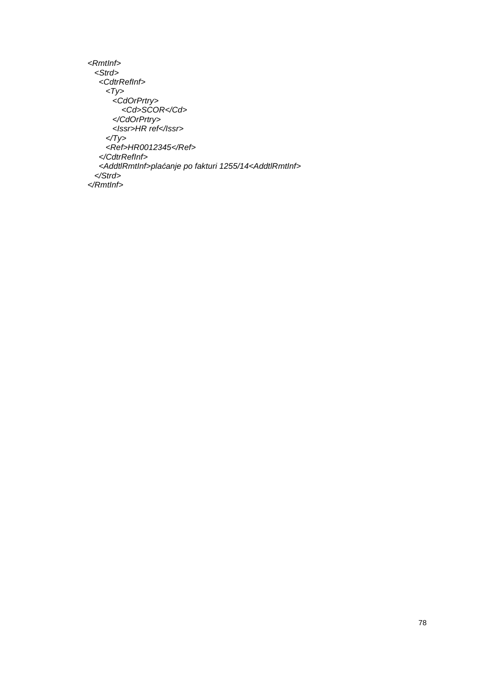```
<RmtInf> 
  <Strd> 
    <CdtrRefInf> 
      <Ty>
        <CdOrPrtry>
          <Cd>SCOR</Cd>
        </CdOrPrtry> 
        <Issr>HR ref</Issr> 
     \langle \sqrt{y} \rangle <Ref>HR0012345</Ref> 
    </CdtrRefInf> 
    <AddtlRmtInf>plaćanje po fakturi 1255/14<AddtlRmtInf> 
  </Strd> 
</RmtInf>
```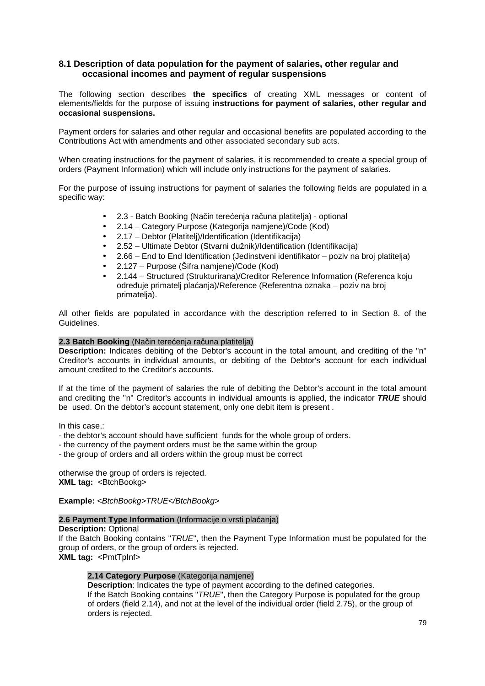# **8.1 Description of data population for the payment of salaries, other regular and occasional incomes and payment of regular suspensions**

The following section describes **the specifics** of creating XML messages or content of elements/fields for the purpose of issuing **instructions for payment of salaries, other regular and occasional suspensions.** 

Payment orders for salaries and other regular and occasional benefits are populated according to the Contributions Act with amendments and other associated secondary sub acts.

When creating instructions for the payment of salaries, it is recommended to create a special group of orders (Payment Information) which will include only instructions for the payment of salaries.

For the purpose of issuing instructions for payment of salaries the following fields are populated in a specific way:

- 2.3 Batch Booking (Način terećenja računa platitelja) optional
- 2.14 Category Purpose (Kategorija namjene)/Code (Kod)
- 2.17 Debtor (Platitelj)/Identification (Identifikacija)
- 2.52 Ultimate Debtor (Stvarni dužnik)/Identification (Identifikacija)
- 2.66 End to End Identification (Jedinstveni identifikator poziv na broj platitelja)
- 2.127 Purpose (Šifra namjene)/Code (Kod)
- 2.144 Structured (Strukturirana)/Creditor Reference Information (Referenca koju određuje primatelj plaćanja)/Reference (Referentna oznaka – poziv na broj primatelja).

All other fields are populated in accordance with the description referred to in Section 8. of the Guidelines.

#### **2.3 Batch Booking** (Način terećenja računa platitelja)

**Description:** Indicates debiting of the Debtor's account in the total amount, and crediting of the "n'' Creditor's accounts in individual amounts, or debiting of the Debtor's account for each individual amount credited to the Creditor's accounts.

If at the time of the payment of salaries the rule of debiting the Debtor's account in the total amount and crediting the ''n" Creditor's accounts in individual amounts is applied, the indicator **TRUE** should be used. On the debtor's account statement, only one debit item is present .

In this case,:

- the debtor's account should have sufficient funds for the whole group of orders.
- the currency of the payment orders must be the same within the group
- the group of orders and all orders within the group must be correct

otherwise the group of orders is rejected. **XML tag: <BtchBookg>** 

**Example:** <BtchBookg>TRUE</BtchBookg>

#### **2.6 Payment Type Information** (Informacije o vrsti plaćanja)

**Description:** Optional If the Batch Booking contains "TRUE", then the Payment Type Information must be populated for the group of orders, or the group of orders is rejected. **XML tag:** <PmtTpInf>

# **2.14 Category Purpose** (Kategorija namjene)

**Description**: Indicates the type of payment according to the defined categories. If the Batch Booking contains "TRUE", then the Category Purpose is populated for the group of orders (field 2.14), and not at the level of the individual order (field 2.75), or the group of orders is rejected.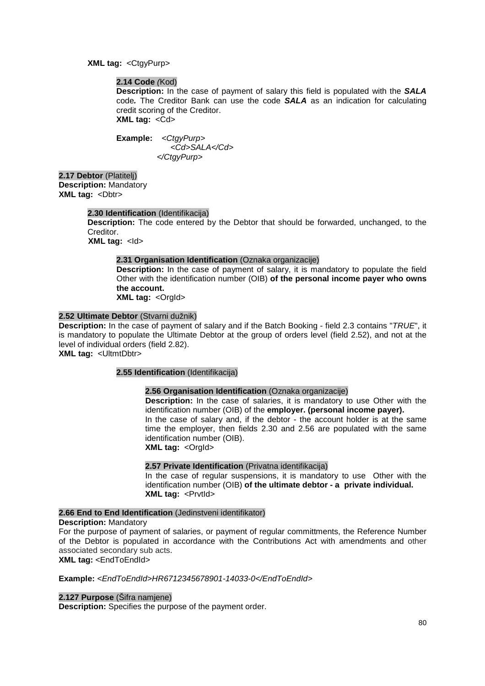**XML tag:** <CtgyPurp>

#### **2.14 Code** (Kod)

**Description:** In the case of payment of salary this field is populated with the **SALA**  code**.** The Creditor Bank can use the code **SALA** as an indication for calculating credit scoring of the Creditor. **XML tag:** <Cd>

**Example:** <CtgyPurp> <Cd>SALA</Cd> </CtgyPurp>

**2.17 Debtor** (Platitelj) **Description:** Mandatory **XML tag: <Dbtr>** 

#### **2.30 Identification** (Identifikacija)

**Description:** The code entered by the Debtor that should be forwarded, unchanged, to the Creditor.

**XML tag: <d>** 

### **2.31 Organisation Identification** (Oznaka organizacije)

**Description:** In the case of payment of salary, it is mandatory to populate the field Other with the identification number (OIB) **of the personal income payer who owns the account.** 

**XML tag: < Orgld>** 

## **2.52 Ultimate Debtor** (Stvarni dužnik)

**Description:** In the case of payment of salary and if the Batch Booking - field 2.3 contains "TRUE", it is mandatory to populate the Ultimate Debtor at the group of orders level (field 2.52), and not at the level of individual orders (field 2.82).

**XML tag: < UltmtDbtr>** 

#### **2.55 Identification** (Identifikacija)

#### **2.56 Organisation Identification** (Oznaka organizacije)

**Description:** In the case of salaries, it is mandatory to use Other with the identification number (OIB) of the **employer. (personal income payer).** In the case of salary and, if the debtor - the account holder is at the same time the employer, then fields 2.30 and 2.56 are populated with the same identification number (OIB). **XML tag: < Orgld>** 

#### **2.57 Private Identification** (Privatna identifikacija)

In the case of regular suspensions, it is mandatory to use Other with the identification number (OIB) **of the ultimate debtor - a private individual. XML tag: <PrvtId>** 

#### **2.66 End to End Identification** (Jedinstveni identifikator)

#### **Description:** Mandatory

For the purpose of payment of salaries, or payment of regular committments, the Reference Number of the Debtor is populated in accordance with the Contributions Act with amendments and other associated secondary sub acts.

#### **XML tag:** <EndToEndId>

#### **Example:** <EndToEndId>HR6712345678901-14033-0</EndToEndId>

#### **2.127 Purpose** (Šifra namjene)

**Description:** Specifies the purpose of the payment order.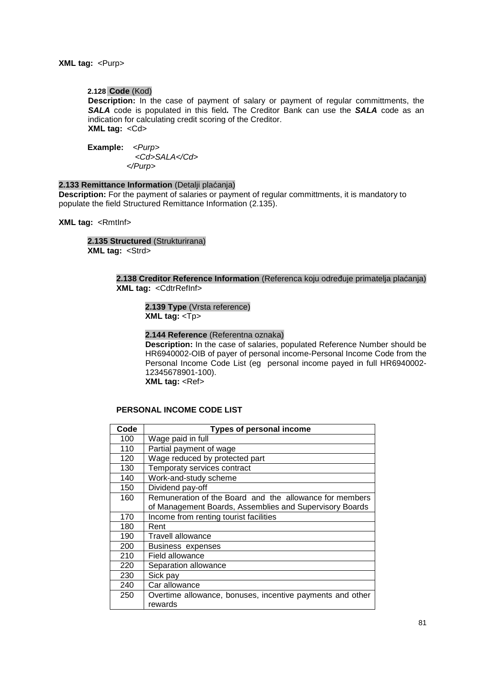#### **XML tag: <Purp>**

#### **2.128 Code** (Kod)

**Description:** In the case of payment of salary or payment of regular committments, the **SALA** code is populated in this field**.** The Creditor Bank can use the **SALA** code as an indication for calculating credit scoring of the Creditor. **XML tag:** <Cd>

**Example:** <Purp> <Cd>SALA</Cd> </Purp>

# **2.133 Remittance Information** (Detalji plaćanja)

**Description:** For the payment of salaries or payment of regular committments, it is mandatory to populate the field Structured Remittance Information (2.135).

**XML tag:** <RmtInf>

**2.135 Structured** (Strukturirana) **XML tag:** <Strd>

> **2.138 Creditor Reference Information** (Referenca koju određuje primatelja plaćanja) **XML tag:** <CdtrRefInf>

**2.139 Type** (Vrsta reference) **XML tag:** <Tp>

#### **2.144 Reference** (Referentna oznaka)

**Description:** In the case of salaries, populated Reference Number should be HR6940002-OIB of payer of personal income-Personal Income Code from the Personal Income Code List (eg personal income payed in full HR6940002- 12345678901-100).

**XML tag: <Ref>** 

### **PERSONAL INCOME CODE LIST**

| Code | <b>Types of personal income</b>                           |
|------|-----------------------------------------------------------|
| 100  | Wage paid in full                                         |
| 110  | Partial payment of wage                                   |
| 120  | Wage reduced by protected part                            |
| 130  | Temporaty services contract                               |
| 140  | Work-and-study scheme                                     |
| 150  | Dividend pay-off                                          |
| 160  | Remuneration of the Board and the allowance for members   |
|      | of Management Boards, Assemblies and Supervisory Boards   |
| 170  | Income from renting tourist facilities                    |
| 180  | Rent                                                      |
| 190  | Travell allowance                                         |
| 200  | Business expenses                                         |
| 210  | Field allowance                                           |
| 220  | Separation allowance                                      |
| 230  | Sick pay                                                  |
| 240  | Car allowance                                             |
| 250  | Overtime allowance, bonuses, incentive payments and other |
|      | rewards                                                   |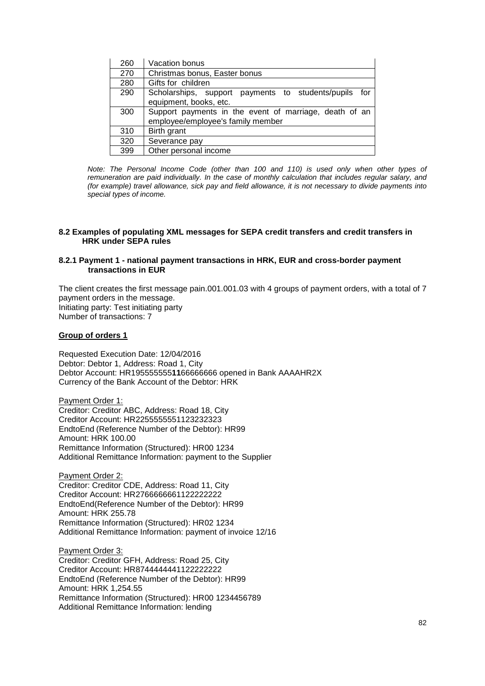| 260 | Vacation bonus                                                                              |
|-----|---------------------------------------------------------------------------------------------|
| 270 | Christmas bonus, Easter bonus                                                               |
| 280 | Gifts for children                                                                          |
| 290 | Scholarships, support payments to students/pupils for<br>equipment, books, etc.             |
| 300 | Support payments in the event of marriage, death of an<br>employee/employee's family member |
| 310 | Birth grant                                                                                 |
| 320 | Severance pay                                                                               |
| 399 | Other personal income                                                                       |

Note: The Personal Income Code (other than 100 and 110) is used only when other types of remuneration are paid individually. In the case of monthly calculation that includes regular salary, and (for example) travel allowance, sick pay and field allowance, it is not necessary to divide payments into special types of income.

#### **8.2 Examples of populating XML messages for SEPA credit transfers and credit transfers in HRK under SEPA rules**

#### **8.2.1 Payment 1 - national payment transactions in HRK, EUR and cross-border payment transactions in EUR**

The client creates the first message pain.001.001.03 with 4 groups of payment orders, with a total of 7 payment orders in the message. Initiating party: Test initiating party Number of transactions: 7

#### **Group of orders 1**

Requested Execution Date: 12/04/2016 Debtor: Debtor 1, Address: Road 1, City Debtor Account: HR195555555**11**66666666 opened in Bank AAAAHR2X Currency of the Bank Account of the Debtor: HRK

Payment Order 1: Creditor: Creditor ABC, Address: Road 18, City Creditor Account: HR2255555551123232323 EndtoEnd (Reference Number of the Debtor): HR99 Amount: HRK 100.00 Remittance Information (Structured): HR00 1234 Additional Remittance Information: payment to the Supplier

Payment Order 2: Creditor: Creditor CDE, Address: Road 11, City Creditor Account: HR2766666661122222222 EndtoEnd(Reference Number of the Debtor): HR99 Amount: HRK 255.78 Remittance Information (Structured): HR02 1234 Additional Remittance Information: payment of invoice 12/16

Payment Order 3: Creditor: Creditor GFH, Address: Road 25, City Creditor Account: HR8744444441122222222 EndtoEnd (Reference Number of the Debtor): HR99 Amount: HRK 1,254.55 Remittance Information (Structured): HR00 1234456789 Additional Remittance Information: lending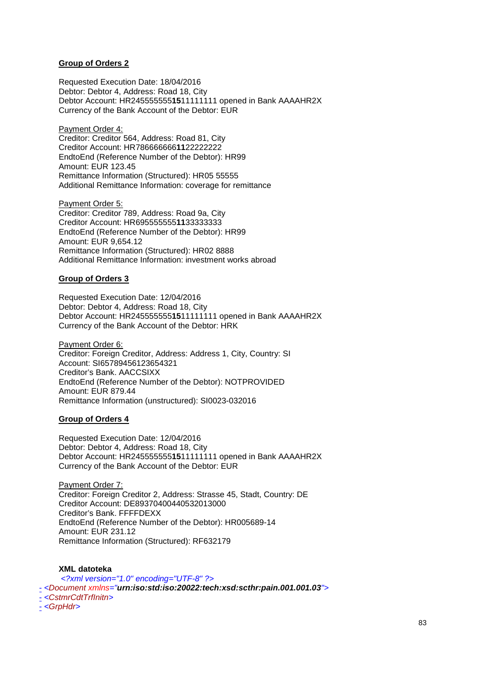## **Group of Orders 2**

Requested Execution Date: 18/04/2016 Debtor: Debtor 4, Address: Road 18, City Debtor Account: HR245555555**15**11111111 opened in Bank AAAAHR2X Currency of the Bank Account of the Debtor: EUR

Payment Order 4: Creditor: Creditor 564, Address: Road 81, City Creditor Account: HR786666666**11**22222222 EndtoEnd (Reference Number of the Debtor): HR99 Amount: EUR 123.45 Remittance Information (Structured): HR05 55555 Additional Remittance Information: coverage for remittance

Payment Order 5: Creditor: Creditor 789, Address: Road 9a, City Creditor Account: HR695555555**11**33333333 EndtoEnd (Reference Number of the Debtor): HR99 Amount: EUR 9,654.12 Remittance Information (Structured): HR02 8888 Additional Remittance Information: investment works abroad

#### **Group of Orders 3**

Requested Execution Date: 12/04/2016 Debtor: Debtor 4, Address: Road 18, City Debtor Account: HR245555555**15**11111111 opened in Bank AAAAHR2X Currency of the Bank Account of the Debtor: HRK

Payment Order 6: Creditor: Foreign Creditor, Address: Address 1, City, Country: SI Account: SI65789456123654321 Creditor's Bank. AACCSIXX EndtoEnd (Reference Number of the Debtor): NOTPROVIDED Amount: EUR 879.44 Remittance Information (unstructured): SI0023-032016

#### **Group of Orders 4**

Requested Execution Date: 12/04/2016 Debtor: Debtor 4, Address: Road 18, City Debtor Account: HR245555555**15**11111111 opened in Bank AAAAHR2X Currency of the Bank Account of the Debtor: EUR

Payment Order 7: Creditor: Foreign Creditor 2, Address: Strasse 45, Stadt, Country: DE Creditor Account: DE89370400440532013000 Creditor's Bank. FFFFDEXX EndtoEnd (Reference Number of the Debtor): HR005689-14 Amount: EUR 231.12 Remittance Information (Structured): RF632179

**XML datoteka** <?xml version="1.0" encoding="UTF-8" ?> - <Document xmlns="**urn:iso:std:iso:20022:tech:xsd:scthr:pain.001.001.03**"> - <CstmrCdtTrfInitn> - <GrpHdr>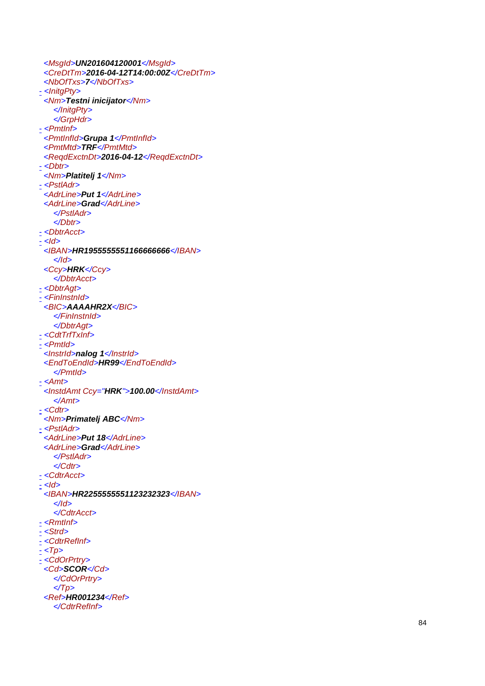<MsgId >**UN201604120001**</MsgId > <CreDtTm >**2016-04-12T14:00:00Z**</CreDtTm > <NbOfTxs>7</NbOfTxs> - <InitgPty> <Nm >**Testni inicijator**</Nm > </InitgPty > </GrpHdr > <u>-</u> <PmtInf> <PmtInfId >**Grupa 1**</PmtInfId > <PmtMtd >**TRF**</PmtMtd > <ReqdExctnDt >**2016-04-12**</ReqdExctnDt > - <Dbtr> <Nm >**Platitelj 1**</Nm > <u>-</u> <PstlAdr> <AdrLine>Put 1</AdrLine> <AdrLine>Grad</AdrLine> </PstlAdr > </Dbtr > - <DbtrAcct> <u>-</u> <ld> <IBAN >**HR1955555551166666666** </IBAN > </Id > <Ccy >**HRK**</Ccy > </DbtrAcct > - <DbtrAgt> <u>-</u> <FinInstnId> <BIC>AAAAHR2X</BIC> </FinInstnId > </DbtrAgt > - <CdtTrfTxInf> <u>-</u> <PmtId> <InstrId>nalog 1</InstrId> <EndToEndId>HR99</EndToEndId> </PmtId > <u>-</u> <Amt> <InstdAmt Ccy="**HRK**">**100.00**</InstdAmt > </Amt > <u>-</u> <Cdtr> <Nm >**Primatelj ABC**</Nm > <u>-</u> <PstlAdr> <AdrLine>Put 18</AdrLine> <AdrLine>Grad</AdrLine> </PstlAdr > </Cdtr > - <CdtrAcct > <u>-</u> <ld> <IBAN >**HR2255555551123232323** </IBAN > </Id > </CdtrAcct > <u>-</u> <RmtInf> <u>-</u> <Strd> - <CdtrRefInf> <u>-</u> <Tp> - <CdOrPrtry> <Cd>**SCOR</Cd>** </CdOrPrtry >  $\langle \textit{Tp}\rangle$ <Ref>**HR001234**</Ref> </CdtrRefInf>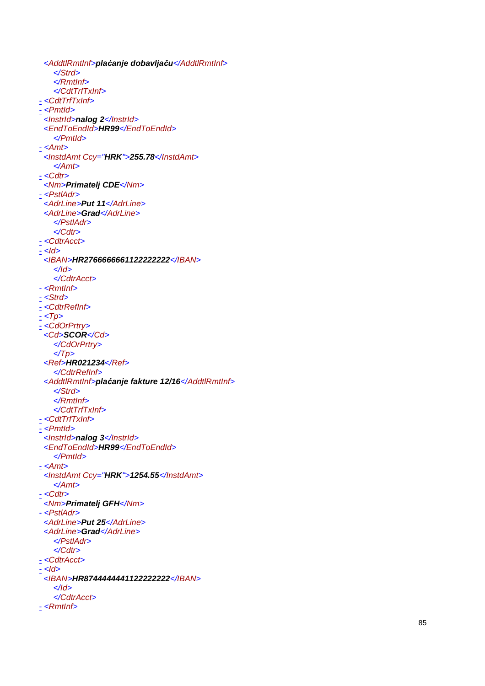<AddtlRmtInf>**pla** *ć***anje dobavlja** *č* **u**</AddtlRmtInf> </Strd > </RmtInf> </CdtTrfTxInf> - <CdtTrfTxInf> - <Pmtld> <InstrId>nalog 2</InstrId> <EndToEndId >**HR99**</EndToEndId > </PmtId > <u>-</u> <Amt> <InstdAmt Ccy="**HRK**">**255.78**</InstdAmt > </Amt > <u>-</u> <Cdtr> <Nm >**Primatelj CDE**</Nm > <u>-</u> <PstlAdr> <AdrLine>Put 11</AdrLine> <AdrLine>Grad</AdrLine> </PstlAdr > </Cdtr > <u>-</u> <CdtrAcct> <u>-</u> <ld> <IBAN >**HR2766666661122222222**</IBAN > </Id > </CdtrAcct > <u>-</u> <RmtInf> <u>-</u> <Strd> - <CdtrRefInf> <u>-</u> <Tp> - <CdOrPrtry> <Cd>**SCOR</Cd>** </CdOrPrtry >  $\langle \textit{Tp}\rangle$ <Ref>**HR021234**</Ref> </CdtrRefInf> <AddtlRmtInf>**pla** *ć***anje fakture 12/16**</AddtlRmtInf> </Strd > </RmtInf> </CdtTrfTxInf> - <CdtTrfTxInf> <u>-</u> <PmtId> <InstrId>nalog 3</InstrId> <EndToEndId >**HR99**</EndToEndId > </PmtId > <u>-</u> <Amt> <InstdAmt Ccy="**HRK**">**1254.55**</InstdAmt > </Amt > <u>-</u> <Cdtr> <Nm >**Primatelj GFH**</Nm > - <PstlAdr> <AdrLine>Put 25</AdrLine> <AdrLine>Grad</AdrLine> </PstlAdr > </Cdtr > <u>-</u> <CdtrAcct> <u>-</u> <ld> <IBAN >**HR8744444441122222222**</IBAN > </Id > </CdtrAcct > <u>-</u> <RmtInf>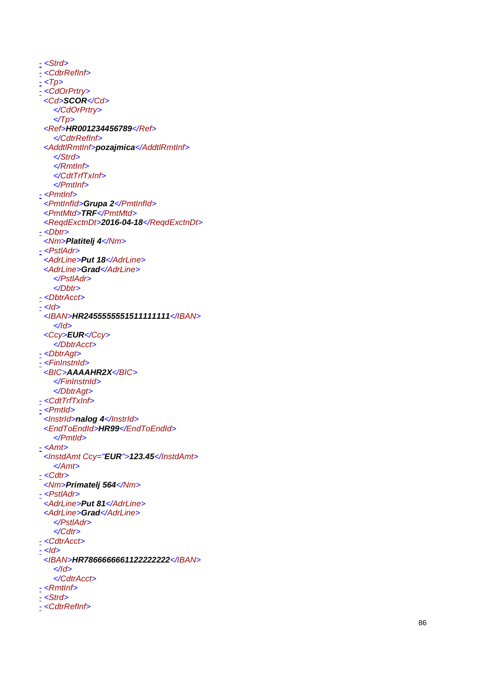<u>-</u> <Strd> <u>-</u> <CdtrRefInf> - <Tp > - <CdOrPrtry> <Cd>**SCOR</Cd**> </CdOrPrtry >  $\langle \textit{Tp}\rangle$ <Ref>**HR001234456789**</Ref> </CdtrRefInf> <AddtlRmtInf>**pozajmica**</AddtlRmtInf> </Strd > </RmtInf> </CdtTrfTxInf> </PmtInf> <u>-</u> <PmtInf> <PmtInfId >**Grupa 2**</PmtInfId > <PmtMtd >**TRF**</PmtMtd > <ReqdExctnDt >**2016-04-18**</ReqdExctnDt > - <Dbtr> <Nm >**Platitelj 4**</Nm > <u>-</u> <PstlAdr> <AdrLine>Put 18</AdrLine> <AdrLine>Grad</AdrLine> </PstlAdr > </Dbtr > - <DbtrAcct> <u>-</u> <ld> <IBAN >**HR2455555551511111111** </IBAN > </Id > <Ccy >**EUR**</Ccy > </DbtrAcct > - <DbtrAgt> - <FinInstnId > <BIC>AAAAHR2X</BIC> </FinInstnId > </DbtrAgt > - <CdtTrfTxInf> <u>-</u> <PmtId> <InstrId>nalog 4</InstrId> <EndToEndId>HR99</EndToEndId> </PmtId > <u>-</u> <Amt> <InstdAmt Ccy="**EUR**">**123.45**</InstdAmt > </Amt > - <Cdtr> <Nm >**Primatelj 564**</Nm > <u>-</u> <PstlAdr> <AdrLine>Put 81</AdrLine> <AdrLine>Grad</AdrLine> </PstlAdr > </Cdtr > - <CdtrAcct > <u>-</u> <ld> <IBAN >**HR7866666661122222222**</IBAN > </Id > </CdtrAcct > <u>-</u> <RmtInf> - <Strd> <u>-</u> <CdtrRefInf>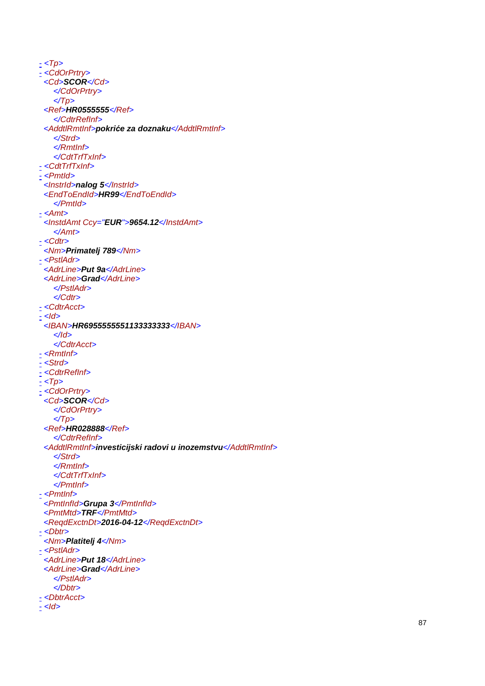<u>-</u> <Tp> - <CdOrPrtry> <Cd>**SCOR</Cd>** </CdOrPrtry >  $\langle \textit{Tp}\rangle$ <Ref>**HR0555555** </Ref> </CdtrRefInf> <AddtlRmtInf>**pokri***ć***e za doznaku**</AddtlRmtInf> </Strd > </RmtInf> </CdtTrfTxInf> - <CdtTrfTxInf> <u>-</u> <PmtId> <InstrId>nalog 5</InstrId> <EndToEndId >**HR99**</EndToEndId > </PmtId > <u>-</u> <Amt> <InstdAmt Ccy="**EUR**">**9654.12**</InstdAmt > </Amt > <u>-</u> <Cdtr> <Nm >**Primatelj 789**</Nm > <u>-</u> <PstlAdr> <AdrLine>Put 9a</AdrLine> <AdrLine>Grad</AdrLine> </PstlAdr > </Cdtr > - <CdtrAcct > <u>-</u> <ld> <IBAN >**HR6955555551133333333** </IBAN > </Id > </CdtrAcct > <u>-</u> <RmtInf> - <Strd> <u>-</u> <CdtrRefInf> <u>-</u> <Tp> - <CdOrPrtry> <Cd>**SCOR</Cd>** </CdOrPrtry >  $\langle \textit{Tp}\rangle$ <Ref>**HR028888**</Ref> </CdtrRefInf> <AddtlRmtInf>**investicijski radovi u inozemstvu**</AddtlRmtInf> </Strd > </RmtInf> </CdtTrfTxInf> </PmtInf> <u>-</u> <PmtInf> <PmtInfId >**Grupa 3**</PmtInfId > <PmtMtd >**TRF**</PmtMtd > <ReqdExctnDt >**2016-04-12**</ReqdExctnDt > - <Dbtr> <Nm >**Platitelj 4**</Nm > <u>-</u> <PstlAdr> <AdrLine>Put 18</AdrLine> <AdrLine>Grad</AdrLine> </PstlAdr > </Dbtr > - <DbtrAcct> <u>-</u> <ld>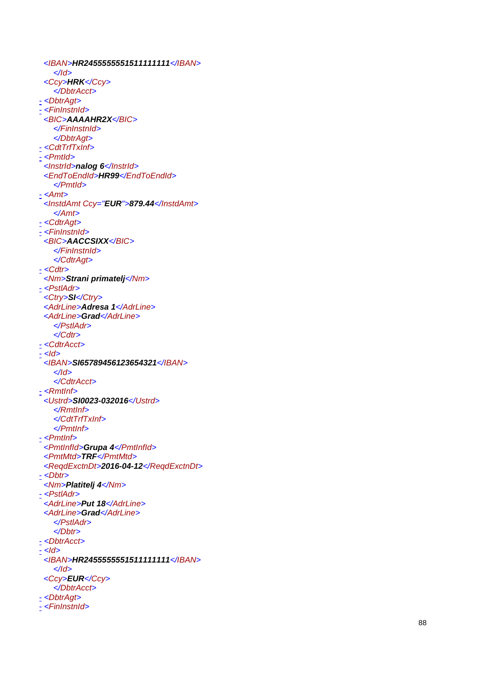<IBAN >**HR2455555551511111111** </IBAN > </Id > <Ccy >**HRK**</Ccy > </DbtrAcct > - <DbtrAgt> - <FinInstnId > <BIC >**AAAAHR2X**</BIC > </FinInstnId > </DbtrAgt > - <CdtTrfTxInf> <u>-</u> <PmtId> <InstrId>nalog 6</InstrId> <EndToEndId >**HR99**</EndToEndId > </PmtId > <u>-</u> <Amt> <InstdAmt Ccy="**EUR**">**879.44**</InstdAmt > </Amt > - <CdtrAgt > <u>-</u> <FinInstnId> <BIC >**AACCSIXX**</BIC > </FinInstnId > </CdtrAgt > <u>-</u> <Cdtr> <Nm >**Strani primatelj**</Nm > <u>-</u> <PstlAdr> <Ctry>SI</Ctry> <AdrLine>Adresa 1</AdrLine> <AdrLine>Grad</AdrLine> </PstlAdr > </Cdtr > <u>-</u> <CdtrAcct> <u>-</u> <ld> <IBAN >**SI65789456123654321**</IBAN > </Id > </CdtrAcct > <u>-</u> <RmtInf> <Ustrd>**SI0023-032016**</Ustrd > </RmtInf> </CdtTrfTxInf> </PmtInf> <u>-</u> <PmtInf> <PmtInfId>Grupa 4</PmtInfId> <PmtMtd >**TRF**</PmtMtd > <ReqdExctnDt >**2016-04-12**</ReqdExctnDt > - <Dbtr> <Nm >**Platitelj 4**</Nm > <u>-</u> <PstlAdr> <AdrLine>Put 18</AdrLine> <AdrLine>Grad</AdrLine> </PstlAdr > </Dbtr > - <DbtrAcct> <u>-</u> <ld> <IBAN >**HR2455555551511111111** </IBAN > </Id > <Ccy >**EUR**</Ccy > </DbtrAcct > - <DbtrAgt> <u>-</u> <FinInstnId>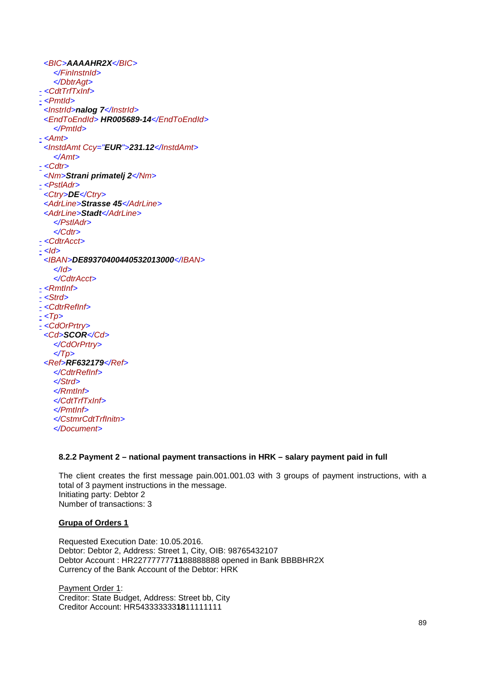<BIC>**AAAAHR2X**</BIC> </FinInstnId> </DbtrAgt>  $\frac{1}{2}$ <CdtTrfTxInf> - <PmtId> <InstrId>**nalog 7**</InstrId> <EndToEndId> **HR005689-14**</EndToEndId> </PmtId>  $- <$ Amt $>$ <InstdAmt Ccy="**EUR**">**231.12**</InstdAmt> </Amt>  $- <$ Cdtr $>$ <Nm>**Strani primatelj 2**</Nm> - <PstlAdr> <Ctry>**DE**</Ctry> <AdrLine>**Strasse 45**</AdrLine> <AdrLine>**Stadt**</AdrLine> </PstlAdr> </Cdtr> - <CdtrAcct>  $<$ *ld*> <IBAN>**DE89370400440532013000**</IBAN> </Id> </CdtrAcct>  $-$  <Rmtlnf>  $-$  <Strd> - <CdtrRefInf>  $-$  <Tp> - <CdOrPrtry> <Cd>**SCOR**</Cd> </CdOrPrtry>  $\langle \textit{Tp} \rangle$ <Ref>**RF632179**</Ref> </CdtrRefInf> </Strd> </RmtInf> </CdtTrfTxInf> </PmtInf> </CstmrCdtTrfInitn> </Document>

## **8.2.2 Payment 2 – national payment transactions in HRK – salary payment paid in full**

The client creates the first message pain.001.001.03 with 3 groups of payment instructions, with a total of 3 payment instructions in the message. Initiating party: Debtor 2 Number of transactions: 3

## **Grupa of Orders 1**

Requested Execution Date: 10.05.2016. Debtor: Debtor 2, Address: Street 1, City, OIB: 98765432107 Debtor Account : HR227777777**11**88888888 opened in Bank BBBBHR2X Currency of the Bank Account of the Debtor: HRK

Payment Order 1: Creditor: State Budget, Address: Street bb, City Creditor Account: HR543333333**18**11111111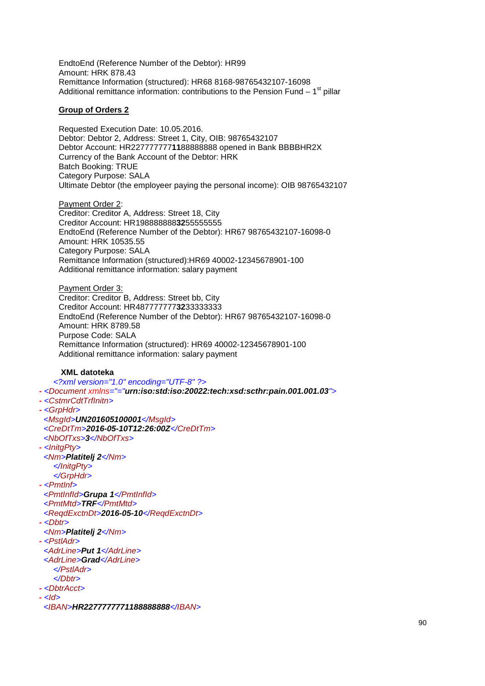EndtoEnd (Reference Number of the Debtor): HR99 Amount: HRK 878.43 Remittance Information (structured): HR68 8168-98765432107-16098 Additional remittance information: contributions to the Pension Fund  $-1<sup>st</sup>$  pillar

### **Group of Orders 2**

Requested Execution Date: 10.05.2016. Debtor: Debtor 2, Address: Street 1, City, OIB: 98765432107 Debtor Account: HR227777777**11**88888888 opened in Bank BBBBHR2X Currency of the Bank Account of the Debtor: HRK Batch Booking: TRUE Category Purpose: SALA Ultimate Debtor (the employeer paying the personal income): OIB 98765432107

Payment Order 2: Creditor: Creditor A, Address: Street 18, City Creditor Account: HR198888888**32**55555555 EndtoEnd (Reference Number of the Debtor): HR67 98765432107-16098-0 Amount: HRK 10535.55 Category Purpose: SALA Remittance Information (structured):HR69 40002-12345678901-100 Additional remittance information: salary payment

Payment Order 3: Creditor: Creditor B, Address: Street bb, City Creditor Account: HR487777777**32**33333333 EndtoEnd (Reference Number of the Debtor): HR67 98765432107-16098-0 Amount: HRK 8789.58 Purpose Code: SALA Remittance Information (structured): HR69 40002-12345678901-100 Additional remittance information: salary payment

### **XML datoteka**

<?xml version="1.0" encoding="UTF-8" ?> **-** <Document xmlns="="**urn:iso:std:iso:20022:tech:xsd:scthr:pain.001.001.03**"> **-** <CstmrCdtTrfInitn> **-** <GrpHdr> <MsgId>**UN201605100001**</MsgId> <CreDtTm>**2016-05-10T12:26:00Z**</CreDtTm> <NbOfTxs>**3**</NbOfTxs> **-** <InitgPty> <Nm>**Platitelj 2**</Nm> </InitgPty> </GrpHdr> **-** <PmtInf> <PmtInfId>**Grupa 1**</PmtInfId> <PmtMtd>**TRF**</PmtMtd> <ReqdExctnDt>**2016-05-10**</ReqdExctnDt> **-** <Dbtr> <Nm>**Platitelj 2**</Nm> **-** <PstlAdr> <AdrLine>**Put 1**</AdrLine> <AdrLine>**Grad**</AdrLine> </PstlAdr> </Dbtr> **-** <DbtrAcct> **-** <Id> <IBAN>**HR2277777771188888888**</IBAN>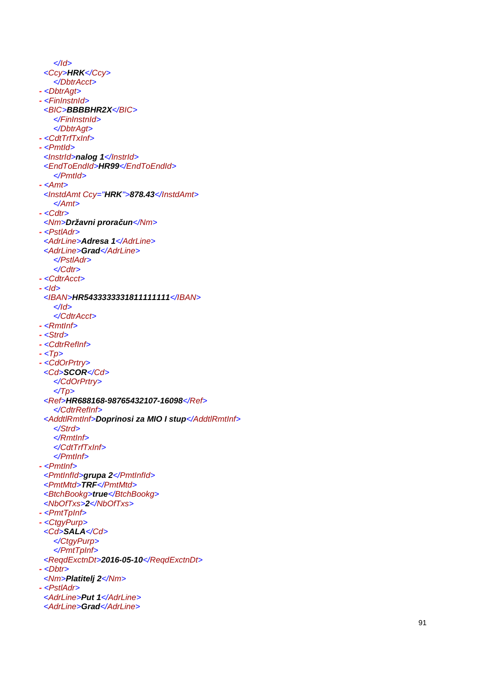</Id > <Ccy >**HRK**</Ccy > </DbtrAcct > **-** <DbtrAgt > **-** <FinInstnId > <BIC>BBBBHR2X</BIC> </FinInstnId > </DbtrAgt > **-** <CdtTrfTxInf> **-** <PmtId > <InstrId >**nalog 1**</InstrId > <EndToEndId >**HR99**</EndToEndId > </PmtId > **-** <Amt > <InstdAmt Ccy="**HRK**">**878.43**</InstdAmt > </Amt > **-** <Cdtr > <Nm >**Državni prora** *č***un**</Nm > **-** <PstlAdr > <AdrLine>Adresa 1</AdrLine> <AdrLine>Grad</AdrLine> </PstlAdr > </Cdtr > **-** <CdtrAcct > **-** <Id > <IBAN >**HR5433333331811111111**</IBAN > </Id > </CdtrAcct > **-** <RmtInf> **-** <Strd > **-** <CdtrRefInf> **-** <Tp > **-** <CdOrPrtry > <Cd >**SCOR**</Cd > </CdOrPrtry >  $\langle \textit{Tp}\rangle$ <Ref>**HR688168-98765432107-16098**</Ref> </CdtrRefInf> <AddtlRmtInf>**Doprinosi za MIO I stup**</AddtlRmtInf> </Strd > </RmtInf> </CdtTrfTxInf> </PmtInf> **-** <PmtInf> <PmtInfId >**grupa 2**</PmtInfId > <PmtMtd >**TRF**</PmtMtd > <BtchBookg >**true**</BtchBookg > <NbOfTxs>2</NbOfTxs> **-** <PmtTpInf> **-** <CtgyPurp > <Cd >**SALA**</Cd > </CtgyPurp > </PmtTpInf> <ReqdExctnDt >**2016-05-10**</ReqdExctnDt > **-** <Dbtr > <Nm >**Platitelj 2**</Nm > **-** <PstlAdr > <AdrLine >**Put 1**</AdrLine > <AdrLine>Grad</AdrLine>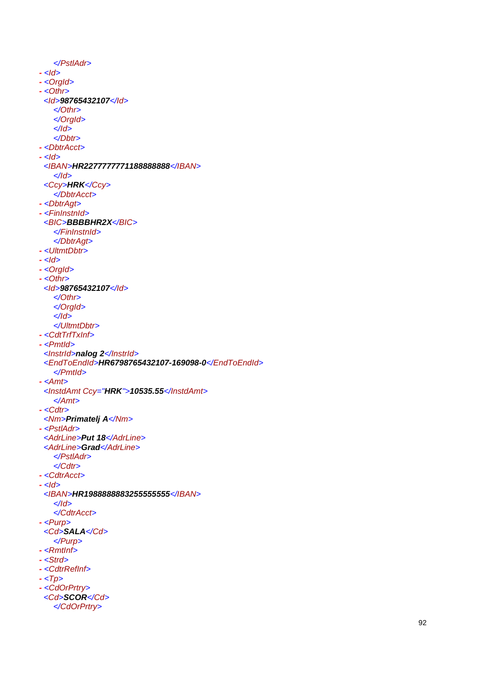</PstlAdr > **-** <Id > **-** <OrgId > **-** <Othr > <Id >**98765432107**</Id > </Othr > </OrgId > </Id > </Dbtr > **-** <DbtrAcct > **-** <Id > <IBAN >**HR2277777771188888888**</IBAN > </Id > <Ccy >**HRK**</Ccy > </DbtrAcct > **-** <DbtrAgt > **-** <FinInstnId > <BIC>BBBBHR2X</BIC> </FinInstnId > </DbtrAgt > **-** <UltmtDbtr > **-** <Id > **-** <OrgId > **-** <Othr > <Id >**98765432107**</Id > </Othr > </OrgId > </Id > </UltmtDbtr > **-** <CdtTrfTxInf> **-** <PmtId > <*Instrid>nalog 2</Instrid>* <EndToEndId >**HR6798765432107-169098-0**</EndToEndId > </PmtId > **-** <Amt > <InstdAmt Ccy="**HRK**">**10535.55**</InstdAmt > </Amt > **-** <Cdtr > <Nm >**Primatelj A**</Nm > **-** <PstlAdr > <AdrLine>Put 18</AdrLine> <AdrLine>Grad</AdrLine> </PstlAdr > </Cdtr > **-** <CdtrAcct > **-** <Id > <IBAN >**HR1988888883255555555** </IBAN > </Id > </CdtrAcct > **-** <Purp > <Cd >**SALA**</Cd > </Purp > **-** <RmtInf> **-** <Strd > **-** <CdtrRefInf> **-** <Tp > **-** <CdOrPrtry > <Cd >**SCOR**</Cd > </CdOrPrtry >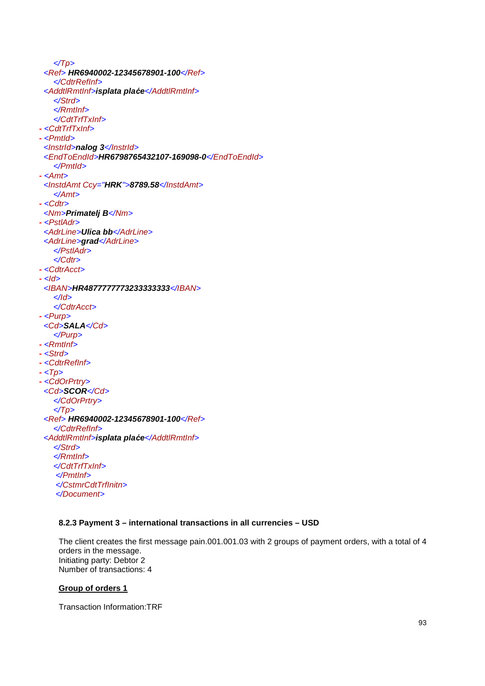$\langle \textit{Tp} \rangle$ <Ref> **HR6940002-12345678901-100**</Ref> </CdtrRefInf> <AddtlRmtInf>**isplata pla***ć***e**</AddtlRmtInf> </Strd> </RmtInf> </CdtTrfTxInf> **-** <CdtTrfTxInf> **-** <PmtId> <InstrId>**nalog 3**</InstrId> <EndToEndId>**HR6798765432107-169098-0**</EndToEndId> </PmtId> **-** <Amt> <InstdAmt Ccy="**HRK**">**8789.58**</InstdAmt> </Amt> **-** <Cdtr> <Nm>**Primatelj B**</Nm> **-** <PstlAdr> <AdrLine>**Ulica bb**</AdrLine> <AdrLine>**grad**</AdrLine> </PstlAdr> </Cdtr> **-** <CdtrAcct> **-** <Id> <IBAN>**HR4877777773233333333**</IBAN>  $\langle$ /Id $\rangle$ </CdtrAcct> **-** <Purp> <Cd>**SALA**</Cd> </Purp> **-** <RmtInf> **-** <Strd> **-** <CdtrRefInf> **-** <Tp> **-** <CdOrPrtry> <Cd>**SCOR**</Cd> </CdOrPrtry>  $\langle \textit{Tp} \rangle$ <Ref> **HR6940002-12345678901-100**</Ref> </CdtrRefInf> <AddtlRmtInf>**isplata pla***ć***e**</AddtlRmtInf> </Strd> </RmtInf> </CdtTrfTxInf> </PmtInf> </CstmrCdtTrfInitn> </Document>

## **8.2.3 Payment 3 – international transactions in all currencies – USD**

The client creates the first message pain.001.001.03 with 2 groups of payment orders, with a total of 4 orders in the message. Initiating party: Debtor 2 Number of transactions: 4

#### **Group of orders 1**

Transaction Information:TRF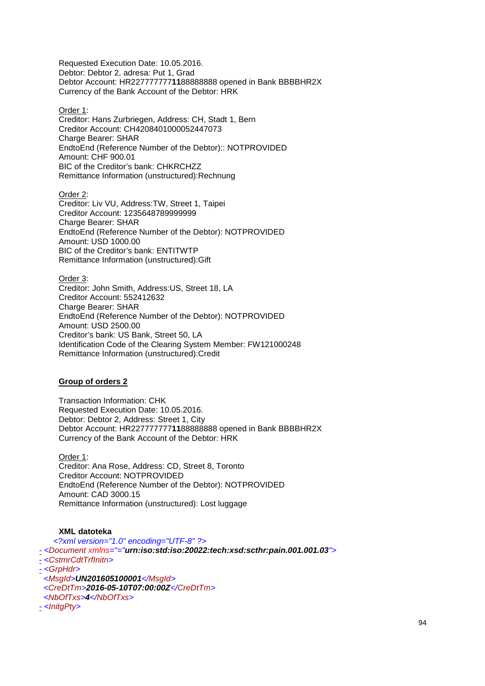Requested Execution Date: 10.05.2016. Debtor: Debtor 2, adresa: Put 1, Grad Debtor Account: HR227777777**11**88888888 opened in Bank BBBBHR2X Currency of the Bank Account of the Debtor: HRK

#### Order 1:

Creditor: Hans Zurbriegen, Address: CH, Stadt 1, Bern Creditor Account: CH4208401000052447073 Charge Bearer: SHAR EndtoEnd (Reference Number of the Debtor):: NOTPROVIDED Amount: CHF 900.01 BIC of the Creditor's bank: CHKRCHZZ Remittance Information (unstructured):Rechnung

Order 2: Creditor: Liv VU, Address:TW, Street 1, Taipei Creditor Account: 1235648789999999 Charge Bearer: SHAR EndtoEnd (Reference Number of the Debtor): NOTPROVIDED Amount: USD 1000.00 BIC of the Creditor's bank: ENTITWTP Remittance Information (unstructured):Gift

Order 3: Creditor: John Smith, Address:US, Street 18, LA Creditor Account: 552412632 Charge Bearer: SHAR EndtoEnd (Reference Number of the Debtor): NOTPROVIDED Amount: USD 2500.00 Creditor's bank: US Bank, Street 50, LA Identification Code of the Clearing System Member: FW121000248 Remittance Information (unstructured):Credit

## **Group of orders 2**

Transaction Information: CHK Requested Execution Date: 10.05.2016. Debtor: Debtor 2, Address: Street 1, City Debtor Account: HR227777777**11**88888888 opened in Bank BBBBHR2X Currency of the Bank Account of the Debtor: HRK

Order 1: Creditor: Ana Rose, Address: CD, Street 8, Toronto Creditor Account: NOTPROVIDED EndtoEnd (Reference Number of the Debtor): NOTPROVIDED Amount: CAD 3000.15 Remittance Information (unstructured): Lost luggage

#### **XML datoteka**

<?xml version="1.0" encoding="UTF-8" ?> - <Document xmlns="="**urn:iso:std:iso:20022:tech:xsd:scthr:pain.001.001.03**"> - <CstmrCdtTrfInitn> - <GrpHdr> <MsgId>**UN201605100001**</MsgId> <CreDtTm>**2016-05-10T07:00:00Z**</CreDtTm> <NbOfTxs>**4**</NbOfTxs> - <InitgPty>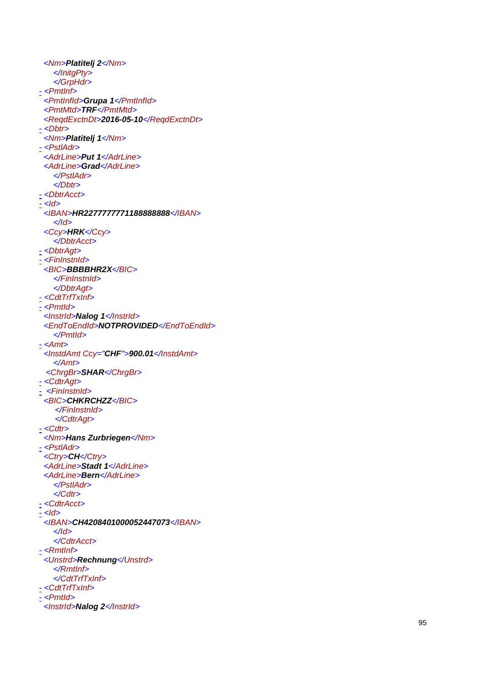<Nm >**Platitelj 2**</Nm > </InitgPty > </GrpHdr > <u>-</u> <PmtInf> <PmtInfId >**Grupa 1**</PmtInfId > <PmtMtd >**TRF**</PmtMtd > <ReqdExctnDt >**2016-05-10**</ReqdExctnDt > - <Dbtr> <Nm >**Platitelj 1**</Nm > <u>-</u> <PstlAdr> <AdrLine>Put 1</AdrLine> <AdrLine>Grad</AdrLine> </PstlAdr > </Dbtr > - <DbtrAcct> <u>-</u> <ld> <IBAN >**HR2277777771188888888**</IBAN > </Id > <Ccy >**HRK**</Ccy > </DbtrAcct > - <DbtrAgt> <u>-</u> <FinInstnId> <BIC>**BBBBHR2X</BIC>** </FinInstnId > </DbtrAgt > - <CdtTrfTxInf> - <Pmtld> <InstrId>Nalog 1</InstrId> <EndToEndId >**NOTPROVIDED**</EndToEndId > </PmtId > <u>-</u> <Amt> <InstdAmt Ccy="**CHF**">**900.01**</InstdAmt > </Amt> <ChrgBr >**SHAR**</ChrgBr > <u>-</u> <CdtrAgt> - <FinInstnId> <BIC >**CHKRCHZZ**</BIC> </FinInstnId> </CdtrAgt > <u>-</u> <Cdtr> <Nm >**Hans Zurbriegen**</Nm > - <PstlAdr> <Ctry>**CH</Ctry>** <AdrLine>Stadt 1</AdrLine> <AdrLine>**Bern**</AdrLine> </PstlAdr > </Cdtr > <u>-</u> <CdtrAcct> <u>-</u> <ld> <IBAN >**CH4208401000052447073**</IBAN > </Id > </CdtrAcct > <u>-</u> <RmtInf> <Unstrd >**Rechnung**</Unstrd > </RmtInf> </CdtTrfTxInf> - <CdtTrfTxInf> - <Pmtld> <InstrId>Nalog 2</InstrId>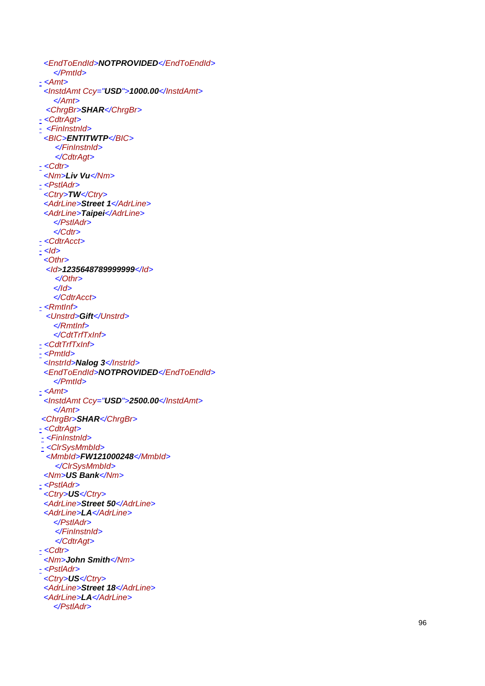```
<EndToEndId
>NOTPROVIDED</EndToEndId
>
    </PmtId
>
<u>-</u> <Amt>
 <InstdAmt Ccy="USD">1000.00</InstdAmt
>
    </Amt> 
 <ChrgBr
>SHAR</ChrgBr
>
<u>-</u> <CdtrAgt>
\le <FinInstnId>
 <BIC
>ENTITWTP</BIC> 
     </FinInstnId> 
 </CdtrAgt
>
- <Cdtr>
 <Nm
>Liv Vu</Nm
>
- <PstlAdr>
<Ctry>TW</Ctry>
 <AdrLine>Street 1</AdrLine>
 <AdrLine>Taipei</AdrLine>
    </PstlAdr
>
    </Cdtr
>
<u>-</u> <CdtrAcct>
<u>-</u> <ld>
 <Othr
>
  <Id
>1235648789999999</Id> 
 </Othr
>
    </Id
>
    </CdtrAcct
>
-
<RmtInf> 
 <Unstrd
>Gift</Unstrd
>
    </RmtInf>
    </CdtTrfTxInf>
-
<CdtTrfTxInf>
<u>-</u> <PmtId>
 <InstrId>Nalog 3</InstrId>
 <EndToEndId>NOTPROVIDED</EndToEndId>
    </PmtId
>
<u>-</u> <Amt>
 <InstdAmt Ccy="USD">2500.00</InstdAmt
>
    </Amt> 
<ChrgBr>SHAR</ChrgBr>
-
<CdtrAgt> 
- <FinInstnId>
- <ClrSysMmbId> 
 <MmbId
>FW121000248</MmbId> 
     </ClrSysMmbId> 
 <Nm
>US Bank</Nm
>
-
<PstlAdr> 
 <Ctry
>US</Ctry
>
 <AdrLine>Street 50</AdrLine>
 <AdrLine>LA</AdrLine>
    </PstlAdr> 
     </FinInstnId> 
 </CdtrAgt
>
<u>-</u> <Cdtr>
 <Nm
>John Smith</Nm
>
-
<PstlAdr> 
 <Ctry
>US</Ctry
>
 <AdrLine>Street 18</AdrLine>
 <AdrLine>LA</AdrLine>
    </PstlAdr
>
```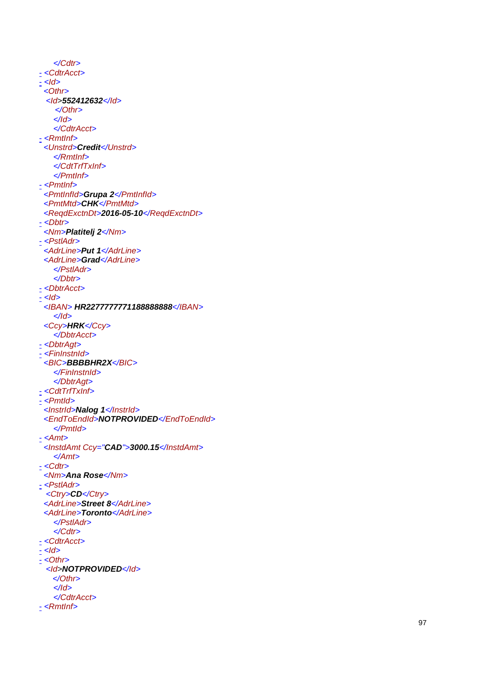</Cdtr > <u>-</u> <CdtrAcct>  $<$ *ld*> $-$  <Othr > <Id >**552412632**</Id> </Othr > </Id > </CdtrAcct > - <RmtInf> <Unstrd >**Credit**</Unstrd > </RmtInf> </CdtTrfTxInf> </PmtInf> <u>-</u> <PmtInf> <PmtInfId >**Grupa 2**</PmtInfId > <PmtMtd >**CHK**</PmtMtd > <ReqdExctnDt >**2016-05-10**</ReqdExctnDt > - <Dbtr> <Nm >**Platitelj 2**</Nm > <u>-</u> <PstlAdr> <AdrLine>Put 1</AdrLine> <AdrLine>Grad</AdrLine> </PstlAdr > </Dbtr > - <DbtrAcct> <u>-</u> <ld> <IBAN > **HR2277777771188888888**</IBAN > </Id > <Ccy >**HRK**</Ccy > </DbtrAcct > - <DbtrAgt> <u>-</u> <FinInstnId> <BIC>**BBBBHR2X</BIC>** </FinInstnId > </DbtrAgt > - <CdtTrfTxInf> - <Pmtld> <InstrId>Nalog 1</InstrId> <EndToEndId>NOTPROVIDED</EndToEndId> </PmtId > <u>-</u> <Amt> <InstdAmt Ccy="**CAD**">**3000.15**</InstdAmt > </Amt > <u>-</u> <Cdtr> <Nm >**Ana Rose**</Nm > - <PstlAdr> <Ctry>**CD**</Ctry> <AdrLine>Street 8</AdrLine> <AdrLine>Toronto</AdrLine> </PstlAdr > </Cdtr > - <CdtrAcct > <u>-</u> <ld> <u>-</u> <0thr> <Id >**NOTPROVIDED**</Id> </Othr > </Id > </CdtrAcct > <u>-</u> <RmtInf>